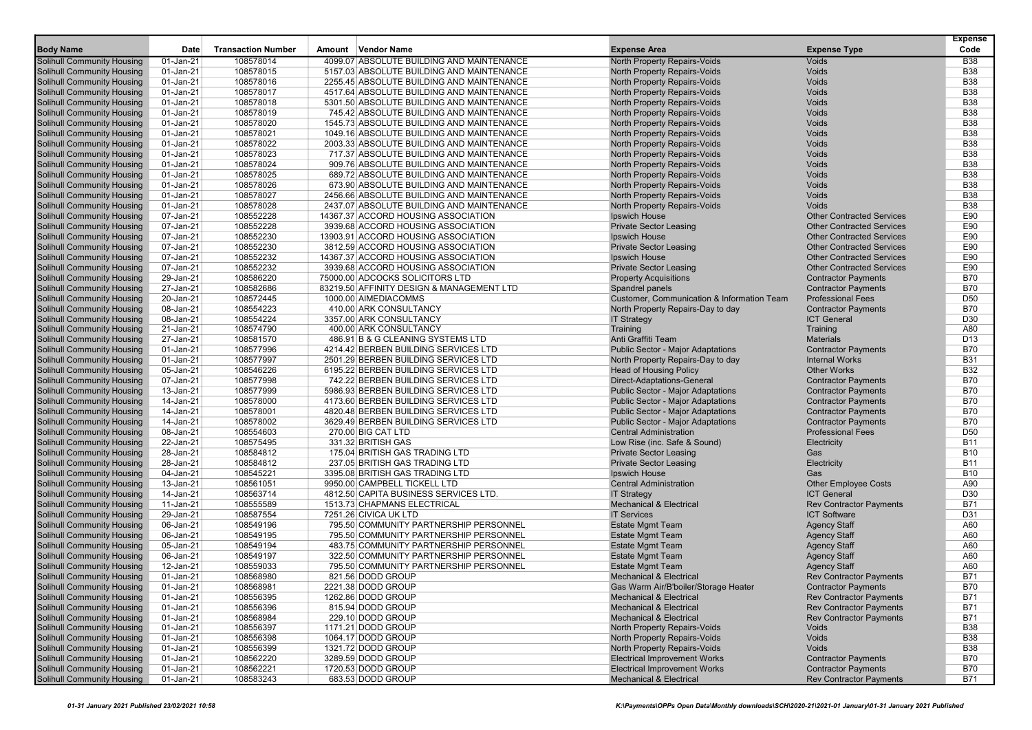|                                                                 |                        |                           |                                                                                        |                                                              |                                                       | <b>Expense</b>                |
|-----------------------------------------------------------------|------------------------|---------------------------|----------------------------------------------------------------------------------------|--------------------------------------------------------------|-------------------------------------------------------|-------------------------------|
| <b>Body Name</b>                                                | Date                   | <b>Transaction Number</b> | Amount Vendor Name                                                                     | <b>Expense Area</b>                                          | <b>Expense Type</b>                                   | Code                          |
| Solihull Community Housing                                      | 01-Jan-21              | 108578014                 | 4099.07 ABSOLUTE BUILDING AND MAINTENANCE                                              | North Property Repairs-Voids                                 | Voids                                                 | <b>B38</b>                    |
| <b>Solihull Community Housing</b>                               | 01-Jan-21              | 108578015                 | 5157.03 ABSOLUTE BUILDING AND MAINTENANCE                                              | North Property Repairs-Voids                                 | Voids<br>Voids                                        | <b>B38</b><br><b>B38</b>      |
| <b>Solihull Community Housing</b>                               | 01-Jan-21<br>01-Jan-21 | 108578016<br>108578017    | 2255.45 ABSOLUTE BUILDING AND MAINTENANCE<br>4517.64 ABSOLUTE BUILDING AND MAINTENANCE | North Property Repairs-Voids                                 | Voids                                                 | <b>B38</b>                    |
| <b>Solihull Community Housing</b><br>Solihull Community Housing | 01-Jan-21              | 108578018                 | 5301.50 ABSOLUTE BUILDING AND MAINTENANCE                                              | North Property Repairs-Voids<br>North Property Repairs-Voids | Voids                                                 | <b>B38</b>                    |
| Solihull Community Housing                                      | 01-Jan-21              | 108578019                 | 745.42 ABSOLUTE BUILDING AND MAINTENANCE                                               | North Property Repairs-Voids                                 | Voids                                                 | <b>B38</b>                    |
| <b>Solihull Community Housing</b>                               | 01-Jan-21              | 108578020                 | 1545.73 ABSOLUTE BUILDING AND MAINTENANCE                                              | North Property Repairs-Voids                                 | Voids                                                 | <b>B38</b>                    |
| <b>Solihull Community Housing</b>                               | 01-Jan-21              | 108578021                 | 1049.16 ABSOLUTE BUILDING AND MAINTENANCE                                              | North Property Repairs-Voids                                 | Voids                                                 | <b>B38</b>                    |
| <b>Solihull Community Housing</b>                               | 01-Jan-21              | 108578022                 | 2003.33 ABSOLUTE BUILDING AND MAINTENANCE                                              | North Property Repairs-Voids                                 | Voids                                                 | <b>B38</b>                    |
| Solihull Community Housing                                      | 01-Jan-21              | 108578023                 | 717.37 ABSOLUTE BUILDING AND MAINTENANCE                                               | North Property Repairs-Voids                                 | Voids                                                 | <b>B38</b>                    |
| Solihull Community Housing                                      | 01-Jan-21              | 108578024                 | 909.76 ABSOLUTE BUILDING AND MAINTENANCE                                               | North Property Repairs-Voids                                 | Voids                                                 | <b>B38</b>                    |
| Solihull Community Housing                                      | 01-Jan-21              | 108578025                 | 689.72 ABSOLUTE BUILDING AND MAINTENANCE                                               | North Property Repairs-Voids                                 | Voids                                                 | <b>B38</b>                    |
| <b>Solihull Community Housing</b>                               | 01-Jan-21              | 108578026                 | 673.90 ABSOLUTE BUILDING AND MAINTENANCE                                               | North Property Repairs-Voids                                 | <b>Voids</b>                                          | <b>B38</b>                    |
| <b>Solihull Community Housing</b>                               | 01-Jan-21              | 108578027                 | 2456.66 ABSOLUTE BUILDING AND MAINTENANCE                                              | North Property Repairs-Voids                                 | Voids                                                 | <b>B38</b>                    |
| Solihull Community Housing                                      | 01-Jan-21              | 108578028                 | 2437.07 ABSOLUTE BUILDING AND MAINTENANCE                                              | North Property Repairs-Voids                                 | <b>Voids</b>                                          | <b>B38</b>                    |
| Solihull Community Housing                                      | 07-Jan-21              | 108552228                 | 14367.37 ACCORD HOUSING ASSOCIATION                                                    | Ipswich House                                                | <b>Other Contracted Services</b>                      | E90                           |
| <b>Solihull Community Housing</b>                               | 07-Jan-21              | 108552228                 | 3939.68 ACCORD HOUSING ASSOCIATION                                                     | <b>Private Sector Leasing</b>                                | <b>Other Contracted Services</b>                      | E90                           |
| <b>Solihull Community Housing</b>                               | 07-Jan-21              | 108552230                 | 13903.91 ACCORD HOUSING ASSOCIATION                                                    | Ipswich House                                                | <b>Other Contracted Services</b>                      | E90                           |
| <b>Solihull Community Housing</b>                               | 07-Jan-21              | 108552230                 | 3812.59 ACCORD HOUSING ASSOCIATION                                                     | <b>Private Sector Leasing</b>                                | <b>Other Contracted Services</b>                      | E90                           |
| Solihull Community Housing                                      | 07-Jan-21              | 108552232                 | 14367.37 ACCORD HOUSING ASSOCIATION                                                    | Ipswich House                                                | <b>Other Contracted Services</b>                      | E90                           |
| Solihull Community Housing                                      | 07-Jan-21              | 108552232                 | 3939.68 ACCORD HOUSING ASSOCIATION                                                     | <b>Private Sector Leasing</b>                                | <b>Other Contracted Services</b>                      | E90                           |
| <b>Solihull Community Housing</b>                               | 29-Jan-21              | 108586220                 | 75000.00 ADCOCKS SOLICITORS LTD                                                        | <b>Property Acquisitions</b>                                 | <b>Contractor Payments</b>                            | <b>B70</b>                    |
| <b>Solihull Community Housing</b>                               | 27-Jan-21              | 108582686                 | 83219.50 AFFINITY DESIGN & MANAGEMENT LTD                                              | Spandrel panels                                              | <b>Contractor Payments</b>                            | <b>B70</b>                    |
| <b>Solihull Community Housing</b>                               | 20-Jan-21              | 108572445                 | 1000.00 AIMEDIACOMMS                                                                   | <b>Customer, Communication &amp; Information Team</b>        | <b>Professional Fees</b>                              | D <sub>50</sub>               |
| <b>Solihull Community Housing</b>                               | 08-Jan-21              | 108554223                 | 410.00 ARK CONSULTANCY                                                                 | North Property Repairs-Day to day                            | <b>Contractor Payments</b>                            | <b>B70</b>                    |
| Solihull Community Housing                                      | 08-Jan-21              | 108554224                 | 3357.00 ARK CONSULTANCY                                                                | <b>IT Strategy</b>                                           | <b>ICT General</b>                                    | D30                           |
| <b>Solihull Community Housing</b>                               | 21-Jan-21              | 108574790                 | 400.00 ARK CONSULTANCY                                                                 | Training                                                     | Training                                              | A80                           |
| <b>Solihull Community Housing</b>                               | 27-Jan-21              | 108581570                 | 486.91 B & G CLEANING SYSTEMS LTD                                                      | Anti Graffiti Team                                           | <b>Materials</b>                                      | D <sub>13</sub>               |
| Solihull Community Housing                                      | 01-Jan-21              | 108577996                 | 4214.42 BERBEN BUILDING SERVICES LTD                                                   | <b>Public Sector - Major Adaptations</b>                     | <b>Contractor Payments</b>                            | <b>B70</b>                    |
| Solihull Community Housing                                      | 01-Jan-21              | 108577997                 | 2501.29 BERBEN BUILDING SERVICES LTD                                                   | North Property Repairs-Day to day                            | <b>Internal Works</b>                                 | <b>B31</b>                    |
| Solihull Community Housing                                      | 05-Jan-21              | 108546226                 | 6195.22 BERBEN BUILDING SERVICES LTD                                                   | <b>Head of Housing Policy</b>                                | <b>Other Works</b>                                    | <b>B32</b>                    |
| <b>Solihull Community Housing</b>                               | 07-Jan-21              | 108577998                 | 742.22 BERBEN BUILDING SERVICES LTD                                                    | Direct-Adaptations-General                                   | <b>Contractor Payments</b>                            | <b>B70</b>                    |
| <b>Solihull Community Housing</b>                               | 13-Jan-21              | 108577999                 | 5986.93 BERBEN BUILDING SERVICES LTD                                                   | <b>Public Sector - Major Adaptations</b>                     | <b>Contractor Payments</b>                            | <b>B70</b>                    |
| Solihull Community Housing                                      | 14-Jan-21              | 108578000                 | 4173.60 BERBEN BUILDING SERVICES LTD                                                   | <b>Public Sector - Major Adaptations</b>                     | <b>Contractor Payments</b>                            | <b>B70</b>                    |
| <b>Solihull Community Housing</b>                               | 14-Jan-21              | 108578001                 | 4820.48 BERBEN BUILDING SERVICES LTD                                                   | <b>Public Sector - Major Adaptations</b>                     | <b>Contractor Payments</b>                            | <b>B70</b>                    |
| Solihull Community Housing                                      | 14-Jan-21              | 108578002                 | 3629.49 BERBEN BUILDING SERVICES LTD                                                   | <b>Public Sector - Major Adaptations</b>                     | <b>Contractor Payments</b>                            | <b>B70</b>                    |
| <b>Solihull Community Housing</b>                               | 08-Jan-21              | 108554603                 | 270.00 BIG CAT LTD                                                                     | <b>Central Administration</b>                                | <b>Professional Fees</b>                              | D <sub>50</sub>               |
| <b>Solihull Community Housing</b>                               | 22-Jan-21              | 108575495                 | 331.32 BRITISH GAS                                                                     | Low Rise (inc. Safe & Sound)                                 | Electricity                                           | <b>B11</b>                    |
| <b>Solihull Community Housing</b>                               | 28-Jan-21              | 108584812                 | 175.04 BRITISH GAS TRADING LTD                                                         | <b>Private Sector Leasing</b>                                | Gas                                                   | <b>B10</b>                    |
| Solihull Community Housing                                      | 28-Jan-21              | 108584812                 | 237.05 BRITISH GAS TRADING LTD                                                         | <b>Private Sector Leasing</b>                                | Electricity                                           | <b>B11</b>                    |
| Solihull Community Housing                                      | 04-Jan-21              | 108545221                 | 3395.08 BRITISH GAS TRADING LTD                                                        | Ipswich House                                                | Gas                                                   | <b>B10</b>                    |
| <b>Solihull Community Housing</b>                               | 13-Jan-21              | 108561051                 | 9950.00 CAMPBELL TICKELL LTD                                                           | <b>Central Administration</b>                                | <b>Other Employee Costs</b>                           | A90                           |
| <b>Solihull Community Housing</b>                               | 14-Jan-21              | 108563714                 | 4812.50 CAPITA BUSINESS SERVICES LTD.                                                  | <b>IT Strategy</b>                                           | <b>ICT General</b>                                    | D <sub>30</sub><br><b>B71</b> |
| <b>Solihull Community Housing</b>                               | 11-Jan-21              | 108555589<br>108587554    | 1513.73 CHAPMANS ELECTRICAL                                                            | <b>Mechanical &amp; Electrical</b><br><b>IT Services</b>     | <b>Rev Contractor Payments</b><br><b>ICT Software</b> | D31                           |
| <b>Solihull Community Housing</b>                               | 29-Jan-21<br>06-Jan-21 | 108549196                 | 7251.26 CIVICA UK LTD<br>795.50 COMMUNITY PARTNERSHIP PERSONNEL                        |                                                              |                                                       | A60                           |
| Solihull Community Housing<br><b>Solihull Community Housing</b> | 06-Jan-21              | 108549195                 | 795.50 COMMUNITY PARTNERSHIP PERSONNEL                                                 | <b>Estate Mgmt Team</b><br><b>Estate Mgmt Team</b>           | <b>Agency Staff</b><br><b>Agency Staff</b>            | A60                           |
| <b>Solihull Community Housing</b>                               | 05-Jan-21              | 108549194                 | 483.75 COMMUNITY PARTNERSHIP PERSONNEL                                                 | <b>Estate Mgmt Team</b>                                      | <b>Agency Staff</b>                                   | A60                           |
| Solihull Community Housing                                      | 06-Jan-21              | 108549197                 | 322.50 COMMUNITY PARTNERSHIP PERSONNEL                                                 | <b>Estate Mgmt Team</b>                                      | <b>Agency Staff</b>                                   | A60                           |
| Solihull Community Housing                                      | 12-Jan-21              | 108559033                 | 795.50 COMMUNITY PARTNERSHIP PERSONNEL                                                 | <b>Estate Mgmt Team</b>                                      | <b>Agency Staff</b>                                   | A60                           |
| <b>Solihull Community Housing</b>                               | 01-Jan-21              | 108568980                 | 821.56 DODD GROUP                                                                      | <b>Mechanical &amp; Electrical</b>                           | <b>Rev Contractor Payments</b>                        | <b>B71</b>                    |
| Solihull Community Housing                                      | 01-Jan-21              | 108568981                 | 2221.38 DODD GROUP                                                                     | Gas Warm Air/B'boiler/Storage Heater                         | <b>Contractor Payments</b>                            | <b>B70</b>                    |
| <b>Solihull Community Housing</b>                               | 01-Jan-21              | 108556395                 | 1262.86 DODD GROUP                                                                     | <b>Mechanical &amp; Electrical</b>                           | <b>Rev Contractor Payments</b>                        | <b>B71</b>                    |
| <b>Solihull Community Housing</b>                               | 01-Jan-21              | 108556396                 | 815.94 DODD GROUP                                                                      | <b>Mechanical &amp; Electrical</b>                           | <b>Rev Contractor Payments</b>                        | <b>B71</b>                    |
| <b>Solihull Community Housing</b>                               | 01-Jan-21              | 108568984                 | 229.10 DODD GROUP                                                                      | <b>Mechanical &amp; Electrical</b>                           | <b>Rev Contractor Payments</b>                        | <b>B71</b>                    |
| Solihull Community Housing                                      | 01-Jan-21              | 108556397                 | 1171.21 DODD GROUP                                                                     | North Property Repairs-Voids                                 | Voids                                                 | <b>B38</b>                    |
| <b>Solihull Community Housing</b>                               | 01-Jan-21              | 108556398                 | 1064.17 DODD GROUP                                                                     | North Property Repairs-Voids                                 | Voids                                                 | <b>B38</b>                    |
| <b>Solihull Community Housing</b>                               | 01-Jan-21              | 108556399                 | 1321.72 DODD GROUP                                                                     | North Property Repairs-Voids                                 | Voids                                                 | <b>B38</b>                    |
| <b>Solihull Community Housing</b>                               | 01-Jan-21              | 108562220                 | 3289.59 DODD GROUP                                                                     | <b>Electrical Improvement Works</b>                          | <b>Contractor Payments</b>                            | <b>B70</b>                    |
| <b>Solihull Community Housing</b>                               | 01-Jan-21              | 108562221                 | 1720.53 DODD GROUP                                                                     | <b>Electrical Improvement Works</b>                          | <b>Contractor Payments</b>                            | <b>B70</b>                    |
| Solihull Community Housing                                      | $01$ -Jan-21           | 108583243                 | 683.53 DODD GROUP                                                                      | <b>Mechanical &amp; Electrical</b>                           | <b>Rev Contractor Payments</b>                        | B71                           |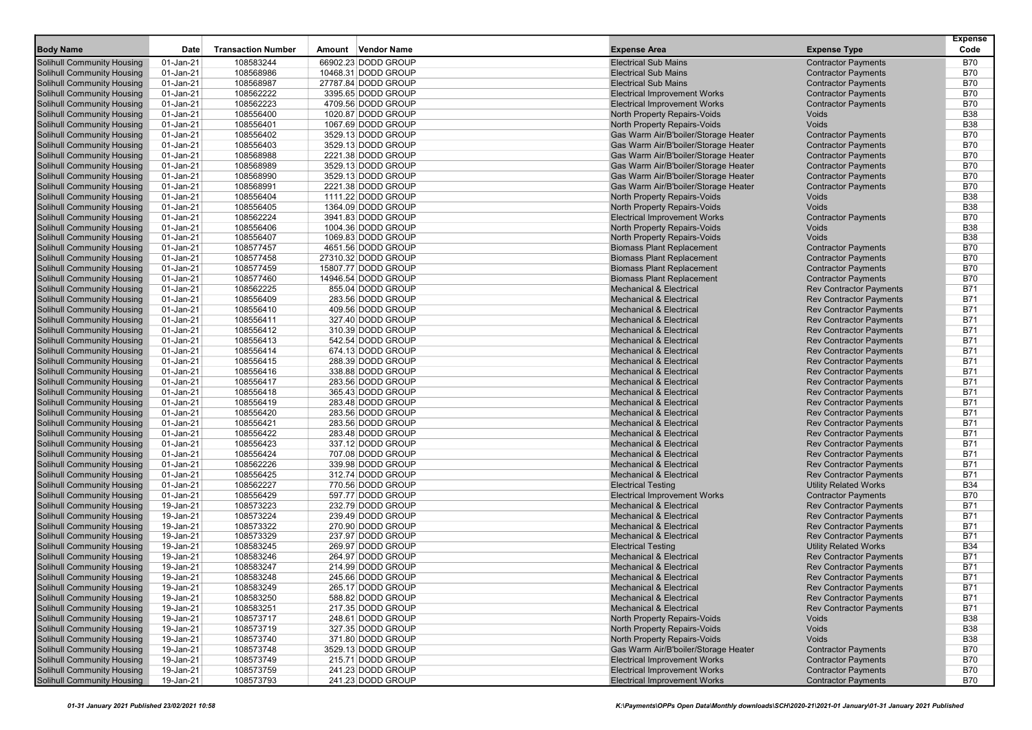| <b>Body Name</b>                                                | Date                   | <b>Transaction Number</b> | Amount Vendor Name                         | <b>Expense Area</b>                                                          | <b>Expense Type</b>                                      | <b>Expense</b><br>Code   |
|-----------------------------------------------------------------|------------------------|---------------------------|--------------------------------------------|------------------------------------------------------------------------------|----------------------------------------------------------|--------------------------|
|                                                                 |                        |                           |                                            |                                                                              |                                                          |                          |
| Solihull Community Housing                                      | 01-Jan-21              | 108583244                 | 66902.23 DODD GROUP                        | <b>Electrical Sub Mains</b><br><b>Electrical Sub Mains</b>                   | <b>Contractor Payments</b>                               | <b>B70</b><br><b>B70</b> |
| Solihull Community Housing                                      | 01-Jan-21<br>01-Jan-21 | 108568986<br>108568987    | 10468.31 DODD GROUP<br>27787.84 DODD GROUP | <b>Electrical Sub Mains</b>                                                  | <b>Contractor Payments</b>                               | <b>B70</b>               |
| <b>Solihull Community Housing</b>                               | 01-Jan-21              | 108562222                 | 3395.65 DODD GROUP                         | <b>Electrical Improvement Works</b>                                          | <b>Contractor Payments</b><br><b>Contractor Payments</b> | <b>B70</b>               |
| Solihull Community Housing<br><b>Solihull Community Housing</b> | 01-Jan-21              | 108562223                 | 4709.56 DODD GROUP                         | <b>Electrical Improvement Works</b>                                          | <b>Contractor Payments</b>                               | <b>B70</b>               |
| Solihull Community Housing                                      | 01-Jan-21              | 108556400                 | 1020.87 DODD GROUP                         | North Property Repairs-Voids                                                 | Voids                                                    | <b>B38</b>               |
| Solihull Community Housing                                      | 01-Jan-21              | 108556401                 | 1067.69 DODD GROUP                         | North Property Repairs-Voids                                                 | Voids                                                    | <b>B38</b>               |
| Solihull Community Housing                                      | 01-Jan-21              | 108556402                 | 3529.13 DODD GROUP                         | Gas Warm Air/B'boiler/Storage Heater                                         | <b>Contractor Payments</b>                               | <b>B70</b>               |
| Solihull Community Housing                                      | 01-Jan-21              | 108556403                 | 3529.13 DODD GROUP                         | Gas Warm Air/B'boiler/Storage Heater                                         | <b>Contractor Payments</b>                               | <b>B70</b>               |
| <b>Solihull Community Housing</b>                               |                        | 108568988                 | 2221.38 DODD GROUP                         | Gas Warm Air/B'boiler/Storage Heater                                         | <b>Contractor Payments</b>                               | <b>B70</b>               |
| Solihull Community Housing                                      | 01-Jan-21<br>01-Jan-21 | 108568989                 | 3529.13 DODD GROUP                         | Gas Warm Air/B'boiler/Storage Heater                                         | <b>Contractor Payments</b>                               | <b>B70</b>               |
|                                                                 |                        |                           | 3529.13 DODD GROUP                         |                                                                              |                                                          | <b>B70</b>               |
| Solihull Community Housing                                      | 01-Jan-21              | 108568990                 |                                            | Gas Warm Air/B'boiler/Storage Heater<br>Gas Warm Air/B'boiler/Storage Heater | <b>Contractor Payments</b>                               |                          |
| Solihull Community Housing                                      | 01-Jan-21              | 108568991                 | 2221.38 DODD GROUP                         |                                                                              | <b>Contractor Payments</b>                               | <b>B70</b>               |
| Solihull Community Housing                                      | 01-Jan-21              | 108556404                 | 1111.22 DODD GROUP                         | North Property Repairs-Voids                                                 | Voids                                                    | <b>B38</b>               |
| <b>Solihull Community Housing</b>                               | 01-Jan-21              | 108556405                 | 1364.09 DODD GROUP                         | North Property Repairs-Voids                                                 | Voids                                                    | <b>B38</b>               |
| Solihull Community Housing                                      | 01-Jan-21              | 108562224                 | 3941.83 DODD GROUP                         | <b>Electrical Improvement Works</b>                                          | <b>Contractor Payments</b>                               | <b>B70</b>               |
| Solihull Community Housing                                      | 01-Jan-21              | 108556406                 | 1004.36 DODD GROUP                         | North Property Repairs-Voids                                                 | Voids                                                    | <b>B38</b>               |
| <b>Solihull Community Housing</b>                               | 01-Jan-21              | 108556407                 | 1069.83 DODD GROUP                         | North Property Repairs-Voids                                                 | Voids                                                    | <b>B38</b>               |
| <b>Solihull Community Housing</b>                               | 01-Jan-21              | 108577457                 | 4651.56 DODD GROUP                         | <b>Biomass Plant Replacement</b>                                             | <b>Contractor Payments</b>                               | <b>B70</b>               |
| <b>Solihull Community Housing</b>                               | 01-Jan-21              | 108577458                 | 27310.32 DODD GROUP                        | <b>Biomass Plant Replacement</b>                                             | <b>Contractor Payments</b>                               | <b>B70</b>               |
| Solihull Community Housing                                      | 01-Jan-21              | 108577459                 | 15807.77 DODD GROUP                        | <b>Biomass Plant Replacement</b>                                             | <b>Contractor Payments</b>                               | <b>B70</b>               |
| Solihull Community Housing                                      | 01-Jan-21              | 108577460                 | 14946.54 DODD GROUP                        | <b>Biomass Plant Replacement</b>                                             | <b>Contractor Payments</b>                               | <b>B70</b>               |
| Solihull Community Housing                                      | 01-Jan-21              | 108562225                 | 855.04 DODD GROUP                          | <b>Mechanical &amp; Electrical</b>                                           | <b>Rev Contractor Payments</b>                           | B71                      |
| <b>Solihull Community Housing</b>                               | 01-Jan-21              | 108556409                 | 283.56 DODD GROUP                          | <b>Mechanical &amp; Electrical</b>                                           | <b>Rev Contractor Payments</b>                           | <b>B71</b>               |
| <b>Solihull Community Housing</b>                               | 01-Jan-21              | 108556410                 | 409.56 DODD GROUP                          | <b>Mechanical &amp; Electrical</b>                                           | <b>Rev Contractor Payments</b>                           | <b>B71</b>               |
| Solihull Community Housing                                      | 01-Jan-21              | 108556411                 | 327.40 DODD GROUP                          | <b>Mechanical &amp; Electrical</b>                                           | <b>Rev Contractor Payments</b>                           | <b>B71</b>               |
| Solihull Community Housing                                      | 01-Jan-21              | 108556412                 | 310.39 DODD GROUP                          | <b>Mechanical &amp; Electrical</b>                                           | <b>Rev Contractor Payments</b>                           | <b>B71</b>               |
| <b>Solihull Community Housing</b>                               | 01-Jan-21              | 108556413                 | 542.54 DODD GROUP                          | <b>Mechanical &amp; Electrical</b>                                           | <b>Rev Contractor Payments</b>                           | B71                      |
| Solihull Community Housing                                      | 01-Jan-21              | 108556414                 | 674.13 DODD GROUP                          | <b>Mechanical &amp; Electrical</b>                                           | <b>Rev Contractor Payments</b>                           | <b>B71</b>               |
| <b>Solihull Community Housing</b>                               | 01-Jan-21              | 108556415                 | 288.39 DODD GROUP                          | <b>Mechanical &amp; Electrical</b>                                           | <b>Rev Contractor Payments</b>                           | <b>B71</b>               |
| Solihull Community Housing                                      | 01-Jan-21              | 108556416                 | 338.88 DODD GROUP                          | <b>Mechanical &amp; Electrical</b>                                           | <b>Rev Contractor Payments</b>                           | <b>B71</b>               |
| Solihull Community Housing                                      | 01-Jan-21              | 108556417                 | 283.56 DODD GROUP                          | <b>Mechanical &amp; Electrical</b>                                           | <b>Rev Contractor Payments</b>                           | <b>B71</b>               |
| Solihull Community Housing                                      | 01-Jan-21              | 108556418                 | 365.43 DODD GROUP                          | <b>Mechanical &amp; Electrical</b>                                           | <b>Rev Contractor Payments</b>                           | B71                      |
| Solihull Community Housing                                      | 01-Jan-21              | 108556419                 | 283.48 DODD GROUP                          | <b>Mechanical &amp; Electrical</b>                                           | <b>Rev Contractor Payments</b>                           | <b>B71</b>               |
| <b>Solihull Community Housing</b>                               | 01-Jan-21              | 108556420                 | 283.56 DODD GROUP                          | <b>Mechanical &amp; Electrical</b>                                           | <b>Rev Contractor Payments</b>                           | <b>B71</b>               |
| Solihull Community Housing                                      | 01-Jan-21              | 108556421                 | 283.56 DODD GROUP                          | <b>Mechanical &amp; Electrical</b>                                           | <b>Rev Contractor Payments</b>                           | <b>B71</b>               |
| Solihull Community Housing                                      | 01-Jan-21              | 108556422                 | 283.48 DODD GROUP                          | <b>Mechanical &amp; Electrical</b>                                           | <b>Rev Contractor Payments</b>                           | <b>B71</b>               |
| <b>Solihull Community Housing</b>                               | 01-Jan-21              | 108556423                 | 337.12 DODD GROUP                          | <b>Mechanical &amp; Electrical</b>                                           | <b>Rev Contractor Payments</b>                           | B71                      |
| Solihull Community Housing                                      | 01-Jan-21              | 108556424                 | 707.08 DODD GROUP                          | <b>Mechanical &amp; Electrical</b>                                           | <b>Rev Contractor Payments</b>                           | <b>B71</b>               |
| <b>Solihull Community Housing</b>                               | 01-Jan-21              | 108562226                 | 339.98 DODD GROUP                          | <b>Mechanical &amp; Electrical</b>                                           | <b>Rev Contractor Payments</b>                           | <b>B71</b>               |
| Solihull Community Housing                                      | 01-Jan-21              | 108556425                 | 312.74 DODD GROUP                          | <b>Mechanical &amp; Electrical</b>                                           | <b>Rev Contractor Payments</b>                           | <b>B71</b>               |
| Solihull Community Housing                                      | 01-Jan-21              | 108562227                 | 770.56 DODD GROUP                          | <b>Electrical Testing</b>                                                    | <b>Utility Related Works</b>                             | <b>B34</b>               |
| Solihull Community Housing                                      | 01-Jan-21              | 108556429                 | 597.77 DODD GROUP                          | <b>Electrical Improvement Works</b>                                          | <b>Contractor Payments</b>                               | <b>B70</b>               |
| Solihull Community Housing                                      | 19-Jan-21              | 108573223                 | 232.79 DODD GROUP                          | <b>Mechanical &amp; Electrical</b>                                           | <b>Rev Contractor Payments</b>                           | <b>B71</b>               |
| <b>Solihull Community Housing</b>                               | 19-Jan-21              | 108573224                 | 239.49 DODD GROUP                          | <b>Mechanical &amp; Electrical</b>                                           | <b>Rev Contractor Payments</b>                           | <b>B71</b>               |
| Solihull Community Housing                                      | 19-Jan-21              | 108573322                 | 270.90 DODD GROUP                          | <b>Mechanical &amp; Electrical</b>                                           | <b>Rev Contractor Payments</b>                           | <b>B71</b>               |
| Solihull Community Housing                                      | 19-Jan-21              | 108573329                 | 237.97 DODD GROUP                          | <b>Mechanical &amp; Electrical</b>                                           | <b>Rev Contractor Payments</b>                           | <b>B71</b>               |
| Solihull Community Housing                                      | 19-Jan-21              | 108583245                 | 269.97 DODD GROUP                          | <b>Electrical Testing</b>                                                    | <b>Utility Related Works</b>                             | <b>B34</b>               |
| Solihull Community Housing                                      | 19-Jan-21              | 108583246                 | 264.97 DODD GROUP                          | <b>Mechanical &amp; Electrical</b>                                           | <b>Rev Contractor Payments</b>                           | <b>B71</b>               |
| <b>Solihull Community Housing</b>                               | 19-Jan-21              | 108583247                 | 214.99 DODD GROUP                          | <b>Mechanical &amp; Electrical</b>                                           | <b>Rev Contractor Payments</b>                           | B71                      |
| <b>Solihull Community Housing</b>                               | 19-Jan-21              | 108583248                 | 245.66 DODD GROUP                          | <b>Mechanical &amp; Electrical</b>                                           | <b>Rev Contractor Payments</b>                           | B71                      |
| Solihull Community Housing                                      | 19-Jan-21              | 108583249                 | 265.17 DODD GROUP                          | <b>Mechanical &amp; Electrical</b>                                           | <b>Rev Contractor Payments</b>                           | <b>B71</b>               |
| <b>Solihull Community Housing</b>                               | 19-Jan-21              | 108583250                 | 588.82 DODD GROUP                          | <b>Mechanical &amp; Electrical</b>                                           | <b>Rev Contractor Payments</b>                           | <b>B71</b>               |
| <b>Solihull Community Housing</b>                               | 19-Jan-21              | 108583251                 | 217.35 DODD GROUP                          | <b>Mechanical &amp; Electrical</b>                                           | <b>Rev Contractor Payments</b>                           | <b>B71</b>               |
| <b>Solihull Community Housing</b>                               | 19-Jan-21              | 108573717                 | 248.61 DODD GROUP                          | North Property Repairs-Voids                                                 | Voids                                                    | <b>B38</b>               |
| <b>Solihull Community Housing</b>                               | 19-Jan-21              | 108573719                 | 327.35 DODD GROUP                          | North Property Repairs-Voids                                                 | Voids                                                    | <b>B38</b>               |
| <b>Solihull Community Housing</b>                               | 19-Jan-21              | 108573740                 | 371.80 DODD GROUP                          | North Property Repairs-Voids                                                 | Voids                                                    | <b>B38</b>               |
| <b>Solihull Community Housing</b>                               | 19-Jan-21              | 108573748                 | 3529.13 DODD GROUP                         | Gas Warm Air/B'boiler/Storage Heater                                         | <b>Contractor Payments</b>                               | <b>B70</b>               |
| <b>Solihull Community Housing</b>                               | 19-Jan-21              | 108573749                 | 215.71 DODD GROUP                          | <b>Electrical Improvement Works</b>                                          | <b>Contractor Payments</b>                               | <b>B70</b>               |
| <b>Solihull Community Housing</b>                               | 19-Jan-21              | 108573759                 | 241.23 DODD GROUP                          | <b>Electrical Improvement Works</b>                                          | <b>Contractor Payments</b>                               | <b>B70</b>               |
| <b>Solihull Community Housing</b>                               | 19-Jan-21              | 108573793                 | 241.23 DODD GROUP                          | <b>Electrical Improvement Works</b>                                          | <b>Contractor Payments</b>                               | <b>B70</b>               |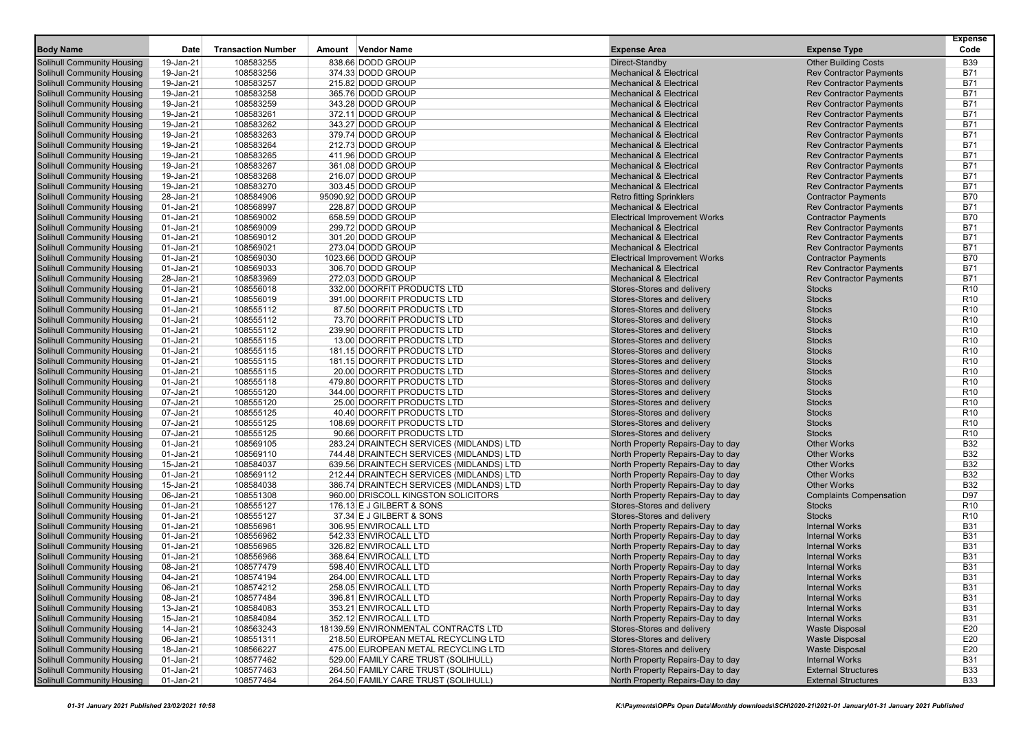| <b>Body Name</b>                                                       | Date                   | <b>Transaction Number</b> | Amount | <b>Vendor Name</b>                                        | <b>Expense Area</b>                                      | <b>Expense Type</b>            | <b>Expense</b><br>Code             |
|------------------------------------------------------------------------|------------------------|---------------------------|--------|-----------------------------------------------------------|----------------------------------------------------------|--------------------------------|------------------------------------|
| <b>Solihull Community Housing</b>                                      | 19-Jan-21              | 108583255                 |        | 838.66 DODD GROUP                                         |                                                          | <b>Other Building Costs</b>    | <b>B39</b>                         |
| <b>Solihull Community Housing</b>                                      | 19-Jan-21              | 108583256                 |        | 374.33 DODD GROUP                                         | Direct-Standby<br><b>Mechanical &amp; Electrical</b>     | <b>Rev Contractor Payments</b> | <b>B71</b>                         |
| <b>Solihull Community Housing</b>                                      | 19-Jan-21              | 108583257                 |        | 215.82 DODD GROUP                                         | <b>Mechanical &amp; Electrical</b>                       | <b>Rev Contractor Payments</b> | <b>B71</b>                         |
| <b>Solihull Community Housing</b>                                      | 19-Jan-21              | 108583258                 |        | 365.76 DODD GROUP                                         | <b>Mechanical &amp; Electrical</b>                       | <b>Rev Contractor Payments</b> | <b>B71</b>                         |
| <b>Solihull Community Housing</b>                                      | 19-Jan-21              | 108583259                 |        | 343.28 DODD GROUP                                         | <b>Mechanical &amp; Electrical</b>                       | <b>Rev Contractor Payments</b> | <b>B71</b>                         |
| <b>Solihull Community Housing</b>                                      | 19-Jan-21              | 108583261                 |        | 372.11 DODD GROUP                                         | <b>Mechanical &amp; Electrical</b>                       | <b>Rev Contractor Payments</b> | <b>B71</b>                         |
| <b>Solihull Community Housing</b>                                      | 19-Jan-21              | 108583262                 |        | 343.27 DODD GROUP                                         | <b>Mechanical &amp; Electrical</b>                       | <b>Rev Contractor Payments</b> | <b>B71</b>                         |
| <b>Solihull Community Housing</b>                                      | 19-Jan-21              | 108583263                 |        | 379.74 DODD GROUP                                         | <b>Mechanical &amp; Electrical</b>                       | <b>Rev Contractor Payments</b> | <b>B71</b>                         |
| <b>Solihull Community Housing</b>                                      | 19-Jan-21              | 108583264                 |        | 212.73 DODD GROUP                                         | <b>Mechanical &amp; Electrical</b>                       | <b>Rev Contractor Payments</b> | <b>B71</b>                         |
| <b>Solihull Community Housing</b>                                      | 19-Jan-21              | 108583265                 |        | 411.96 DODD GROUP                                         | <b>Mechanical &amp; Electrical</b>                       | <b>Rev Contractor Payments</b> | <b>B71</b>                         |
| <b>Solihull Community Housing</b>                                      | 19-Jan-21              | 108583267                 |        | 361.08 DODD GROUP                                         | <b>Mechanical &amp; Electrical</b>                       | <b>Rev Contractor Payments</b> | <b>B71</b>                         |
| <b>Solihull Community Housing</b>                                      | 19-Jan-21              | 108583268                 |        | 216.07 DODD GROUP                                         | <b>Mechanical &amp; Electrical</b>                       | <b>Rev Contractor Payments</b> | <b>B71</b>                         |
| <b>Solihull Community Housing</b>                                      | 19-Jan-21              | 108583270                 |        | 303.45 DODD GROUP                                         | <b>Mechanical &amp; Electrical</b>                       | <b>Rev Contractor Payments</b> | <b>B71</b>                         |
| <b>Solihull Community Housing</b>                                      | 28-Jan-21              | 108584906                 |        | 95090.92 DODD GROUP                                       | <b>Retro fitting Sprinklers</b>                          | <b>Contractor Payments</b>     | <b>B70</b>                         |
| <b>Solihull Community Housing</b>                                      | 01-Jan-21              | 108568997                 |        | 228.87 DODD GROUP                                         | <b>Mechanical &amp; Electrical</b>                       | <b>Rev Contractor Payments</b> | <b>B71</b>                         |
| <b>Solihull Community Housing</b>                                      | 01-Jan-21              | 108569002                 |        | 658.59 DODD GROUP                                         | <b>Electrical Improvement Works</b>                      | <b>Contractor Payments</b>     | <b>B70</b>                         |
| <b>Solihull Community Housing</b>                                      | 01-Jan-21              | 108569009                 |        | 299.72 DODD GROUP                                         | <b>Mechanical &amp; Electrical</b>                       | <b>Rev Contractor Payments</b> | <b>B71</b>                         |
| <b>Solihull Community Housing</b>                                      | 01-Jan-21              | 108569012                 |        | 301.20 DODD GROUP                                         | <b>Mechanical &amp; Electrical</b>                       | <b>Rev Contractor Payments</b> | <b>B71</b>                         |
| <b>Solihull Community Housing</b>                                      | 01-Jan-21              | 108569021                 |        | 273.04 DODD GROUP                                         | <b>Mechanical &amp; Electrical</b>                       | <b>Rev Contractor Payments</b> | <b>B71</b>                         |
| <b>Solihull Community Housing</b>                                      | 01-Jan-21              | 108569030                 |        | 1023.66 DODD GROUP                                        | <b>Electrical Improvement Works</b>                      | <b>Contractor Payments</b>     | <b>B70</b>                         |
| <b>Solihull Community Housing</b>                                      | 01-Jan-21              | 108569033                 |        | 306.70 DODD GROUP                                         | <b>Mechanical &amp; Electrical</b>                       | <b>Rev Contractor Payments</b> | <b>B71</b>                         |
| <b>Solihull Community Housing</b>                                      | 28-Jan-21              | 108583969                 |        | 272.03 DODD GROUP                                         | <b>Mechanical &amp; Electrical</b>                       | <b>Rev Contractor Payments</b> | <b>B71</b>                         |
| <b>Solihull Community Housing</b>                                      | 01-Jan-21              | 108556018                 |        | 332.00 DOORFIT PRODUCTS LTD                               | Stores-Stores and delivery                               | <b>Stocks</b>                  | R <sub>10</sub>                    |
| <b>Solihull Community Housing</b>                                      | 01-Jan-21              | 108556019                 |        | 391.00 DOORFIT PRODUCTS LTD                               | Stores-Stores and delivery                               | <b>Stocks</b>                  | R <sub>10</sub>                    |
| <b>Solihull Community Housing</b>                                      | 01-Jan-21              | 108555112                 |        | 87.50 DOORFIT PRODUCTS LTD                                | Stores-Stores and delivery                               | <b>Stocks</b>                  | R <sub>10</sub>                    |
| <b>Solihull Community Housing</b>                                      | 01-Jan-21              | 108555112                 |        | 73.70 DOORFIT PRODUCTS LTD                                | Stores-Stores and delivery                               | <b>Stocks</b>                  | R <sub>10</sub>                    |
| <b>Solihull Community Housing</b>                                      | 01-Jan-21              | 108555112                 |        | 239.90 DOORFIT PRODUCTS LTD                               | Stores-Stores and delivery                               | <b>Stocks</b>                  | R <sub>10</sub>                    |
| <b>Solihull Community Housing</b>                                      | 01-Jan-21              | 108555115                 |        | 13.00 DOORFIT PRODUCTS LTD                                | Stores-Stores and delivery                               | <b>Stocks</b>                  | R <sub>10</sub>                    |
| <b>Solihull Community Housing</b>                                      | 01-Jan-21              | 108555115                 |        | 181.15 DOORFIT PRODUCTS LTD                               | Stores-Stores and delivery                               | <b>Stocks</b>                  | R <sub>10</sub>                    |
| <b>Solihull Community Housing</b>                                      | 01-Jan-21              | 108555115                 |        | 181.15 DOORFIT PRODUCTS LTD                               | Stores-Stores and delivery                               | <b>Stocks</b>                  | R <sub>10</sub>                    |
| <b>Solihull Community Housing</b>                                      | 01-Jan-21              | 108555115                 |        | 20.00 DOORFIT PRODUCTS LTD                                | Stores-Stores and delivery                               | <b>Stocks</b>                  | R <sub>10</sub>                    |
| <b>Solihull Community Housing</b>                                      | 01-Jan-21              | 108555118<br>108555120    |        | 479.80 DOORFIT PRODUCTS LTD                               | Stores-Stores and delivery                               | <b>Stocks</b><br><b>Stocks</b> | R <sub>10</sub><br>R <sub>10</sub> |
| <b>Solihull Community Housing</b>                                      | 07-Jan-21              |                           |        | 344.00 DOORFIT PRODUCTS LTD<br>25.00 DOORFIT PRODUCTS LTD | Stores-Stores and delivery<br>Stores-Stores and delivery | <b>Stocks</b>                  | R <sub>10</sub>                    |
| <b>Solihull Community Housing</b><br><b>Solihull Community Housing</b> | 07-Jan-21<br>07-Jan-21 | 108555120<br>108555125    |        | 40.40 DOORFIT PRODUCTS LTD                                | Stores-Stores and delivery                               | <b>Stocks</b>                  | R <sub>10</sub>                    |
| <b>Solihull Community Housing</b>                                      | 07-Jan-21              | 108555125                 |        | 108.69 DOORFIT PRODUCTS LTD                               | Stores-Stores and delivery                               | <b>Stocks</b>                  | R <sub>10</sub>                    |
| <b>Solihull Community Housing</b>                                      | 07-Jan-21              | 108555125                 |        | 90.66 DOORFIT PRODUCTS LTD                                | Stores-Stores and delivery                               | <b>Stocks</b>                  | R <sub>10</sub>                    |
| <b>Solihull Community Housing</b>                                      | 01-Jan-21              | 108569105                 |        | 283.24 DRAINTECH SERVICES (MIDLANDS) LTD                  | North Property Repairs-Day to day                        | <b>Other Works</b>             | <b>B32</b>                         |
| <b>Solihull Community Housing</b>                                      | 01-Jan-21              | 108569110                 |        | 744.48 DRAINTECH SERVICES (MIDLANDS) LTD                  | North Property Repairs-Day to day                        | <b>Other Works</b>             | <b>B32</b>                         |
| <b>Solihull Community Housing</b>                                      | 15-Jan-21              | 108584037                 |        | 639.56 DRAINTECH SERVICES (MIDLANDS) LTD                  | North Property Repairs-Day to day                        | <b>Other Works</b>             | <b>B32</b>                         |
| <b>Solihull Community Housing</b>                                      | 01-Jan-21              | 108569112                 |        | 212.44 DRAINTECH SERVICES (MIDLANDS) LTD                  | North Property Repairs-Day to day                        | <b>Other Works</b>             | <b>B32</b>                         |
| <b>Solihull Community Housing</b>                                      | 15-Jan-21              | 108584038                 |        | 386.74 DRAINTECH SERVICES (MIDLANDS) LTD                  | North Property Repairs-Day to day                        | <b>Other Works</b>             | <b>B32</b>                         |
| <b>Solihull Community Housing</b>                                      | 06-Jan-21              | 108551308                 |        | 960.00 DRISCOLL KINGSTON SOLICITORS                       | North Property Repairs-Day to day                        | <b>Complaints Compensation</b> | D97                                |
| <b>Solihull Community Housing</b>                                      | 01-Jan-21              | 108555127                 |        | 176.13 E J GILBERT & SONS                                 | Stores-Stores and delivery                               | <b>Stocks</b>                  | R <sub>10</sub>                    |
| <b>Solihull Community Housing</b>                                      | 01-Jan-21              | 108555127                 |        | 37.34 E J GILBERT & SONS                                  | Stores-Stores and delivery                               | <b>Stocks</b>                  | R <sub>10</sub>                    |
| <b>Solihull Community Housing</b>                                      | 01-Jan-21              | 108556961                 |        | 306.95 ENVIROCALL LTD                                     | North Property Repairs-Day to day                        | <b>Internal Works</b>          | <b>B31</b>                         |
| <b>Solihull Community Housing</b>                                      | 01-Jan-21              | 108556962                 |        | 542.33 ENVIROCALL LTD                                     | North Property Repairs-Day to day                        | <b>Internal Works</b>          | <b>B31</b>                         |
| <b>Solihull Community Housing</b>                                      | 01-Jan-21              | 108556965                 |        | 326.82 ENVIROCALL LTD                                     | North Property Repairs-Day to day                        | <b>Internal Works</b>          | <b>B31</b>                         |
| <b>Solihull Community Housing</b>                                      | 01-Jan-21              | 108556966                 |        | 368.64 ENVIROCALL LTD                                     | North Property Repairs-Day to day                        | <b>Internal Works</b>          | <b>B31</b>                         |
| <b>Solihull Community Housing</b>                                      | 08-Jan-21              | 108577479                 |        | 598.40 ENVIROCALL LTD                                     | North Property Repairs-Day to day                        | <b>Internal Works</b>          | <b>B31</b>                         |
| <b>Solihull Community Housing</b>                                      | 04-Jan-21              | 108574194                 |        | 264.00 ENVIROCALL LTD                                     | North Property Repairs-Day to day                        | <b>Internal Works</b>          | <b>B31</b>                         |
| <b>Solihull Community Housing</b>                                      | 06-Jan-21              | 108574212                 |        | 258.05 ENVIROCALL LTD                                     | North Property Repairs-Day to day                        | <b>Internal Works</b>          | <b>B31</b>                         |
| <b>Solihull Community Housing</b>                                      | 08-Jan-21              | 108577484                 |        | 396.81 ENVIROCALL LTD                                     | North Property Repairs-Day to day                        | <b>Internal Works</b>          | <b>B31</b>                         |
| <b>Solihull Community Housing</b>                                      | 13-Jan-21              | 108584083                 |        | 353.21 ENVIROCALL LTD                                     | North Property Repairs-Day to day                        | <b>Internal Works</b>          | <b>B31</b>                         |
| <b>Solihull Community Housing</b>                                      | 15-Jan-21              | 108584084                 |        | 352.12 ENVIROCALL LTD                                     | North Property Repairs-Day to day                        | <b>Internal Works</b>          | <b>B31</b>                         |
| <b>Solihull Community Housing</b>                                      | 14-Jan-21              | 108563243                 |        | 18139.59 ENVIRONMENTAL CONTRACTS LTD                      | Stores-Stores and delivery                               | <b>Waste Disposal</b>          | E20                                |
| <b>Solihull Community Housing</b>                                      | 06-Jan-21              | 108551311                 |        | 218.50 EUROPEAN METAL RECYCLING LTD                       | Stores-Stores and delivery                               | <b>Waste Disposal</b>          | E20                                |
| <b>Solihull Community Housing</b>                                      | 18-Jan-21              | 108566227                 |        | 475.00 EUROPEAN METAL RECYCLING LTD                       | Stores-Stores and delivery                               | <b>Waste Disposal</b>          | E20                                |
| <b>Solihull Community Housing</b>                                      | 01-Jan-21              | 108577462                 |        | 529.00 FAMILY CARE TRUST (SOLIHULL)                       | North Property Repairs-Day to day                        | <b>Internal Works</b>          | <b>B31</b>                         |
| <b>Solihull Community Housing</b>                                      | 01-Jan-21              | 108577463                 |        | 264.50 FAMILY CARE TRUST (SOLIHULL)                       | North Property Repairs-Day to day                        | <b>External Structures</b>     | <b>B33</b>                         |
| <b>Solihull Community Housing</b>                                      | $01$ -Jan-21           | 108577464                 |        | 264.50 FAMILY CARE TRUST (SOLIHULL)                       | North Property Repairs-Day to day                        | <b>External Structures</b>     | <b>B33</b>                         |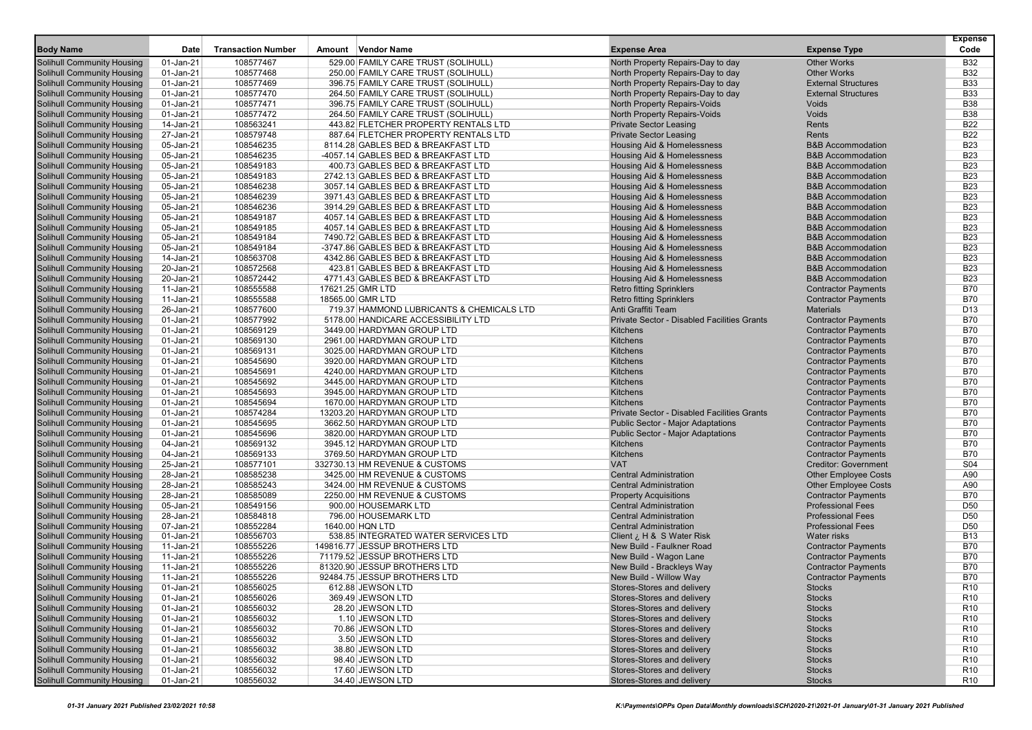|                                                                        |                        |                           |                                                                          |                                                          |                                                              | <b>Expense</b>           |
|------------------------------------------------------------------------|------------------------|---------------------------|--------------------------------------------------------------------------|----------------------------------------------------------|--------------------------------------------------------------|--------------------------|
| <b>Body Name</b>                                                       | Date                   | <b>Transaction Number</b> | Amount Vendor Name                                                       | <b>Expense Area</b>                                      | <b>Expense Type</b>                                          | Code                     |
| <b>Solihull Community Housing</b>                                      | 01-Jan-21              | 108577467                 | 529.00 FAMILY CARE TRUST (SOLIHULL)                                      | North Property Repairs-Day to day                        | <b>Other Works</b>                                           | <b>B32</b>               |
| <b>Solihull Community Housing</b>                                      | 01-Jan-21              | 108577468                 | 250.00 FAMILY CARE TRUST (SOLIHULL)                                      | North Property Repairs-Day to day                        | <b>Other Works</b>                                           | <b>B32</b>               |
| <b>Solihull Community Housing</b>                                      | 01-Jan-21              | 108577469                 | 396.75 FAMILY CARE TRUST (SOLIHULL)                                      | North Property Repairs-Day to day                        | <b>External Structures</b>                                   | <b>B33</b>               |
| <b>Solihull Community Housing</b>                                      | 01-Jan-21              | 108577470                 | 264.50 FAMILY CARE TRUST (SOLIHULL)                                      | North Property Repairs-Day to day                        | <b>External Structures</b>                                   | <b>B33</b>               |
| <b>Solihull Community Housing</b>                                      | 01-Jan-21              | 108577471                 | 396.75 FAMILY CARE TRUST (SOLIHULL)                                      | North Property Repairs-Voids                             | <b>Voids</b>                                                 | <b>B38</b>               |
| <b>Solihull Community Housing</b>                                      | 01-Jan-21              | 108577472                 | 264.50 FAMILY CARE TRUST (SOLIHULL)                                      | North Property Repairs-Voids                             | Voids                                                        | <b>B38</b>               |
| <b>Solihull Community Housing</b>                                      | 14-Jan-21              | 108563241                 | 443.82 FLETCHER PROPERTY RENTALS LTD                                     | <b>Private Sector Leasing</b>                            | Rents                                                        | <b>B22</b>               |
| <b>Solihull Community Housing</b>                                      | 27-Jan-21              | 108579748                 | 887.64 FLETCHER PROPERTY RENTALS LTD                                     | <b>Private Sector Leasing</b>                            | Rents                                                        | <b>B22</b>               |
| <b>Solihull Community Housing</b>                                      | 05-Jan-21              | 108546235                 | 8114.28 GABLES BED & BREAKFAST LTD                                       | Housing Aid & Homelessness                               | <b>B&amp;B Accommodation</b>                                 | <b>B23</b>               |
| <b>Solihull Community Housing</b>                                      | 05-Jan-21              | 108546235                 | -4057.14 GABLES BED & BREAKFAST LTD                                      | Housing Aid & Homelessness                               | <b>B&amp;B Accommodation</b>                                 | <b>B23</b>               |
| <b>Solihull Community Housing</b>                                      | 05-Jan-21              | 108549183                 | 400.73 GABLES BED & BREAKFAST LTD                                        | <b>Housing Aid &amp; Homelessness</b>                    | <b>B&amp;B Accommodation</b>                                 | <b>B23</b>               |
| Solihull Community Housing                                             | 05-Jan-21              | 108549183                 | 2742.13 GABLES BED & BREAKFAST LTD                                       | <b>Housing Aid &amp; Homelessness</b>                    | <b>B&amp;B Accommodation</b>                                 | <b>B23</b>               |
| <b>Solihull Community Housing</b>                                      | 05-Jan-21              | 108546238                 | 3057.14 GABLES BED & BREAKFAST LTD                                       | Housing Aid & Homelessness                               | <b>B&amp;B Accommodation</b>                                 | <b>B23</b>               |
| <b>Solihull Community Housing</b>                                      | 05-Jan-21              | 108546239                 | 3971.43 GABLES BED & BREAKFAST LTD                                       | Housing Aid & Homelessness                               | <b>B&amp;B Accommodation</b><br><b>B&amp;B Accommodation</b> | <b>B23</b>               |
| <b>Solihull Community Housing</b>                                      | 05-Jan-21              | 108546236                 | 3914.29 GABLES BED & BREAKFAST LTD                                       | Housing Aid & Homelessness                               |                                                              | <b>B23</b><br><b>B23</b> |
| <b>Solihull Community Housing</b>                                      | 05-Jan-21              | 108549187                 | 4057.14 GABLES BED & BREAKFAST LTD                                       | Housing Aid & Homelessness                               | <b>B&amp;B Accommodation</b>                                 |                          |
| <b>Solihull Community Housing</b>                                      | 05-Jan-21<br>05-Jan-21 | 108549185<br>108549184    | 4057.14 GABLES BED & BREAKFAST LTD<br>7490.72 GABLES BED & BREAKFAST LTD | Housing Aid & Homelessness                               | <b>B&amp;B Accommodation</b><br><b>B&amp;B Accommodation</b> | <b>B23</b><br><b>B23</b> |
| <b>Solihull Community Housing</b><br><b>Solihull Community Housing</b> | 05-Jan-21              | 108549184                 | -3747.86 GABLES BED & BREAKFAST LTD                                      | Housing Aid & Homelessness<br>Housing Aid & Homelessness | <b>B&amp;B Accommodation</b>                                 | <b>B23</b>               |
| <b>Solihull Community Housing</b>                                      | 14-Jan-21              | 108563708                 | 4342.86 GABLES BED & BREAKFAST LTD                                       | Housing Aid & Homelessness                               | <b>B&amp;B Accommodation</b>                                 | <b>B23</b>               |
| <b>Solihull Community Housing</b>                                      | 20-Jan-21              | 108572568                 | 423.81 GABLES BED & BREAKFAST LTD                                        | Housing Aid & Homelessness                               | <b>B&amp;B Accommodation</b>                                 | <b>B23</b>               |
| Solihull Community Housing                                             | 20-Jan-21              | 108572442                 | 4771.43 GABLES BED & BREAKFAST LTD                                       | Housing Aid & Homelessness                               | <b>B&amp;B Accommodation</b>                                 | <b>B23</b>               |
| <b>Solihull Community Housing</b>                                      | 11-Jan-21              | 108555588                 | 17621.25 GMR LTD                                                         | <b>Retro fitting Sprinklers</b>                          | <b>Contractor Payments</b>                                   | <b>B70</b>               |
| <b>Solihull Community Housing</b>                                      | 11-Jan-21              | 108555588                 | 18565.00 GMR LTD                                                         | <b>Retro fitting Sprinklers</b>                          | <b>Contractor Payments</b>                                   | <b>B70</b>               |
| <b>Solihull Community Housing</b>                                      | 26-Jan-21              | 108577600                 | 719.37 HAMMOND LUBRICANTS & CHEMICALS LTD                                | Anti Graffiti Team                                       | <b>Materials</b>                                             | D <sub>13</sub>          |
| <b>Solihull Community Housing</b>                                      | 01-Jan-21              | 108577992                 | 5178.00 HANDICARE ACCESSIBILITY LTD                                      | Private Sector - Disabled Facilities Grants              | <b>Contractor Payments</b>                                   | <b>B70</b>               |
| <b>Solihull Community Housing</b>                                      | 01-Jan-21              | 108569129                 | 3449.00 HARDYMAN GROUP LTD                                               | <b>Kitchens</b>                                          | <b>Contractor Payments</b>                                   | <b>B70</b>               |
| <b>Solihull Community Housing</b>                                      | 01-Jan-21              | 108569130                 | 2961.00 HARDYMAN GROUP LTD                                               | Kitchens                                                 | <b>Contractor Payments</b>                                   | <b>B70</b>               |
| <b>Solihull Community Housing</b>                                      | 01-Jan-21              | 108569131                 | 3025.00 HARDYMAN GROUP LTD                                               | Kitchens                                                 | <b>Contractor Payments</b>                                   | <b>B70</b>               |
| <b>Solihull Community Housing</b>                                      | 01-Jan-21              | 108545690                 | 3920.00 HARDYMAN GROUP LTD                                               | <b>Kitchens</b>                                          | <b>Contractor Payments</b>                                   | <b>B70</b>               |
| <b>Solihull Community Housing</b>                                      | 01-Jan-21              | 108545691                 | 4240.00 HARDYMAN GROUP LTD                                               | Kitchens                                                 | <b>Contractor Payments</b>                                   | <b>B70</b>               |
| <b>Solihull Community Housing</b>                                      | 01-Jan-21              | 108545692                 | 3445.00 HARDYMAN GROUP LTD                                               | Kitchens                                                 | <b>Contractor Payments</b>                                   | <b>B70</b>               |
| <b>Solihull Community Housing</b>                                      | 01-Jan-21              | 108545693                 | 3945.00 HARDYMAN GROUP LTD                                               | Kitchens                                                 | <b>Contractor Payments</b>                                   | <b>B70</b>               |
| <b>Solihull Community Housing</b>                                      | 01-Jan-21              | 108545694                 | 1670.00 HARDYMAN GROUP LTD                                               | Kitchens                                                 | <b>Contractor Payments</b>                                   | <b>B70</b>               |
| <b>Solihull Community Housing</b>                                      | 01-Jan-21              | 108574284                 | 13203.20 HARDYMAN GROUP LTD                                              | Private Sector - Disabled Facilities Grants              | <b>Contractor Payments</b>                                   | <b>B70</b>               |
| <b>Solihull Community Housing</b>                                      | 01-Jan-21              | 108545695                 | 3662.50 HARDYMAN GROUP LTD                                               | <b>Public Sector - Major Adaptations</b>                 | <b>Contractor Payments</b>                                   | <b>B70</b>               |
| <b>Solihull Community Housing</b>                                      | 01-Jan-21              | 108545696                 | 3820.00 HARDYMAN GROUP LTD                                               | <b>Public Sector - Major Adaptations</b>                 | <b>Contractor Payments</b>                                   | <b>B70</b>               |
| <b>Solihull Community Housing</b>                                      | 04-Jan-21              | 108569132                 | 3945.12 HARDYMAN GROUP LTD                                               | Kitchens                                                 | <b>Contractor Payments</b>                                   | <b>B70</b>               |
| <b>Solihull Community Housing</b>                                      | 04-Jan-21              | 108569133                 | 3769.50 HARDYMAN GROUP LTD                                               | Kitchens                                                 | <b>Contractor Payments</b>                                   | <b>B70</b>               |
| <b>Solihull Community Housing</b>                                      | 25-Jan-21              | 108577101                 | 332730.13 HM REVENUE & CUSTOMS                                           | <b>VAT</b>                                               | <b>Creditor: Government</b>                                  | S <sub>04</sub>          |
| <b>Solihull Community Housing</b>                                      | 28-Jan-21              | 108585238                 | 3425.00 HM REVENUE & CUSTOMS                                             | <b>Central Administration</b>                            | <b>Other Employee Costs</b>                                  | A90                      |
| <b>Solihull Community Housing</b>                                      | 28-Jan-21              | 108585243                 | 3424.00 HM REVENUE & CUSTOMS                                             | <b>Central Administration</b>                            | <b>Other Employee Costs</b>                                  | A90                      |
| <b>Solihull Community Housing</b>                                      | 28-Jan-21              | 108585089                 | 2250.00 HM REVENUE & CUSTOMS                                             | <b>Property Acquisitions</b>                             | <b>Contractor Payments</b>                                   | <b>B70</b>               |
| <b>Solihull Community Housing</b>                                      | 05-Jan-21              | 108549156                 | 900.00 HOUSEMARK LTD                                                     | <b>Central Administration</b>                            | <b>Professional Fees</b>                                     | D <sub>50</sub>          |
| <b>Solihull Community Housing</b>                                      | 28-Jan-21              | 108584818                 | 796.00 HOUSEMARK LTD                                                     | <b>Central Administration</b>                            | <b>Professional Fees</b>                                     | D <sub>50</sub>          |
| <b>Solihull Community Housing</b>                                      | 07-Jan-21              | 108552284                 | 1640.00 HQN LTD                                                          | <b>Central Administration</b>                            | <b>Professional Fees</b>                                     | D <sub>50</sub>          |
| <b>Solihull Community Housing</b>                                      | 01-Jan-21              | 108556703                 | 538.85 INTEGRATED WATER SERVICES LTD                                     | Client $i$ , H & S Water Risk                            | <b>Water risks</b>                                           | <b>B13</b>               |
| <b>Solihull Community Housing</b>                                      | 11-Jan-21              | 108555226                 | 149816.77 JESSUP BROTHERS LTD                                            | New Build - Faulkner Road                                | <b>Contractor Payments</b>                                   | <b>B70</b>               |
| <b>Solihull Community Housing</b>                                      | 11-Jan-21              | 108555226                 | 71179.52 JESSUP BROTHERS LTD                                             | New Build - Wagon Lane                                   | <b>Contractor Payments</b>                                   | <b>B70</b>               |
| <b>Solihull Community Housing</b>                                      | 11-Jan-21              | 108555226                 | 81320.90 JESSUP BROTHERS LTD                                             | New Build - Brackleys Way                                | <b>Contractor Payments</b>                                   | <b>B70</b>               |
| <b>Solihull Community Housing</b>                                      | 11-Jan-21              | 108555226                 | 92484.75 JESSUP BROTHERS LTD                                             | New Build - Willow Way                                   | <b>Contractor Payments</b>                                   | <b>B70</b>               |
| <b>Solihull Community Housing</b>                                      | 01-Jan-21              | 108556025                 | 612.88 JEWSON LTD                                                        | Stores-Stores and delivery                               | <b>Stocks</b>                                                | R <sub>10</sub>          |
| <b>Solihull Community Housing</b>                                      | 01-Jan-21              | 108556026                 | 369.49 JEWSON LTD                                                        | Stores-Stores and delivery                               | <b>Stocks</b>                                                | R <sub>10</sub>          |
| <b>Solihull Community Housing</b>                                      | 01-Jan-21              | 108556032                 | 28.20 JEWSON LTD                                                         | Stores-Stores and delivery                               | <b>Stocks</b>                                                | R <sub>10</sub>          |
| <b>Solihull Community Housing</b>                                      | 01-Jan-21              | 108556032                 | 1.10 JEWSON LTD                                                          | Stores-Stores and delivery                               | <b>Stocks</b>                                                | R <sub>10</sub>          |
| <b>Solihull Community Housing</b>                                      | 01-Jan-21              | 108556032                 | 70.86 JEWSON LTD                                                         | Stores-Stores and delivery                               | <b>Stocks</b>                                                | R <sub>10</sub>          |
| <b>Solihull Community Housing</b>                                      | 01-Jan-21              | 108556032                 | 3.50 JEWSON LTD                                                          | Stores-Stores and delivery                               | <b>Stocks</b>                                                | R <sub>10</sub>          |
| <b>Solihull Community Housing</b>                                      | 01-Jan-21              | 108556032                 | 38.80 JEWSON LTD                                                         | Stores-Stores and delivery                               | <b>Stocks</b>                                                | R <sub>10</sub>          |
| <b>Solihull Community Housing</b>                                      | 01-Jan-21              | 108556032                 | 98.40 JEWSON LTD                                                         | Stores-Stores and delivery                               | <b>Stocks</b>                                                | R <sub>10</sub>          |
| <b>Solihull Community Housing</b>                                      | 01-Jan-21              | 108556032                 | 17.60 JEWSON LTD                                                         | Stores-Stores and delivery                               | <b>Stocks</b>                                                | R <sub>10</sub>          |
| <b>Solihull Community Housing</b>                                      | $01$ -Jan-21           | 108556032                 | 34.40 JEWSON LTD                                                         | Stores-Stores and delivery                               | <b>Stocks</b>                                                | R <sub>10</sub>          |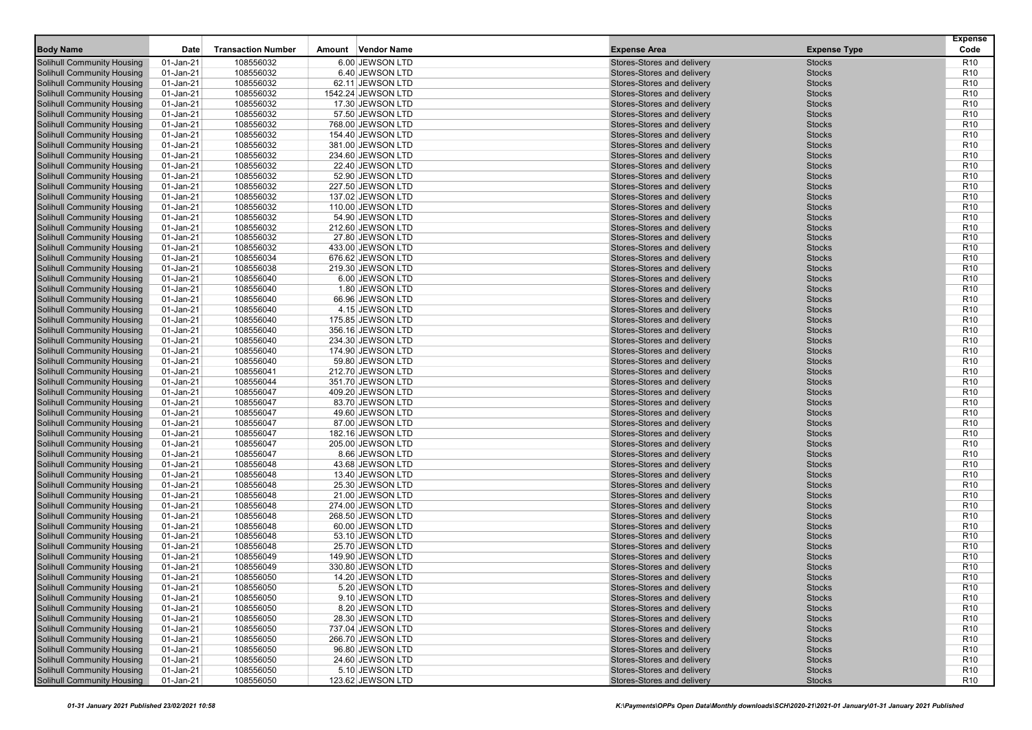|                                                                        |                        |                           |                                        |                                                          |                                | <b>Expense</b>                     |
|------------------------------------------------------------------------|------------------------|---------------------------|----------------------------------------|----------------------------------------------------------|--------------------------------|------------------------------------|
| <b>Body Name</b>                                                       | Date                   | <b>Transaction Number</b> | Amount Vendor Name                     | <b>Expense Area</b>                                      | <b>Expense Type</b>            | Code                               |
| <b>Solihull Community Housing</b>                                      | 01-Jan-21              | 108556032                 | 6.00 JEWSON LTD                        | Stores-Stores and delivery                               | <b>Stocks</b>                  | R <sub>10</sub>                    |
| Solihull Community Housing                                             | 01-Jan-21              | 108556032                 | 6.40 JEWSON LTD                        | Stores-Stores and delivery                               | <b>Stocks</b>                  | R <sub>10</sub>                    |
| <b>Solihull Community Housing</b>                                      | 01-Jan-21              | 108556032                 | 62.11 JEWSON LTD                       | Stores-Stores and delivery                               | <b>Stocks</b>                  | R <sub>10</sub>                    |
| <b>Solihull Community Housing</b>                                      | 01-Jan-21              | 108556032                 | 1542.24 JEWSON LTD                     | Stores-Stores and delivery                               | <b>Stocks</b>                  | R <sub>10</sub>                    |
| <b>Solihull Community Housing</b>                                      | 01-Jan-21              | 108556032                 | 17.30 JEWSON LTD                       | Stores-Stores and delivery                               | <b>Stocks</b>                  | R <sub>10</sub>                    |
| <b>Solihull Community Housing</b>                                      | 01-Jan-21              | 108556032                 | 57.50 JEWSON LTD                       | Stores-Stores and delivery                               | <b>Stocks</b>                  | R <sub>10</sub>                    |
| <b>Solihull Community Housing</b>                                      | 01-Jan-21              | 108556032                 | 768.00 JEWSON LTD                      | Stores-Stores and delivery                               | <b>Stocks</b>                  | R <sub>10</sub>                    |
| <b>Solihull Community Housing</b>                                      | 01-Jan-21              | 108556032                 | 154.40 JEWSON LTD                      | Stores-Stores and delivery                               | <b>Stocks</b>                  | R <sub>10</sub>                    |
| <b>Solihull Community Housing</b>                                      | 01-Jan-21              | 108556032                 | 381.00 JEWSON LTD                      | Stores-Stores and delivery                               | <b>Stocks</b>                  | R <sub>10</sub>                    |
| <b>Solihull Community Housing</b>                                      | 01-Jan-21              | 108556032                 | 234.60 JEWSON LTD                      | Stores-Stores and delivery                               | <b>Stocks</b>                  | R <sub>10</sub>                    |
| <b>Solihull Community Housing</b>                                      | 01-Jan-21              | 108556032                 | 22.40 JEWSON LTD                       | Stores-Stores and delivery                               | <b>Stocks</b>                  | R <sub>10</sub>                    |
| <b>Solihull Community Housing</b>                                      | 01-Jan-21              | 108556032                 | 52.90 JEWSON LTD                       | Stores-Stores and delivery                               | <b>Stocks</b>                  | R <sub>10</sub>                    |
| <b>Solihull Community Housing</b>                                      | 01-Jan-21              | 108556032                 | 227.50 JEWSON LTD                      | Stores-Stores and delivery                               | <b>Stocks</b>                  | R <sub>10</sub>                    |
| <b>Solihull Community Housing</b>                                      | 01-Jan-21              | 108556032                 | 137.02 JEWSON LTD                      | Stores-Stores and delivery                               | <b>Stocks</b>                  | R <sub>10</sub>                    |
| <b>Solihull Community Housing</b>                                      | 01-Jan-21              | 108556032                 | 110.00 JEWSON LTD                      | Stores-Stores and delivery                               | <b>Stocks</b>                  | R <sub>10</sub>                    |
| <b>Solihull Community Housing</b>                                      | 01-Jan-21              | 108556032                 | 54.90 JEWSON LTD                       | Stores-Stores and delivery                               | <b>Stocks</b>                  | R <sub>10</sub>                    |
| <b>Solihull Community Housing</b>                                      | 01-Jan-21              | 108556032                 | 212.60 JEWSON LTD                      | Stores-Stores and delivery                               | <b>Stocks</b>                  | R <sub>10</sub>                    |
| <b>Solihull Community Housing</b>                                      | 01-Jan-21              | 108556032                 | 27.80 JEWSON LTD                       | Stores-Stores and delivery                               | <b>Stocks</b>                  | R <sub>10</sub>                    |
| <b>Solihull Community Housing</b>                                      | 01-Jan-21              | 108556032                 | 433.00 JEWSON LTD                      | Stores-Stores and delivery                               | <b>Stocks</b>                  | R <sub>10</sub>                    |
| <b>Solihull Community Housing</b>                                      | 01-Jan-21              | 108556034                 | 676.62 JEWSON LTD                      | Stores-Stores and delivery                               | <b>Stocks</b>                  | R <sub>10</sub>                    |
| <b>Solihull Community Housing</b>                                      | 01-Jan-21              | 108556038                 | 219.30 JEWSON LTD                      | Stores-Stores and delivery                               | <b>Stocks</b>                  | R <sub>10</sub>                    |
| <b>Solihull Community Housing</b>                                      | 01-Jan-21              | 108556040                 | 6.00 JEWSON LTD                        | Stores-Stores and delivery                               | <b>Stocks</b>                  | R <sub>10</sub>                    |
| Solihull Community Housing                                             | 01-Jan-21              | 108556040                 | 1.80 JEWSON LTD                        | Stores-Stores and delivery                               | <b>Stocks</b>                  | R <sub>10</sub>                    |
| <b>Solihull Community Housing</b>                                      | 01-Jan-21              | 108556040                 | 66.96 JEWSON LTD                       | Stores-Stores and delivery                               | <b>Stocks</b>                  | R <sub>10</sub>                    |
| <b>Solihull Community Housing</b>                                      | 01-Jan-21              | 108556040                 | 4.15 JEWSON LTD                        | Stores-Stores and delivery                               | <b>Stocks</b>                  | R <sub>10</sub>                    |
| <b>Solihull Community Housing</b>                                      | 01-Jan-21              | 108556040                 | 175.85 JEWSON LTD                      | Stores-Stores and delivery                               | <b>Stocks</b>                  | R <sub>10</sub>                    |
| <b>Solihull Community Housing</b>                                      |                        | 108556040                 |                                        |                                                          |                                | R <sub>10</sub>                    |
|                                                                        | 01-Jan-21              |                           | 356.16 JEWSON LTD<br>234.30 JEWSON LTD | Stores-Stores and delivery<br>Stores-Stores and delivery | <b>Stocks</b>                  | R <sub>10</sub>                    |
| <b>Solihull Community Housing</b><br><b>Solihull Community Housing</b> | 01-Jan-21<br>01-Jan-21 | 108556040<br>108556040    |                                        | Stores-Stores and delivery                               | <b>Stocks</b><br><b>Stocks</b> | R <sub>10</sub>                    |
|                                                                        |                        | 108556040                 | 174.90 JEWSON LTD                      | Stores-Stores and delivery                               | <b>Stocks</b>                  | R <sub>10</sub>                    |
| <b>Solihull Community Housing</b><br><b>Solihull Community Housing</b> | 01-Jan-21<br>01-Jan-21 | 108556041                 | 59.80 JEWSON LTD                       | Stores-Stores and delivery                               | <b>Stocks</b>                  | R <sub>10</sub>                    |
|                                                                        |                        |                           | 212.70 JEWSON LTD                      | Stores-Stores and delivery                               |                                | R <sub>10</sub>                    |
| <b>Solihull Community Housing</b>                                      | 01-Jan-21              | 108556044                 | 351.70 JEWSON LTD                      |                                                          | <b>Stocks</b>                  |                                    |
| <b>Solihull Community Housing</b>                                      | 01-Jan-21              | 108556047                 | 409.20 JEWSON LTD                      | Stores-Stores and delivery                               | <b>Stocks</b>                  | R <sub>10</sub>                    |
| <b>Solihull Community Housing</b>                                      | 01-Jan-21              | 108556047                 | 83.70 JEWSON LTD                       | Stores-Stores and delivery                               | <b>Stocks</b>                  | R <sub>10</sub>                    |
| <b>Solihull Community Housing</b>                                      | 01-Jan-21              | 108556047                 | 49.60 JEWSON LTD                       | Stores-Stores and delivery                               | <b>Stocks</b>                  | R <sub>10</sub><br>R <sub>10</sub> |
| <b>Solihull Community Housing</b>                                      | 01-Jan-21              | 108556047                 | 87.00 JEWSON LTD                       | Stores-Stores and delivery                               | <b>Stocks</b>                  |                                    |
| <b>Solihull Community Housing</b>                                      | 01-Jan-21              | 108556047                 | 182.16 JEWSON LTD                      | Stores-Stores and delivery                               | <b>Stocks</b>                  | R <sub>10</sub>                    |
| <b>Solihull Community Housing</b>                                      | 01-Jan-21              | 108556047                 | 205.00 JEWSON LTD                      | Stores-Stores and delivery                               | <b>Stocks</b>                  | R <sub>10</sub>                    |
| <b>Solihull Community Housing</b>                                      | 01-Jan-21              | 108556047                 | 8.66 JEWSON LTD                        | Stores-Stores and delivery                               | <b>Stocks</b>                  | R <sub>10</sub>                    |
| <b>Solihull Community Housing</b>                                      | 01-Jan-21              | 108556048                 | 43.68 JEWSON LTD                       | Stores-Stores and delivery                               | <b>Stocks</b>                  | R <sub>10</sub>                    |
| <b>Solihull Community Housing</b>                                      | 01-Jan-21              | 108556048                 | 13.40 JEWSON LTD                       | Stores-Stores and delivery                               | <b>Stocks</b>                  | R <sub>10</sub>                    |
| <b>Solihull Community Housing</b>                                      | 01-Jan-21              | 108556048                 | 25.30 JEWSON LTD                       | Stores-Stores and delivery                               | <b>Stocks</b>                  | R <sub>10</sub>                    |
| <b>Solihull Community Housing</b>                                      | 01-Jan-21              | 108556048                 | 21.00 JEWSON LTD                       | Stores-Stores and delivery                               | <b>Stocks</b>                  | R <sub>10</sub>                    |
| <b>Solihull Community Housing</b>                                      | 01-Jan-21              | 108556048                 | 274.00 JEWSON LTD                      | Stores-Stores and delivery                               | <b>Stocks</b>                  | R <sub>10</sub>                    |
| <b>Solihull Community Housing</b>                                      | 01-Jan-21              | 108556048                 | 268.50 JEWSON LTD                      | Stores-Stores and delivery                               | <b>Stocks</b>                  | R <sub>10</sub>                    |
| <b>Solihull Community Housing</b>                                      | 01-Jan-21              | 108556048                 | 60.00 JEWSON LTD                       | Stores-Stores and delivery                               | <b>Stocks</b>                  | R <sub>10</sub>                    |
| <b>Solihull Community Housing</b>                                      | 01-Jan-21              | 108556048                 | 53.10 JEWSON LTD                       | Stores-Stores and delivery                               | <b>Stocks</b>                  | R <sub>10</sub>                    |
| <b>Solihull Community Housing</b>                                      | 01-Jan-21              | 108556048                 | 25.70 JEWSON LTD                       | Stores-Stores and delivery                               | <b>Stocks</b>                  | R <sub>10</sub>                    |
| <b>Solihull Community Housing</b>                                      | 01-Jan-21              | 108556049                 | 149.90 JEWSON LTD                      | Stores-Stores and delivery                               | <b>Stocks</b>                  | R <sub>10</sub>                    |
| <b>Solihull Community Housing</b>                                      | 01-Jan-21              | 108556049                 | 330.80 JEWSON LTD                      | Stores-Stores and delivery                               | <b>Stocks</b>                  | R <sub>10</sub>                    |
| <b>Solihull Community Housing</b>                                      | 01-Jan-21              | 108556050                 | 14.20 JEWSON LTD                       | Stores-Stores and delivery                               | <b>Stocks</b>                  | R <sub>10</sub>                    |
| <b>Solihull Community Housing</b>                                      | 01-Jan-21              | 108556050                 | 5.20 JEWSON LTD                        | Stores-Stores and delivery                               | <b>Stocks</b>                  | R <sub>10</sub>                    |
| <b>Solihull Community Housing</b>                                      | 01-Jan-21              | 108556050                 | 9.10 JEWSON LTD                        | Stores-Stores and delivery                               | <b>Stocks</b>                  | R <sub>10</sub>                    |
| <b>Solihull Community Housing</b>                                      | 01-Jan-21              | 108556050                 | 8.20 JEWSON LTD                        | Stores-Stores and delivery                               | <b>Stocks</b>                  | R <sub>10</sub>                    |
| <b>Solihull Community Housing</b>                                      | 01-Jan-21              | 108556050                 | 28.30 JEWSON LTD                       | Stores-Stores and delivery                               | <b>Stocks</b>                  | R <sub>10</sub>                    |
| <b>Solihull Community Housing</b>                                      | 01-Jan-21              | 108556050                 | 737.04 JEWSON LTD                      | Stores-Stores and delivery                               | <b>Stocks</b>                  | R <sub>10</sub>                    |
| <b>Solihull Community Housing</b>                                      | 01-Jan-21              | 108556050                 | 266.70 JEWSON LTD                      | Stores-Stores and delivery                               | <b>Stocks</b>                  | R <sub>10</sub>                    |
| <b>Solihull Community Housing</b>                                      | 01-Jan-21              | 108556050                 | 96.80 JEWSON LTD                       | Stores-Stores and delivery                               | <b>Stocks</b>                  | R <sub>10</sub>                    |
| <b>Solihull Community Housing</b>                                      | 01-Jan-21              | 108556050                 | 24.60 JEWSON LTD                       | Stores-Stores and delivery                               | <b>Stocks</b>                  | R <sub>10</sub>                    |
| <b>Solihull Community Housing</b>                                      | 01-Jan-21              | 108556050                 | 5.10 JEWSON LTD                        | Stores-Stores and delivery                               | <b>Stocks</b>                  | R <sub>10</sub>                    |
| <b>Solihull Community Housing</b>                                      | $01$ -Jan-21           | 108556050                 | 123.62 JEWSON LTD                      | Stores-Stores and delivery                               | <b>Stocks</b>                  | R <sub>10</sub>                    |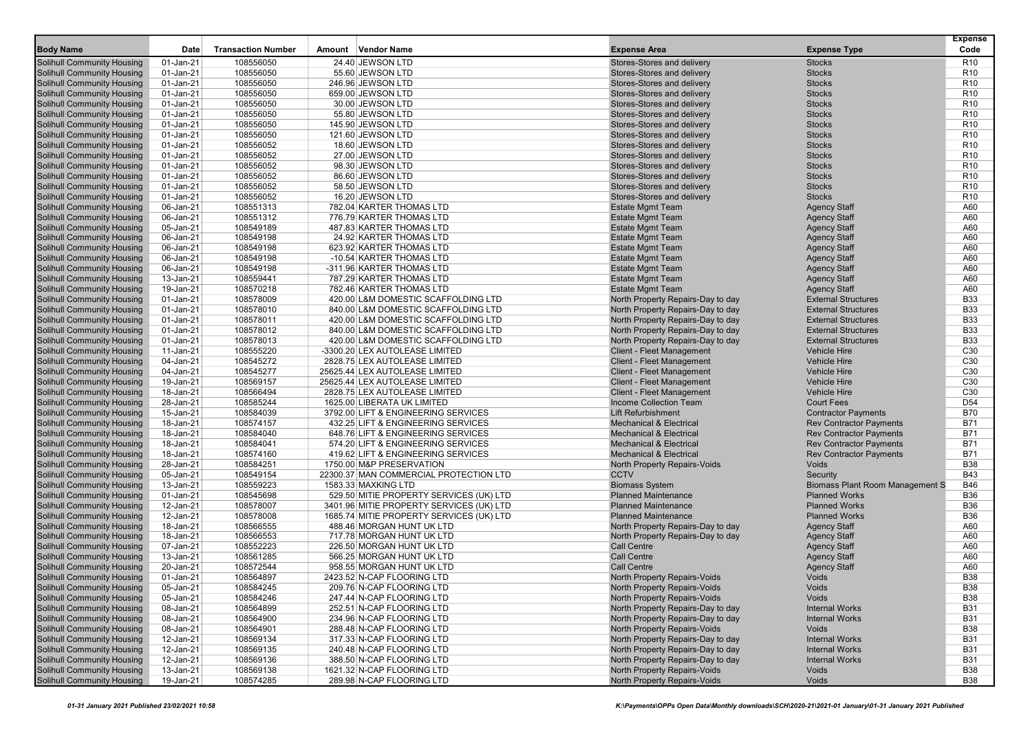| 24.40 JEWSON LTD<br><b>Solihull Community Housing</b><br>01-Jan-21<br>108556050<br>Stores-Stores and delivery<br><b>Stocks</b><br>108556050<br><b>Solihull Community Housing</b><br>01-Jan-21<br>55.60 JEWSON LTD<br>Stores-Stores and delivery<br><b>Stocks</b><br>108556050<br><b>Stocks</b><br><b>Solihull Community Housing</b><br>01-Jan-21<br>246.96 JEWSON LTD<br>Stores-Stores and delivery<br><b>Solihull Community Housing</b><br>01-Jan-21<br>108556050<br>Stores-Stores and delivery<br><b>Stocks</b><br>659.00 JEWSON LTD<br>108556050<br><b>Solihull Community Housing</b><br>01-Jan-21<br>30.00 JEWSON LTD<br>Stores-Stores and delivery<br><b>Stocks</b><br><b>Solihull Community Housing</b><br>01-Jan-21<br>108556050<br>55.80 JEWSON LTD<br>Stores-Stores and delivery<br><b>Stocks</b><br>108556050<br><b>Solihull Community Housing</b><br>01-Jan-21<br>145.90 JEWSON LTD<br>Stores-Stores and delivery<br><b>Stocks</b><br><b>Solihull Community Housing</b><br>01-Jan-21<br>108556050<br>121.60 JEWSON LTD<br>Stores-Stores and delivery<br><b>Stocks</b><br><b>Solihull Community Housing</b><br>01-Jan-21<br>108556052<br>Stores-Stores and delivery<br><b>Stocks</b><br>18.60 JEWSON LTD<br>108556052<br>Stores-Stores and delivery<br><b>Solihull Community Housing</b><br>01-Jan-21<br>27.00 JEWSON LTD<br><b>Stocks</b><br><b>Solihull Community Housing</b><br>01-Jan-21<br>108556052<br>98.30 JEWSON LTD<br>Stores-Stores and delivery<br><b>Stocks</b><br>108556052<br>Solihull Community Housing<br>01-Jan-21<br>86.60 JEWSON LTD<br>Stores-Stores and delivery<br><b>Stocks</b><br><b>Solihull Community Housing</b><br>01-Jan-21<br>108556052<br>58.50 JEWSON LTD<br>Stores-Stores and delivery<br><b>Stocks</b><br><b>Solihull Community Housing</b><br>01-Jan-21<br>108556052<br>Stores-Stores and delivery<br><b>Stocks</b><br>16.20 JEWSON LTD<br>108551313<br><b>Solihull Community Housing</b><br>06-Jan-21<br>782.04 KARTER THOMAS LTD<br><b>Estate Mgmt Team</b><br><b>Agency Staff</b><br><b>Solihull Community Housing</b><br>06-Jan-21<br>108551312<br>776.79 KARTER THOMAS LTD<br><b>Estate Mgmt Team</b><br><b>Agency Staff</b><br><b>Estate Mgmt Team</b><br><b>Solihull Community Housing</b><br>05-Jan-21<br>108549189<br>487.83 KARTER THOMAS LTD<br><b>Agency Staff</b><br><b>Solihull Community Housing</b><br>06-Jan-21<br>108549198<br>24.92 KARTER THOMAS LTD<br><b>Estate Mgmt Team</b><br><b>Agency Staff</b><br><b>Solihull Community Housing</b><br>06-Jan-21<br>108549198<br><b>Estate Mgmt Team</b><br><b>Agency Staff</b><br>623.92 KARTER THOMAS LTD<br>108549198<br><b>Solihull Community Housing</b><br>06-Jan-21<br>-10.54 KARTER THOMAS LTD<br><b>Estate Mgmt Team</b><br><b>Agency Staff</b><br><b>Solihull Community Housing</b><br>06-Jan-21<br>108549198<br>-311.96 KARTER THOMAS LTD<br><b>Estate Mgmt Team</b><br><b>Agency Staff</b><br>Solihull Community Housing<br>13-Jan-21<br>108559441<br>787.29 KARTER THOMAS LTD<br><b>Estate Mgmt Team</b><br><b>Agency Staff</b><br><b>Solihull Community Housing</b><br>19-Jan-21<br>108570218<br>782.46 KARTER THOMAS LTD<br><b>Estate Mgmt Team</b><br><b>Agency Staff</b><br><b>Solihull Community Housing</b><br>01-Jan-21<br>108578009<br>North Property Repairs-Day to day<br><b>External Structures</b><br>420.00 L&M DOMESTIC SCAFFOLDING LTD<br>108578010<br><b>External Structures</b><br><b>Solihull Community Housing</b><br>01-Jan-21<br>840.00 L&M DOMESTIC SCAFFOLDING LTD<br>North Property Repairs-Day to day<br><b>Solihull Community Housing</b><br>01-Jan-21<br>108578011<br>420.00 L&M DOMESTIC SCAFFOLDING LTD<br>North Property Repairs-Day to day<br><b>External Structures</b><br><b>Solihull Community Housing</b><br>01-Jan-21<br>108578012<br>840.00 L&M DOMESTIC SCAFFOLDING LTD<br>North Property Repairs-Day to day<br><b>External Structures</b><br><b>Solihull Community Housing</b><br>01-Jan-21<br>108578013<br>420.00 L&M DOMESTIC SCAFFOLDING LTD<br>North Property Repairs-Day to day<br><b>External Structures</b><br>Solihull Community Housing<br>11-Jan-21<br>108555220<br><b>Client - Fleet Management</b><br><b>Vehicle Hire</b><br>-3300.20 LEX AUTOLEASE LIMITED<br>108545272<br><b>Solihull Community Housing</b><br>04-Jan-21<br>2828.75 LEX AUTOLEASE LIMITED<br><b>Client - Fleet Management</b><br><b>Vehicle Hire</b><br><b>Solihull Community Housing</b><br>04-Jan-21<br>108545277<br>25625.44 LEX AUTOLEASE LIMITED<br><b>Client - Fleet Management</b><br><b>Vehicle Hire</b><br>108569157<br><b>Vehicle Hire</b><br><b>Solihull Community Housing</b><br>19-Jan-21<br>25625.44 LEX AUTOLEASE LIMITED<br><b>Client - Fleet Management</b><br><b>Solihull Community Housing</b><br>18-Jan-21<br>108566494<br>2828.75 LEX AUTOLEASE LIMITED<br><b>Client - Fleet Management</b><br><b>Vehicle Hire</b><br>108585244<br><b>Solihull Community Housing</b><br>28-Jan-21<br>1625.00 LIBERATA UK LIMITED<br>Income Collection Team<br><b>Court Fees</b><br>108584039<br><b>Solihull Community Housing</b><br>15-Jan-21<br>3792.00 LIFT & ENGINEERING SERVICES<br><b>Lift Refurbishment</b><br><b>Contractor Payments</b><br><b>Solihull Community Housing</b><br>18-Jan-21<br>108574157<br>432.25 LIFT & ENGINEERING SERVICES<br><b>Mechanical &amp; Electrical</b><br><b>Rev Contractor Payments</b><br><b>Solihull Community Housing</b><br>18-Jan-21<br>108584040<br>648.76 LIFT & ENGINEERING SERVICES<br><b>Mechanical &amp; Electrical</b><br><b>Rev Contractor Payments</b><br><b>Solihull Community Housing</b><br>18-Jan-21<br>108584041<br>574.20 LIFT & ENGINEERING SERVICES<br><b>Mechanical &amp; Electrical</b><br><b>Rev Contractor Payments</b><br><b>Solihull Community Housing</b><br>18-Jan-21<br>108574160<br>419.62 LIFT & ENGINEERING SERVICES<br><b>Mechanical &amp; Electrical</b><br><b>Rev Contractor Payments</b><br>Voids<br><b>Solihull Community Housing</b><br>28-Jan-21<br>108584251<br>1750.00 M&P PRESERVATION<br><b>North Property Repairs-Voids</b><br><b>Solihull Community Housing</b><br>05-Jan-21<br>108549154<br>22300.37 MAN COMMERCIAL PROTECTION LTD<br><b>CCTV</b><br>Security<br>108559223<br><b>Solihull Community Housing</b><br>13-Jan-21<br>1583.33 MAXKING LTD<br><b>Biomass System</b><br><b>Biomass Plant Room Management S</b><br><b>Solihull Community Housing</b><br>01-Jan-21<br>108545698<br>529.50 MITIE PROPERTY SERVICES (UK) LTD<br><b>Planned Maintenance</b><br><b>Planned Works</b><br><b>Solihull Community Housing</b><br>12-Jan-21<br>108578007<br>3401.96 MITIE PROPERTY SERVICES (UK) LTD<br><b>Planned Maintenance</b><br><b>Planned Works</b><br>108578008<br><b>Solihull Community Housing</b><br>12-Jan-21<br>1685.74 MITIE PROPERTY SERVICES (UK) LTD<br><b>Planned Maintenance</b><br><b>Planned Works</b><br>Solihull Community Housing<br>108566555<br>488.46 MORGAN HUNT UK LTD<br><b>Agency Staff</b><br>18-Jan-21<br>North Property Repairs-Day to day<br>108566553<br><b>Solihull Community Housing</b><br>18-Jan-21<br>717.78 MORGAN HUNT UK LTD<br><b>Agency Staff</b><br>North Property Repairs-Day to day<br><b>Solihull Community Housing</b><br>07-Jan-21<br>108552223<br>226.50 MORGAN HUNT UK LTD<br><b>Call Centre</b><br><b>Agency Staff</b><br><b>Solihull Community Housing</b><br><b>Call Centre</b><br>13-Jan-21<br>108561285<br>566.25 MORGAN HUNT UK LTD<br><b>Agency Staff</b><br>108572544<br><b>Solihull Community Housing</b><br>20-Jan-21<br>958.55 MORGAN HUNT UK LTD<br><b>Call Centre</b><br><b>Agency Staff</b><br><b>Solihull Community Housing</b><br>01-Jan-21<br>108564897<br>2423.52 N-CAP FLOORING LTD<br>Voids<br><b>North Property Repairs-Voids</b><br><b>Solihull Community Housing</b><br>North Property Repairs-Voids<br>Voids<br>05-Jan-21<br>108584245<br>209.76 N-CAP FLOORING LTD<br><b>Solihull Community Housing</b><br>05-Jan-21<br>108584246<br>247.44 N-CAP FLOORING LTD<br>North Property Repairs-Voids<br>Voids<br><b>Solihull Community Housing</b><br>108564899<br>08-Jan-21<br>252.51 N-CAP FLOORING LTD<br>North Property Repairs-Day to day<br><b>Internal Works</b><br><b>Solihull Community Housing</b><br>108564900<br>08-Jan-21<br>234.96 N-CAP FLOORING LTD<br>North Property Repairs-Day to day<br><b>Internal Works</b> |                                   |           |                           |                           |                              |                     | <b>Expense</b>  |
|------------------------------------------------------------------------------------------------------------------------------------------------------------------------------------------------------------------------------------------------------------------------------------------------------------------------------------------------------------------------------------------------------------------------------------------------------------------------------------------------------------------------------------------------------------------------------------------------------------------------------------------------------------------------------------------------------------------------------------------------------------------------------------------------------------------------------------------------------------------------------------------------------------------------------------------------------------------------------------------------------------------------------------------------------------------------------------------------------------------------------------------------------------------------------------------------------------------------------------------------------------------------------------------------------------------------------------------------------------------------------------------------------------------------------------------------------------------------------------------------------------------------------------------------------------------------------------------------------------------------------------------------------------------------------------------------------------------------------------------------------------------------------------------------------------------------------------------------------------------------------------------------------------------------------------------------------------------------------------------------------------------------------------------------------------------------------------------------------------------------------------------------------------------------------------------------------------------------------------------------------------------------------------------------------------------------------------------------------------------------------------------------------------------------------------------------------------------------------------------------------------------------------------------------------------------------------------------------------------------------------------------------------------------------------------------------------------------------------------------------------------------------------------------------------------------------------------------------------------------------------------------------------------------------------------------------------------------------------------------------------------------------------------------------------------------------------------------------------------------------------------------------------------------------------------------------------------------------------------------------------------------------------------------------------------------------------------------------------------------------------------------------------------------------------------------------------------------------------------------------------------------------------------------------------------------------------------------------------------------------------------------------------------------------------------------------------------------------------------------------------------------------------------------------------------------------------------------------------------------------------------------------------------------------------------------------------------------------------------------------------------------------------------------------------------------------------------------------------------------------------------------------------------------------------------------------------------------------------------------------------------------------------------------------------------------------------------------------------------------------------------------------------------------------------------------------------------------------------------------------------------------------------------------------------------------------------------------------------------------------------------------------------------------------------------------------------------------------------------------------------------------------------------------------------------------------------------------------------------------------------------------------------------------------------------------------------------------------------------------------------------------------------------------------------------------------------------------------------------------------------------------------------------------------------------------------------------------------------------------------------------------------------------------------------------------------------------------------------------------------------------------------------------------------------------------------------------------------------------------------------------------------------------------------------------------------------------------------------------------------------------------------------------------------------------------------------------------------------------------------------------------------------------------------------------------------------------------------------------------------------------------------------------------------------------------------------------------------------------------------------------------------------------------------------------------------------------------------------------------------------------------------------------------------------------------------------------------------------------------------------------------------------------------------------------------------------------------------------------------------------------------------------------------------------------------------------------------------------------------------------------------------------------------------------------------------------------------------------------------------------------------------------------------------------------------------------------------------------------------------------------------------------------------------------------------------------------------------------------------------------------------------------------------------------------------------------------------------------------------------------------------------------------------------------------------------------------------------------------------------------------------------------------------------------------------------------------------------------------------------------------------------------------------------------------------------------------------------------------------------------------------------------------------------------------------------------------------------------------------------------------------------------------------------------------------------------------------------------------------------------------------------------------------------------------------------------------------------------------------------------------------------------------------------------------------------------------------------------------------------------------------------------------------------------------------------------------------------------------------------------------------------------------------------------------------------------------------------------------------------------------------------------------------------------------------------------------------------------------------------------------------------------------------------------------------------------------------------|-----------------------------------|-----------|---------------------------|---------------------------|------------------------------|---------------------|-----------------|
|                                                                                                                                                                                                                                                                                                                                                                                                                                                                                                                                                                                                                                                                                                                                                                                                                                                                                                                                                                                                                                                                                                                                                                                                                                                                                                                                                                                                                                                                                                                                                                                                                                                                                                                                                                                                                                                                                                                                                                                                                                                                                                                                                                                                                                                                                                                                                                                                                                                                                                                                                                                                                                                                                                                                                                                                                                                                                                                                                                                                                                                                                                                                                                                                                                                                                                                                                                                                                                                                                                                                                                                                                                                                                                                                                                                                                                                                                                                                                                                                                                                                                                                                                                                                                                                                                                                                                                                                                                                                                                                                                                                                                                                                                                                                                                                                                                                                                                                                                                                                                                                                                                                                                                                                                                                                                                                                                                                                                                                                                                                                                                                                                                                                                                                                                                                                                                                                                                                                                                                                                                                                                                                                                                                                                                                                                                                                                                                                                                                                                                                                                                                                                                                                                                                                                                                                                                                                                                                                                                                                                                                                                                                                                                                                                                                                                                                                                                                                                                                                                                                                                                                                                                                                                                                                                                                                                                                                                                                                                                                                                                                                                                                                                                                                                                                                                                                                                | <b>Body Name</b>                  | Date      | <b>Transaction Number</b> | Amount Vendor Name        | <b>Expense Area</b>          | <b>Expense Type</b> | Code            |
|                                                                                                                                                                                                                                                                                                                                                                                                                                                                                                                                                                                                                                                                                                                                                                                                                                                                                                                                                                                                                                                                                                                                                                                                                                                                                                                                                                                                                                                                                                                                                                                                                                                                                                                                                                                                                                                                                                                                                                                                                                                                                                                                                                                                                                                                                                                                                                                                                                                                                                                                                                                                                                                                                                                                                                                                                                                                                                                                                                                                                                                                                                                                                                                                                                                                                                                                                                                                                                                                                                                                                                                                                                                                                                                                                                                                                                                                                                                                                                                                                                                                                                                                                                                                                                                                                                                                                                                                                                                                                                                                                                                                                                                                                                                                                                                                                                                                                                                                                                                                                                                                                                                                                                                                                                                                                                                                                                                                                                                                                                                                                                                                                                                                                                                                                                                                                                                                                                                                                                                                                                                                                                                                                                                                                                                                                                                                                                                                                                                                                                                                                                                                                                                                                                                                                                                                                                                                                                                                                                                                                                                                                                                                                                                                                                                                                                                                                                                                                                                                                                                                                                                                                                                                                                                                                                                                                                                                                                                                                                                                                                                                                                                                                                                                                                                                                                                                                |                                   |           |                           |                           |                              |                     | R <sub>10</sub> |
|                                                                                                                                                                                                                                                                                                                                                                                                                                                                                                                                                                                                                                                                                                                                                                                                                                                                                                                                                                                                                                                                                                                                                                                                                                                                                                                                                                                                                                                                                                                                                                                                                                                                                                                                                                                                                                                                                                                                                                                                                                                                                                                                                                                                                                                                                                                                                                                                                                                                                                                                                                                                                                                                                                                                                                                                                                                                                                                                                                                                                                                                                                                                                                                                                                                                                                                                                                                                                                                                                                                                                                                                                                                                                                                                                                                                                                                                                                                                                                                                                                                                                                                                                                                                                                                                                                                                                                                                                                                                                                                                                                                                                                                                                                                                                                                                                                                                                                                                                                                                                                                                                                                                                                                                                                                                                                                                                                                                                                                                                                                                                                                                                                                                                                                                                                                                                                                                                                                                                                                                                                                                                                                                                                                                                                                                                                                                                                                                                                                                                                                                                                                                                                                                                                                                                                                                                                                                                                                                                                                                                                                                                                                                                                                                                                                                                                                                                                                                                                                                                                                                                                                                                                                                                                                                                                                                                                                                                                                                                                                                                                                                                                                                                                                                                                                                                                                                                |                                   |           |                           |                           |                              |                     | R <sub>10</sub> |
|                                                                                                                                                                                                                                                                                                                                                                                                                                                                                                                                                                                                                                                                                                                                                                                                                                                                                                                                                                                                                                                                                                                                                                                                                                                                                                                                                                                                                                                                                                                                                                                                                                                                                                                                                                                                                                                                                                                                                                                                                                                                                                                                                                                                                                                                                                                                                                                                                                                                                                                                                                                                                                                                                                                                                                                                                                                                                                                                                                                                                                                                                                                                                                                                                                                                                                                                                                                                                                                                                                                                                                                                                                                                                                                                                                                                                                                                                                                                                                                                                                                                                                                                                                                                                                                                                                                                                                                                                                                                                                                                                                                                                                                                                                                                                                                                                                                                                                                                                                                                                                                                                                                                                                                                                                                                                                                                                                                                                                                                                                                                                                                                                                                                                                                                                                                                                                                                                                                                                                                                                                                                                                                                                                                                                                                                                                                                                                                                                                                                                                                                                                                                                                                                                                                                                                                                                                                                                                                                                                                                                                                                                                                                                                                                                                                                                                                                                                                                                                                                                                                                                                                                                                                                                                                                                                                                                                                                                                                                                                                                                                                                                                                                                                                                                                                                                                                                                |                                   |           |                           |                           |                              |                     | R <sub>10</sub> |
|                                                                                                                                                                                                                                                                                                                                                                                                                                                                                                                                                                                                                                                                                                                                                                                                                                                                                                                                                                                                                                                                                                                                                                                                                                                                                                                                                                                                                                                                                                                                                                                                                                                                                                                                                                                                                                                                                                                                                                                                                                                                                                                                                                                                                                                                                                                                                                                                                                                                                                                                                                                                                                                                                                                                                                                                                                                                                                                                                                                                                                                                                                                                                                                                                                                                                                                                                                                                                                                                                                                                                                                                                                                                                                                                                                                                                                                                                                                                                                                                                                                                                                                                                                                                                                                                                                                                                                                                                                                                                                                                                                                                                                                                                                                                                                                                                                                                                                                                                                                                                                                                                                                                                                                                                                                                                                                                                                                                                                                                                                                                                                                                                                                                                                                                                                                                                                                                                                                                                                                                                                                                                                                                                                                                                                                                                                                                                                                                                                                                                                                                                                                                                                                                                                                                                                                                                                                                                                                                                                                                                                                                                                                                                                                                                                                                                                                                                                                                                                                                                                                                                                                                                                                                                                                                                                                                                                                                                                                                                                                                                                                                                                                                                                                                                                                                                                                                                |                                   |           |                           |                           |                              |                     | R <sub>10</sub> |
|                                                                                                                                                                                                                                                                                                                                                                                                                                                                                                                                                                                                                                                                                                                                                                                                                                                                                                                                                                                                                                                                                                                                                                                                                                                                                                                                                                                                                                                                                                                                                                                                                                                                                                                                                                                                                                                                                                                                                                                                                                                                                                                                                                                                                                                                                                                                                                                                                                                                                                                                                                                                                                                                                                                                                                                                                                                                                                                                                                                                                                                                                                                                                                                                                                                                                                                                                                                                                                                                                                                                                                                                                                                                                                                                                                                                                                                                                                                                                                                                                                                                                                                                                                                                                                                                                                                                                                                                                                                                                                                                                                                                                                                                                                                                                                                                                                                                                                                                                                                                                                                                                                                                                                                                                                                                                                                                                                                                                                                                                                                                                                                                                                                                                                                                                                                                                                                                                                                                                                                                                                                                                                                                                                                                                                                                                                                                                                                                                                                                                                                                                                                                                                                                                                                                                                                                                                                                                                                                                                                                                                                                                                                                                                                                                                                                                                                                                                                                                                                                                                                                                                                                                                                                                                                                                                                                                                                                                                                                                                                                                                                                                                                                                                                                                                                                                                                                                |                                   |           |                           |                           |                              |                     | R <sub>10</sub> |
|                                                                                                                                                                                                                                                                                                                                                                                                                                                                                                                                                                                                                                                                                                                                                                                                                                                                                                                                                                                                                                                                                                                                                                                                                                                                                                                                                                                                                                                                                                                                                                                                                                                                                                                                                                                                                                                                                                                                                                                                                                                                                                                                                                                                                                                                                                                                                                                                                                                                                                                                                                                                                                                                                                                                                                                                                                                                                                                                                                                                                                                                                                                                                                                                                                                                                                                                                                                                                                                                                                                                                                                                                                                                                                                                                                                                                                                                                                                                                                                                                                                                                                                                                                                                                                                                                                                                                                                                                                                                                                                                                                                                                                                                                                                                                                                                                                                                                                                                                                                                                                                                                                                                                                                                                                                                                                                                                                                                                                                                                                                                                                                                                                                                                                                                                                                                                                                                                                                                                                                                                                                                                                                                                                                                                                                                                                                                                                                                                                                                                                                                                                                                                                                                                                                                                                                                                                                                                                                                                                                                                                                                                                                                                                                                                                                                                                                                                                                                                                                                                                                                                                                                                                                                                                                                                                                                                                                                                                                                                                                                                                                                                                                                                                                                                                                                                                                                                |                                   |           |                           |                           |                              |                     | R <sub>10</sub> |
|                                                                                                                                                                                                                                                                                                                                                                                                                                                                                                                                                                                                                                                                                                                                                                                                                                                                                                                                                                                                                                                                                                                                                                                                                                                                                                                                                                                                                                                                                                                                                                                                                                                                                                                                                                                                                                                                                                                                                                                                                                                                                                                                                                                                                                                                                                                                                                                                                                                                                                                                                                                                                                                                                                                                                                                                                                                                                                                                                                                                                                                                                                                                                                                                                                                                                                                                                                                                                                                                                                                                                                                                                                                                                                                                                                                                                                                                                                                                                                                                                                                                                                                                                                                                                                                                                                                                                                                                                                                                                                                                                                                                                                                                                                                                                                                                                                                                                                                                                                                                                                                                                                                                                                                                                                                                                                                                                                                                                                                                                                                                                                                                                                                                                                                                                                                                                                                                                                                                                                                                                                                                                                                                                                                                                                                                                                                                                                                                                                                                                                                                                                                                                                                                                                                                                                                                                                                                                                                                                                                                                                                                                                                                                                                                                                                                                                                                                                                                                                                                                                                                                                                                                                                                                                                                                                                                                                                                                                                                                                                                                                                                                                                                                                                                                                                                                                                                                |                                   |           |                           |                           |                              |                     | R <sub>10</sub> |
|                                                                                                                                                                                                                                                                                                                                                                                                                                                                                                                                                                                                                                                                                                                                                                                                                                                                                                                                                                                                                                                                                                                                                                                                                                                                                                                                                                                                                                                                                                                                                                                                                                                                                                                                                                                                                                                                                                                                                                                                                                                                                                                                                                                                                                                                                                                                                                                                                                                                                                                                                                                                                                                                                                                                                                                                                                                                                                                                                                                                                                                                                                                                                                                                                                                                                                                                                                                                                                                                                                                                                                                                                                                                                                                                                                                                                                                                                                                                                                                                                                                                                                                                                                                                                                                                                                                                                                                                                                                                                                                                                                                                                                                                                                                                                                                                                                                                                                                                                                                                                                                                                                                                                                                                                                                                                                                                                                                                                                                                                                                                                                                                                                                                                                                                                                                                                                                                                                                                                                                                                                                                                                                                                                                                                                                                                                                                                                                                                                                                                                                                                                                                                                                                                                                                                                                                                                                                                                                                                                                                                                                                                                                                                                                                                                                                                                                                                                                                                                                                                                                                                                                                                                                                                                                                                                                                                                                                                                                                                                                                                                                                                                                                                                                                                                                                                                                                                |                                   |           |                           |                           |                              |                     | R <sub>10</sub> |
|                                                                                                                                                                                                                                                                                                                                                                                                                                                                                                                                                                                                                                                                                                                                                                                                                                                                                                                                                                                                                                                                                                                                                                                                                                                                                                                                                                                                                                                                                                                                                                                                                                                                                                                                                                                                                                                                                                                                                                                                                                                                                                                                                                                                                                                                                                                                                                                                                                                                                                                                                                                                                                                                                                                                                                                                                                                                                                                                                                                                                                                                                                                                                                                                                                                                                                                                                                                                                                                                                                                                                                                                                                                                                                                                                                                                                                                                                                                                                                                                                                                                                                                                                                                                                                                                                                                                                                                                                                                                                                                                                                                                                                                                                                                                                                                                                                                                                                                                                                                                                                                                                                                                                                                                                                                                                                                                                                                                                                                                                                                                                                                                                                                                                                                                                                                                                                                                                                                                                                                                                                                                                                                                                                                                                                                                                                                                                                                                                                                                                                                                                                                                                                                                                                                                                                                                                                                                                                                                                                                                                                                                                                                                                                                                                                                                                                                                                                                                                                                                                                                                                                                                                                                                                                                                                                                                                                                                                                                                                                                                                                                                                                                                                                                                                                                                                                                                                |                                   |           |                           |                           |                              |                     | R <sub>10</sub> |
|                                                                                                                                                                                                                                                                                                                                                                                                                                                                                                                                                                                                                                                                                                                                                                                                                                                                                                                                                                                                                                                                                                                                                                                                                                                                                                                                                                                                                                                                                                                                                                                                                                                                                                                                                                                                                                                                                                                                                                                                                                                                                                                                                                                                                                                                                                                                                                                                                                                                                                                                                                                                                                                                                                                                                                                                                                                                                                                                                                                                                                                                                                                                                                                                                                                                                                                                                                                                                                                                                                                                                                                                                                                                                                                                                                                                                                                                                                                                                                                                                                                                                                                                                                                                                                                                                                                                                                                                                                                                                                                                                                                                                                                                                                                                                                                                                                                                                                                                                                                                                                                                                                                                                                                                                                                                                                                                                                                                                                                                                                                                                                                                                                                                                                                                                                                                                                                                                                                                                                                                                                                                                                                                                                                                                                                                                                                                                                                                                                                                                                                                                                                                                                                                                                                                                                                                                                                                                                                                                                                                                                                                                                                                                                                                                                                                                                                                                                                                                                                                                                                                                                                                                                                                                                                                                                                                                                                                                                                                                                                                                                                                                                                                                                                                                                                                                                                                                |                                   |           |                           |                           |                              |                     | R <sub>10</sub> |
|                                                                                                                                                                                                                                                                                                                                                                                                                                                                                                                                                                                                                                                                                                                                                                                                                                                                                                                                                                                                                                                                                                                                                                                                                                                                                                                                                                                                                                                                                                                                                                                                                                                                                                                                                                                                                                                                                                                                                                                                                                                                                                                                                                                                                                                                                                                                                                                                                                                                                                                                                                                                                                                                                                                                                                                                                                                                                                                                                                                                                                                                                                                                                                                                                                                                                                                                                                                                                                                                                                                                                                                                                                                                                                                                                                                                                                                                                                                                                                                                                                                                                                                                                                                                                                                                                                                                                                                                                                                                                                                                                                                                                                                                                                                                                                                                                                                                                                                                                                                                                                                                                                                                                                                                                                                                                                                                                                                                                                                                                                                                                                                                                                                                                                                                                                                                                                                                                                                                                                                                                                                                                                                                                                                                                                                                                                                                                                                                                                                                                                                                                                                                                                                                                                                                                                                                                                                                                                                                                                                                                                                                                                                                                                                                                                                                                                                                                                                                                                                                                                                                                                                                                                                                                                                                                                                                                                                                                                                                                                                                                                                                                                                                                                                                                                                                                                                                                |                                   |           |                           |                           |                              |                     | R <sub>10</sub> |
|                                                                                                                                                                                                                                                                                                                                                                                                                                                                                                                                                                                                                                                                                                                                                                                                                                                                                                                                                                                                                                                                                                                                                                                                                                                                                                                                                                                                                                                                                                                                                                                                                                                                                                                                                                                                                                                                                                                                                                                                                                                                                                                                                                                                                                                                                                                                                                                                                                                                                                                                                                                                                                                                                                                                                                                                                                                                                                                                                                                                                                                                                                                                                                                                                                                                                                                                                                                                                                                                                                                                                                                                                                                                                                                                                                                                                                                                                                                                                                                                                                                                                                                                                                                                                                                                                                                                                                                                                                                                                                                                                                                                                                                                                                                                                                                                                                                                                                                                                                                                                                                                                                                                                                                                                                                                                                                                                                                                                                                                                                                                                                                                                                                                                                                                                                                                                                                                                                                                                                                                                                                                                                                                                                                                                                                                                                                                                                                                                                                                                                                                                                                                                                                                                                                                                                                                                                                                                                                                                                                                                                                                                                                                                                                                                                                                                                                                                                                                                                                                                                                                                                                                                                                                                                                                                                                                                                                                                                                                                                                                                                                                                                                                                                                                                                                                                                                                                |                                   |           |                           |                           |                              |                     | R <sub>10</sub> |
|                                                                                                                                                                                                                                                                                                                                                                                                                                                                                                                                                                                                                                                                                                                                                                                                                                                                                                                                                                                                                                                                                                                                                                                                                                                                                                                                                                                                                                                                                                                                                                                                                                                                                                                                                                                                                                                                                                                                                                                                                                                                                                                                                                                                                                                                                                                                                                                                                                                                                                                                                                                                                                                                                                                                                                                                                                                                                                                                                                                                                                                                                                                                                                                                                                                                                                                                                                                                                                                                                                                                                                                                                                                                                                                                                                                                                                                                                                                                                                                                                                                                                                                                                                                                                                                                                                                                                                                                                                                                                                                                                                                                                                                                                                                                                                                                                                                                                                                                                                                                                                                                                                                                                                                                                                                                                                                                                                                                                                                                                                                                                                                                                                                                                                                                                                                                                                                                                                                                                                                                                                                                                                                                                                                                                                                                                                                                                                                                                                                                                                                                                                                                                                                                                                                                                                                                                                                                                                                                                                                                                                                                                                                                                                                                                                                                                                                                                                                                                                                                                                                                                                                                                                                                                                                                                                                                                                                                                                                                                                                                                                                                                                                                                                                                                                                                                                                                                |                                   |           |                           |                           |                              |                     | R <sub>10</sub> |
|                                                                                                                                                                                                                                                                                                                                                                                                                                                                                                                                                                                                                                                                                                                                                                                                                                                                                                                                                                                                                                                                                                                                                                                                                                                                                                                                                                                                                                                                                                                                                                                                                                                                                                                                                                                                                                                                                                                                                                                                                                                                                                                                                                                                                                                                                                                                                                                                                                                                                                                                                                                                                                                                                                                                                                                                                                                                                                                                                                                                                                                                                                                                                                                                                                                                                                                                                                                                                                                                                                                                                                                                                                                                                                                                                                                                                                                                                                                                                                                                                                                                                                                                                                                                                                                                                                                                                                                                                                                                                                                                                                                                                                                                                                                                                                                                                                                                                                                                                                                                                                                                                                                                                                                                                                                                                                                                                                                                                                                                                                                                                                                                                                                                                                                                                                                                                                                                                                                                                                                                                                                                                                                                                                                                                                                                                                                                                                                                                                                                                                                                                                                                                                                                                                                                                                                                                                                                                                                                                                                                                                                                                                                                                                                                                                                                                                                                                                                                                                                                                                                                                                                                                                                                                                                                                                                                                                                                                                                                                                                                                                                                                                                                                                                                                                                                                                                                                |                                   |           |                           |                           |                              |                     | R <sub>10</sub> |
|                                                                                                                                                                                                                                                                                                                                                                                                                                                                                                                                                                                                                                                                                                                                                                                                                                                                                                                                                                                                                                                                                                                                                                                                                                                                                                                                                                                                                                                                                                                                                                                                                                                                                                                                                                                                                                                                                                                                                                                                                                                                                                                                                                                                                                                                                                                                                                                                                                                                                                                                                                                                                                                                                                                                                                                                                                                                                                                                                                                                                                                                                                                                                                                                                                                                                                                                                                                                                                                                                                                                                                                                                                                                                                                                                                                                                                                                                                                                                                                                                                                                                                                                                                                                                                                                                                                                                                                                                                                                                                                                                                                                                                                                                                                                                                                                                                                                                                                                                                                                                                                                                                                                                                                                                                                                                                                                                                                                                                                                                                                                                                                                                                                                                                                                                                                                                                                                                                                                                                                                                                                                                                                                                                                                                                                                                                                                                                                                                                                                                                                                                                                                                                                                                                                                                                                                                                                                                                                                                                                                                                                                                                                                                                                                                                                                                                                                                                                                                                                                                                                                                                                                                                                                                                                                                                                                                                                                                                                                                                                                                                                                                                                                                                                                                                                                                                                                                |                                   |           |                           |                           |                              |                     | A60             |
|                                                                                                                                                                                                                                                                                                                                                                                                                                                                                                                                                                                                                                                                                                                                                                                                                                                                                                                                                                                                                                                                                                                                                                                                                                                                                                                                                                                                                                                                                                                                                                                                                                                                                                                                                                                                                                                                                                                                                                                                                                                                                                                                                                                                                                                                                                                                                                                                                                                                                                                                                                                                                                                                                                                                                                                                                                                                                                                                                                                                                                                                                                                                                                                                                                                                                                                                                                                                                                                                                                                                                                                                                                                                                                                                                                                                                                                                                                                                                                                                                                                                                                                                                                                                                                                                                                                                                                                                                                                                                                                                                                                                                                                                                                                                                                                                                                                                                                                                                                                                                                                                                                                                                                                                                                                                                                                                                                                                                                                                                                                                                                                                                                                                                                                                                                                                                                                                                                                                                                                                                                                                                                                                                                                                                                                                                                                                                                                                                                                                                                                                                                                                                                                                                                                                                                                                                                                                                                                                                                                                                                                                                                                                                                                                                                                                                                                                                                                                                                                                                                                                                                                                                                                                                                                                                                                                                                                                                                                                                                                                                                                                                                                                                                                                                                                                                                                                                |                                   |           |                           |                           |                              |                     | A60             |
|                                                                                                                                                                                                                                                                                                                                                                                                                                                                                                                                                                                                                                                                                                                                                                                                                                                                                                                                                                                                                                                                                                                                                                                                                                                                                                                                                                                                                                                                                                                                                                                                                                                                                                                                                                                                                                                                                                                                                                                                                                                                                                                                                                                                                                                                                                                                                                                                                                                                                                                                                                                                                                                                                                                                                                                                                                                                                                                                                                                                                                                                                                                                                                                                                                                                                                                                                                                                                                                                                                                                                                                                                                                                                                                                                                                                                                                                                                                                                                                                                                                                                                                                                                                                                                                                                                                                                                                                                                                                                                                                                                                                                                                                                                                                                                                                                                                                                                                                                                                                                                                                                                                                                                                                                                                                                                                                                                                                                                                                                                                                                                                                                                                                                                                                                                                                                                                                                                                                                                                                                                                                                                                                                                                                                                                                                                                                                                                                                                                                                                                                                                                                                                                                                                                                                                                                                                                                                                                                                                                                                                                                                                                                                                                                                                                                                                                                                                                                                                                                                                                                                                                                                                                                                                                                                                                                                                                                                                                                                                                                                                                                                                                                                                                                                                                                                                                                                |                                   |           |                           |                           |                              |                     | A60             |
|                                                                                                                                                                                                                                                                                                                                                                                                                                                                                                                                                                                                                                                                                                                                                                                                                                                                                                                                                                                                                                                                                                                                                                                                                                                                                                                                                                                                                                                                                                                                                                                                                                                                                                                                                                                                                                                                                                                                                                                                                                                                                                                                                                                                                                                                                                                                                                                                                                                                                                                                                                                                                                                                                                                                                                                                                                                                                                                                                                                                                                                                                                                                                                                                                                                                                                                                                                                                                                                                                                                                                                                                                                                                                                                                                                                                                                                                                                                                                                                                                                                                                                                                                                                                                                                                                                                                                                                                                                                                                                                                                                                                                                                                                                                                                                                                                                                                                                                                                                                                                                                                                                                                                                                                                                                                                                                                                                                                                                                                                                                                                                                                                                                                                                                                                                                                                                                                                                                                                                                                                                                                                                                                                                                                                                                                                                                                                                                                                                                                                                                                                                                                                                                                                                                                                                                                                                                                                                                                                                                                                                                                                                                                                                                                                                                                                                                                                                                                                                                                                                                                                                                                                                                                                                                                                                                                                                                                                                                                                                                                                                                                                                                                                                                                                                                                                                                                                |                                   |           |                           |                           |                              |                     | A60             |
|                                                                                                                                                                                                                                                                                                                                                                                                                                                                                                                                                                                                                                                                                                                                                                                                                                                                                                                                                                                                                                                                                                                                                                                                                                                                                                                                                                                                                                                                                                                                                                                                                                                                                                                                                                                                                                                                                                                                                                                                                                                                                                                                                                                                                                                                                                                                                                                                                                                                                                                                                                                                                                                                                                                                                                                                                                                                                                                                                                                                                                                                                                                                                                                                                                                                                                                                                                                                                                                                                                                                                                                                                                                                                                                                                                                                                                                                                                                                                                                                                                                                                                                                                                                                                                                                                                                                                                                                                                                                                                                                                                                                                                                                                                                                                                                                                                                                                                                                                                                                                                                                                                                                                                                                                                                                                                                                                                                                                                                                                                                                                                                                                                                                                                                                                                                                                                                                                                                                                                                                                                                                                                                                                                                                                                                                                                                                                                                                                                                                                                                                                                                                                                                                                                                                                                                                                                                                                                                                                                                                                                                                                                                                                                                                                                                                                                                                                                                                                                                                                                                                                                                                                                                                                                                                                                                                                                                                                                                                                                                                                                                                                                                                                                                                                                                                                                                                                |                                   |           |                           |                           |                              |                     | A60             |
|                                                                                                                                                                                                                                                                                                                                                                                                                                                                                                                                                                                                                                                                                                                                                                                                                                                                                                                                                                                                                                                                                                                                                                                                                                                                                                                                                                                                                                                                                                                                                                                                                                                                                                                                                                                                                                                                                                                                                                                                                                                                                                                                                                                                                                                                                                                                                                                                                                                                                                                                                                                                                                                                                                                                                                                                                                                                                                                                                                                                                                                                                                                                                                                                                                                                                                                                                                                                                                                                                                                                                                                                                                                                                                                                                                                                                                                                                                                                                                                                                                                                                                                                                                                                                                                                                                                                                                                                                                                                                                                                                                                                                                                                                                                                                                                                                                                                                                                                                                                                                                                                                                                                                                                                                                                                                                                                                                                                                                                                                                                                                                                                                                                                                                                                                                                                                                                                                                                                                                                                                                                                                                                                                                                                                                                                                                                                                                                                                                                                                                                                                                                                                                                                                                                                                                                                                                                                                                                                                                                                                                                                                                                                                                                                                                                                                                                                                                                                                                                                                                                                                                                                                                                                                                                                                                                                                                                                                                                                                                                                                                                                                                                                                                                                                                                                                                                                                |                                   |           |                           |                           |                              |                     | A60             |
|                                                                                                                                                                                                                                                                                                                                                                                                                                                                                                                                                                                                                                                                                                                                                                                                                                                                                                                                                                                                                                                                                                                                                                                                                                                                                                                                                                                                                                                                                                                                                                                                                                                                                                                                                                                                                                                                                                                                                                                                                                                                                                                                                                                                                                                                                                                                                                                                                                                                                                                                                                                                                                                                                                                                                                                                                                                                                                                                                                                                                                                                                                                                                                                                                                                                                                                                                                                                                                                                                                                                                                                                                                                                                                                                                                                                                                                                                                                                                                                                                                                                                                                                                                                                                                                                                                                                                                                                                                                                                                                                                                                                                                                                                                                                                                                                                                                                                                                                                                                                                                                                                                                                                                                                                                                                                                                                                                                                                                                                                                                                                                                                                                                                                                                                                                                                                                                                                                                                                                                                                                                                                                                                                                                                                                                                                                                                                                                                                                                                                                                                                                                                                                                                                                                                                                                                                                                                                                                                                                                                                                                                                                                                                                                                                                                                                                                                                                                                                                                                                                                                                                                                                                                                                                                                                                                                                                                                                                                                                                                                                                                                                                                                                                                                                                                                                                                                                |                                   |           |                           |                           |                              |                     | A60             |
|                                                                                                                                                                                                                                                                                                                                                                                                                                                                                                                                                                                                                                                                                                                                                                                                                                                                                                                                                                                                                                                                                                                                                                                                                                                                                                                                                                                                                                                                                                                                                                                                                                                                                                                                                                                                                                                                                                                                                                                                                                                                                                                                                                                                                                                                                                                                                                                                                                                                                                                                                                                                                                                                                                                                                                                                                                                                                                                                                                                                                                                                                                                                                                                                                                                                                                                                                                                                                                                                                                                                                                                                                                                                                                                                                                                                                                                                                                                                                                                                                                                                                                                                                                                                                                                                                                                                                                                                                                                                                                                                                                                                                                                                                                                                                                                                                                                                                                                                                                                                                                                                                                                                                                                                                                                                                                                                                                                                                                                                                                                                                                                                                                                                                                                                                                                                                                                                                                                                                                                                                                                                                                                                                                                                                                                                                                                                                                                                                                                                                                                                                                                                                                                                                                                                                                                                                                                                                                                                                                                                                                                                                                                                                                                                                                                                                                                                                                                                                                                                                                                                                                                                                                                                                                                                                                                                                                                                                                                                                                                                                                                                                                                                                                                                                                                                                                                                                |                                   |           |                           |                           |                              |                     | A60             |
|                                                                                                                                                                                                                                                                                                                                                                                                                                                                                                                                                                                                                                                                                                                                                                                                                                                                                                                                                                                                                                                                                                                                                                                                                                                                                                                                                                                                                                                                                                                                                                                                                                                                                                                                                                                                                                                                                                                                                                                                                                                                                                                                                                                                                                                                                                                                                                                                                                                                                                                                                                                                                                                                                                                                                                                                                                                                                                                                                                                                                                                                                                                                                                                                                                                                                                                                                                                                                                                                                                                                                                                                                                                                                                                                                                                                                                                                                                                                                                                                                                                                                                                                                                                                                                                                                                                                                                                                                                                                                                                                                                                                                                                                                                                                                                                                                                                                                                                                                                                                                                                                                                                                                                                                                                                                                                                                                                                                                                                                                                                                                                                                                                                                                                                                                                                                                                                                                                                                                                                                                                                                                                                                                                                                                                                                                                                                                                                                                                                                                                                                                                                                                                                                                                                                                                                                                                                                                                                                                                                                                                                                                                                                                                                                                                                                                                                                                                                                                                                                                                                                                                                                                                                                                                                                                                                                                                                                                                                                                                                                                                                                                                                                                                                                                                                                                                                                                |                                   |           |                           |                           |                              |                     | A60             |
|                                                                                                                                                                                                                                                                                                                                                                                                                                                                                                                                                                                                                                                                                                                                                                                                                                                                                                                                                                                                                                                                                                                                                                                                                                                                                                                                                                                                                                                                                                                                                                                                                                                                                                                                                                                                                                                                                                                                                                                                                                                                                                                                                                                                                                                                                                                                                                                                                                                                                                                                                                                                                                                                                                                                                                                                                                                                                                                                                                                                                                                                                                                                                                                                                                                                                                                                                                                                                                                                                                                                                                                                                                                                                                                                                                                                                                                                                                                                                                                                                                                                                                                                                                                                                                                                                                                                                                                                                                                                                                                                                                                                                                                                                                                                                                                                                                                                                                                                                                                                                                                                                                                                                                                                                                                                                                                                                                                                                                                                                                                                                                                                                                                                                                                                                                                                                                                                                                                                                                                                                                                                                                                                                                                                                                                                                                                                                                                                                                                                                                                                                                                                                                                                                                                                                                                                                                                                                                                                                                                                                                                                                                                                                                                                                                                                                                                                                                                                                                                                                                                                                                                                                                                                                                                                                                                                                                                                                                                                                                                                                                                                                                                                                                                                                                                                                                                                                |                                   |           |                           |                           |                              |                     | <b>B33</b>      |
|                                                                                                                                                                                                                                                                                                                                                                                                                                                                                                                                                                                                                                                                                                                                                                                                                                                                                                                                                                                                                                                                                                                                                                                                                                                                                                                                                                                                                                                                                                                                                                                                                                                                                                                                                                                                                                                                                                                                                                                                                                                                                                                                                                                                                                                                                                                                                                                                                                                                                                                                                                                                                                                                                                                                                                                                                                                                                                                                                                                                                                                                                                                                                                                                                                                                                                                                                                                                                                                                                                                                                                                                                                                                                                                                                                                                                                                                                                                                                                                                                                                                                                                                                                                                                                                                                                                                                                                                                                                                                                                                                                                                                                                                                                                                                                                                                                                                                                                                                                                                                                                                                                                                                                                                                                                                                                                                                                                                                                                                                                                                                                                                                                                                                                                                                                                                                                                                                                                                                                                                                                                                                                                                                                                                                                                                                                                                                                                                                                                                                                                                                                                                                                                                                                                                                                                                                                                                                                                                                                                                                                                                                                                                                                                                                                                                                                                                                                                                                                                                                                                                                                                                                                                                                                                                                                                                                                                                                                                                                                                                                                                                                                                                                                                                                                                                                                                                                |                                   |           |                           |                           |                              |                     | <b>B33</b>      |
|                                                                                                                                                                                                                                                                                                                                                                                                                                                                                                                                                                                                                                                                                                                                                                                                                                                                                                                                                                                                                                                                                                                                                                                                                                                                                                                                                                                                                                                                                                                                                                                                                                                                                                                                                                                                                                                                                                                                                                                                                                                                                                                                                                                                                                                                                                                                                                                                                                                                                                                                                                                                                                                                                                                                                                                                                                                                                                                                                                                                                                                                                                                                                                                                                                                                                                                                                                                                                                                                                                                                                                                                                                                                                                                                                                                                                                                                                                                                                                                                                                                                                                                                                                                                                                                                                                                                                                                                                                                                                                                                                                                                                                                                                                                                                                                                                                                                                                                                                                                                                                                                                                                                                                                                                                                                                                                                                                                                                                                                                                                                                                                                                                                                                                                                                                                                                                                                                                                                                                                                                                                                                                                                                                                                                                                                                                                                                                                                                                                                                                                                                                                                                                                                                                                                                                                                                                                                                                                                                                                                                                                                                                                                                                                                                                                                                                                                                                                                                                                                                                                                                                                                                                                                                                                                                                                                                                                                                                                                                                                                                                                                                                                                                                                                                                                                                                                                                |                                   |           |                           |                           |                              |                     | <b>B33</b>      |
|                                                                                                                                                                                                                                                                                                                                                                                                                                                                                                                                                                                                                                                                                                                                                                                                                                                                                                                                                                                                                                                                                                                                                                                                                                                                                                                                                                                                                                                                                                                                                                                                                                                                                                                                                                                                                                                                                                                                                                                                                                                                                                                                                                                                                                                                                                                                                                                                                                                                                                                                                                                                                                                                                                                                                                                                                                                                                                                                                                                                                                                                                                                                                                                                                                                                                                                                                                                                                                                                                                                                                                                                                                                                                                                                                                                                                                                                                                                                                                                                                                                                                                                                                                                                                                                                                                                                                                                                                                                                                                                                                                                                                                                                                                                                                                                                                                                                                                                                                                                                                                                                                                                                                                                                                                                                                                                                                                                                                                                                                                                                                                                                                                                                                                                                                                                                                                                                                                                                                                                                                                                                                                                                                                                                                                                                                                                                                                                                                                                                                                                                                                                                                                                                                                                                                                                                                                                                                                                                                                                                                                                                                                                                                                                                                                                                                                                                                                                                                                                                                                                                                                                                                                                                                                                                                                                                                                                                                                                                                                                                                                                                                                                                                                                                                                                                                                                                                |                                   |           |                           |                           |                              |                     | <b>B33</b>      |
|                                                                                                                                                                                                                                                                                                                                                                                                                                                                                                                                                                                                                                                                                                                                                                                                                                                                                                                                                                                                                                                                                                                                                                                                                                                                                                                                                                                                                                                                                                                                                                                                                                                                                                                                                                                                                                                                                                                                                                                                                                                                                                                                                                                                                                                                                                                                                                                                                                                                                                                                                                                                                                                                                                                                                                                                                                                                                                                                                                                                                                                                                                                                                                                                                                                                                                                                                                                                                                                                                                                                                                                                                                                                                                                                                                                                                                                                                                                                                                                                                                                                                                                                                                                                                                                                                                                                                                                                                                                                                                                                                                                                                                                                                                                                                                                                                                                                                                                                                                                                                                                                                                                                                                                                                                                                                                                                                                                                                                                                                                                                                                                                                                                                                                                                                                                                                                                                                                                                                                                                                                                                                                                                                                                                                                                                                                                                                                                                                                                                                                                                                                                                                                                                                                                                                                                                                                                                                                                                                                                                                                                                                                                                                                                                                                                                                                                                                                                                                                                                                                                                                                                                                                                                                                                                                                                                                                                                                                                                                                                                                                                                                                                                                                                                                                                                                                                                                |                                   |           |                           |                           |                              |                     | <b>B33</b>      |
|                                                                                                                                                                                                                                                                                                                                                                                                                                                                                                                                                                                                                                                                                                                                                                                                                                                                                                                                                                                                                                                                                                                                                                                                                                                                                                                                                                                                                                                                                                                                                                                                                                                                                                                                                                                                                                                                                                                                                                                                                                                                                                                                                                                                                                                                                                                                                                                                                                                                                                                                                                                                                                                                                                                                                                                                                                                                                                                                                                                                                                                                                                                                                                                                                                                                                                                                                                                                                                                                                                                                                                                                                                                                                                                                                                                                                                                                                                                                                                                                                                                                                                                                                                                                                                                                                                                                                                                                                                                                                                                                                                                                                                                                                                                                                                                                                                                                                                                                                                                                                                                                                                                                                                                                                                                                                                                                                                                                                                                                                                                                                                                                                                                                                                                                                                                                                                                                                                                                                                                                                                                                                                                                                                                                                                                                                                                                                                                                                                                                                                                                                                                                                                                                                                                                                                                                                                                                                                                                                                                                                                                                                                                                                                                                                                                                                                                                                                                                                                                                                                                                                                                                                                                                                                                                                                                                                                                                                                                                                                                                                                                                                                                                                                                                                                                                                                                                                |                                   |           |                           |                           |                              |                     | C <sub>30</sub> |
|                                                                                                                                                                                                                                                                                                                                                                                                                                                                                                                                                                                                                                                                                                                                                                                                                                                                                                                                                                                                                                                                                                                                                                                                                                                                                                                                                                                                                                                                                                                                                                                                                                                                                                                                                                                                                                                                                                                                                                                                                                                                                                                                                                                                                                                                                                                                                                                                                                                                                                                                                                                                                                                                                                                                                                                                                                                                                                                                                                                                                                                                                                                                                                                                                                                                                                                                                                                                                                                                                                                                                                                                                                                                                                                                                                                                                                                                                                                                                                                                                                                                                                                                                                                                                                                                                                                                                                                                                                                                                                                                                                                                                                                                                                                                                                                                                                                                                                                                                                                                                                                                                                                                                                                                                                                                                                                                                                                                                                                                                                                                                                                                                                                                                                                                                                                                                                                                                                                                                                                                                                                                                                                                                                                                                                                                                                                                                                                                                                                                                                                                                                                                                                                                                                                                                                                                                                                                                                                                                                                                                                                                                                                                                                                                                                                                                                                                                                                                                                                                                                                                                                                                                                                                                                                                                                                                                                                                                                                                                                                                                                                                                                                                                                                                                                                                                                                                                |                                   |           |                           |                           |                              |                     | C <sub>30</sub> |
|                                                                                                                                                                                                                                                                                                                                                                                                                                                                                                                                                                                                                                                                                                                                                                                                                                                                                                                                                                                                                                                                                                                                                                                                                                                                                                                                                                                                                                                                                                                                                                                                                                                                                                                                                                                                                                                                                                                                                                                                                                                                                                                                                                                                                                                                                                                                                                                                                                                                                                                                                                                                                                                                                                                                                                                                                                                                                                                                                                                                                                                                                                                                                                                                                                                                                                                                                                                                                                                                                                                                                                                                                                                                                                                                                                                                                                                                                                                                                                                                                                                                                                                                                                                                                                                                                                                                                                                                                                                                                                                                                                                                                                                                                                                                                                                                                                                                                                                                                                                                                                                                                                                                                                                                                                                                                                                                                                                                                                                                                                                                                                                                                                                                                                                                                                                                                                                                                                                                                                                                                                                                                                                                                                                                                                                                                                                                                                                                                                                                                                                                                                                                                                                                                                                                                                                                                                                                                                                                                                                                                                                                                                                                                                                                                                                                                                                                                                                                                                                                                                                                                                                                                                                                                                                                                                                                                                                                                                                                                                                                                                                                                                                                                                                                                                                                                                                                                |                                   |           |                           |                           |                              |                     | C <sub>30</sub> |
|                                                                                                                                                                                                                                                                                                                                                                                                                                                                                                                                                                                                                                                                                                                                                                                                                                                                                                                                                                                                                                                                                                                                                                                                                                                                                                                                                                                                                                                                                                                                                                                                                                                                                                                                                                                                                                                                                                                                                                                                                                                                                                                                                                                                                                                                                                                                                                                                                                                                                                                                                                                                                                                                                                                                                                                                                                                                                                                                                                                                                                                                                                                                                                                                                                                                                                                                                                                                                                                                                                                                                                                                                                                                                                                                                                                                                                                                                                                                                                                                                                                                                                                                                                                                                                                                                                                                                                                                                                                                                                                                                                                                                                                                                                                                                                                                                                                                                                                                                                                                                                                                                                                                                                                                                                                                                                                                                                                                                                                                                                                                                                                                                                                                                                                                                                                                                                                                                                                                                                                                                                                                                                                                                                                                                                                                                                                                                                                                                                                                                                                                                                                                                                                                                                                                                                                                                                                                                                                                                                                                                                                                                                                                                                                                                                                                                                                                                                                                                                                                                                                                                                                                                                                                                                                                                                                                                                                                                                                                                                                                                                                                                                                                                                                                                                                                                                                                                |                                   |           |                           |                           |                              |                     | C <sub>30</sub> |
|                                                                                                                                                                                                                                                                                                                                                                                                                                                                                                                                                                                                                                                                                                                                                                                                                                                                                                                                                                                                                                                                                                                                                                                                                                                                                                                                                                                                                                                                                                                                                                                                                                                                                                                                                                                                                                                                                                                                                                                                                                                                                                                                                                                                                                                                                                                                                                                                                                                                                                                                                                                                                                                                                                                                                                                                                                                                                                                                                                                                                                                                                                                                                                                                                                                                                                                                                                                                                                                                                                                                                                                                                                                                                                                                                                                                                                                                                                                                                                                                                                                                                                                                                                                                                                                                                                                                                                                                                                                                                                                                                                                                                                                                                                                                                                                                                                                                                                                                                                                                                                                                                                                                                                                                                                                                                                                                                                                                                                                                                                                                                                                                                                                                                                                                                                                                                                                                                                                                                                                                                                                                                                                                                                                                                                                                                                                                                                                                                                                                                                                                                                                                                                                                                                                                                                                                                                                                                                                                                                                                                                                                                                                                                                                                                                                                                                                                                                                                                                                                                                                                                                                                                                                                                                                                                                                                                                                                                                                                                                                                                                                                                                                                                                                                                                                                                                                                                |                                   |           |                           |                           |                              |                     | C <sub>30</sub> |
|                                                                                                                                                                                                                                                                                                                                                                                                                                                                                                                                                                                                                                                                                                                                                                                                                                                                                                                                                                                                                                                                                                                                                                                                                                                                                                                                                                                                                                                                                                                                                                                                                                                                                                                                                                                                                                                                                                                                                                                                                                                                                                                                                                                                                                                                                                                                                                                                                                                                                                                                                                                                                                                                                                                                                                                                                                                                                                                                                                                                                                                                                                                                                                                                                                                                                                                                                                                                                                                                                                                                                                                                                                                                                                                                                                                                                                                                                                                                                                                                                                                                                                                                                                                                                                                                                                                                                                                                                                                                                                                                                                                                                                                                                                                                                                                                                                                                                                                                                                                                                                                                                                                                                                                                                                                                                                                                                                                                                                                                                                                                                                                                                                                                                                                                                                                                                                                                                                                                                                                                                                                                                                                                                                                                                                                                                                                                                                                                                                                                                                                                                                                                                                                                                                                                                                                                                                                                                                                                                                                                                                                                                                                                                                                                                                                                                                                                                                                                                                                                                                                                                                                                                                                                                                                                                                                                                                                                                                                                                                                                                                                                                                                                                                                                                                                                                                                                                |                                   |           |                           |                           |                              |                     | D <sub>54</sub> |
|                                                                                                                                                                                                                                                                                                                                                                                                                                                                                                                                                                                                                                                                                                                                                                                                                                                                                                                                                                                                                                                                                                                                                                                                                                                                                                                                                                                                                                                                                                                                                                                                                                                                                                                                                                                                                                                                                                                                                                                                                                                                                                                                                                                                                                                                                                                                                                                                                                                                                                                                                                                                                                                                                                                                                                                                                                                                                                                                                                                                                                                                                                                                                                                                                                                                                                                                                                                                                                                                                                                                                                                                                                                                                                                                                                                                                                                                                                                                                                                                                                                                                                                                                                                                                                                                                                                                                                                                                                                                                                                                                                                                                                                                                                                                                                                                                                                                                                                                                                                                                                                                                                                                                                                                                                                                                                                                                                                                                                                                                                                                                                                                                                                                                                                                                                                                                                                                                                                                                                                                                                                                                                                                                                                                                                                                                                                                                                                                                                                                                                                                                                                                                                                                                                                                                                                                                                                                                                                                                                                                                                                                                                                                                                                                                                                                                                                                                                                                                                                                                                                                                                                                                                                                                                                                                                                                                                                                                                                                                                                                                                                                                                                                                                                                                                                                                                                                                |                                   |           |                           |                           |                              |                     | <b>B70</b>      |
|                                                                                                                                                                                                                                                                                                                                                                                                                                                                                                                                                                                                                                                                                                                                                                                                                                                                                                                                                                                                                                                                                                                                                                                                                                                                                                                                                                                                                                                                                                                                                                                                                                                                                                                                                                                                                                                                                                                                                                                                                                                                                                                                                                                                                                                                                                                                                                                                                                                                                                                                                                                                                                                                                                                                                                                                                                                                                                                                                                                                                                                                                                                                                                                                                                                                                                                                                                                                                                                                                                                                                                                                                                                                                                                                                                                                                                                                                                                                                                                                                                                                                                                                                                                                                                                                                                                                                                                                                                                                                                                                                                                                                                                                                                                                                                                                                                                                                                                                                                                                                                                                                                                                                                                                                                                                                                                                                                                                                                                                                                                                                                                                                                                                                                                                                                                                                                                                                                                                                                                                                                                                                                                                                                                                                                                                                                                                                                                                                                                                                                                                                                                                                                                                                                                                                                                                                                                                                                                                                                                                                                                                                                                                                                                                                                                                                                                                                                                                                                                                                                                                                                                                                                                                                                                                                                                                                                                                                                                                                                                                                                                                                                                                                                                                                                                                                                                                                |                                   |           |                           |                           |                              |                     | <b>B71</b>      |
|                                                                                                                                                                                                                                                                                                                                                                                                                                                                                                                                                                                                                                                                                                                                                                                                                                                                                                                                                                                                                                                                                                                                                                                                                                                                                                                                                                                                                                                                                                                                                                                                                                                                                                                                                                                                                                                                                                                                                                                                                                                                                                                                                                                                                                                                                                                                                                                                                                                                                                                                                                                                                                                                                                                                                                                                                                                                                                                                                                                                                                                                                                                                                                                                                                                                                                                                                                                                                                                                                                                                                                                                                                                                                                                                                                                                                                                                                                                                                                                                                                                                                                                                                                                                                                                                                                                                                                                                                                                                                                                                                                                                                                                                                                                                                                                                                                                                                                                                                                                                                                                                                                                                                                                                                                                                                                                                                                                                                                                                                                                                                                                                                                                                                                                                                                                                                                                                                                                                                                                                                                                                                                                                                                                                                                                                                                                                                                                                                                                                                                                                                                                                                                                                                                                                                                                                                                                                                                                                                                                                                                                                                                                                                                                                                                                                                                                                                                                                                                                                                                                                                                                                                                                                                                                                                                                                                                                                                                                                                                                                                                                                                                                                                                                                                                                                                                                                                |                                   |           |                           |                           |                              |                     | <b>B71</b>      |
|                                                                                                                                                                                                                                                                                                                                                                                                                                                                                                                                                                                                                                                                                                                                                                                                                                                                                                                                                                                                                                                                                                                                                                                                                                                                                                                                                                                                                                                                                                                                                                                                                                                                                                                                                                                                                                                                                                                                                                                                                                                                                                                                                                                                                                                                                                                                                                                                                                                                                                                                                                                                                                                                                                                                                                                                                                                                                                                                                                                                                                                                                                                                                                                                                                                                                                                                                                                                                                                                                                                                                                                                                                                                                                                                                                                                                                                                                                                                                                                                                                                                                                                                                                                                                                                                                                                                                                                                                                                                                                                                                                                                                                                                                                                                                                                                                                                                                                                                                                                                                                                                                                                                                                                                                                                                                                                                                                                                                                                                                                                                                                                                                                                                                                                                                                                                                                                                                                                                                                                                                                                                                                                                                                                                                                                                                                                                                                                                                                                                                                                                                                                                                                                                                                                                                                                                                                                                                                                                                                                                                                                                                                                                                                                                                                                                                                                                                                                                                                                                                                                                                                                                                                                                                                                                                                                                                                                                                                                                                                                                                                                                                                                                                                                                                                                                                                                                                |                                   |           |                           |                           |                              |                     | B71             |
|                                                                                                                                                                                                                                                                                                                                                                                                                                                                                                                                                                                                                                                                                                                                                                                                                                                                                                                                                                                                                                                                                                                                                                                                                                                                                                                                                                                                                                                                                                                                                                                                                                                                                                                                                                                                                                                                                                                                                                                                                                                                                                                                                                                                                                                                                                                                                                                                                                                                                                                                                                                                                                                                                                                                                                                                                                                                                                                                                                                                                                                                                                                                                                                                                                                                                                                                                                                                                                                                                                                                                                                                                                                                                                                                                                                                                                                                                                                                                                                                                                                                                                                                                                                                                                                                                                                                                                                                                                                                                                                                                                                                                                                                                                                                                                                                                                                                                                                                                                                                                                                                                                                                                                                                                                                                                                                                                                                                                                                                                                                                                                                                                                                                                                                                                                                                                                                                                                                                                                                                                                                                                                                                                                                                                                                                                                                                                                                                                                                                                                                                                                                                                                                                                                                                                                                                                                                                                                                                                                                                                                                                                                                                                                                                                                                                                                                                                                                                                                                                                                                                                                                                                                                                                                                                                                                                                                                                                                                                                                                                                                                                                                                                                                                                                                                                                                                                                |                                   |           |                           |                           |                              |                     | <b>B71</b>      |
|                                                                                                                                                                                                                                                                                                                                                                                                                                                                                                                                                                                                                                                                                                                                                                                                                                                                                                                                                                                                                                                                                                                                                                                                                                                                                                                                                                                                                                                                                                                                                                                                                                                                                                                                                                                                                                                                                                                                                                                                                                                                                                                                                                                                                                                                                                                                                                                                                                                                                                                                                                                                                                                                                                                                                                                                                                                                                                                                                                                                                                                                                                                                                                                                                                                                                                                                                                                                                                                                                                                                                                                                                                                                                                                                                                                                                                                                                                                                                                                                                                                                                                                                                                                                                                                                                                                                                                                                                                                                                                                                                                                                                                                                                                                                                                                                                                                                                                                                                                                                                                                                                                                                                                                                                                                                                                                                                                                                                                                                                                                                                                                                                                                                                                                                                                                                                                                                                                                                                                                                                                                                                                                                                                                                                                                                                                                                                                                                                                                                                                                                                                                                                                                                                                                                                                                                                                                                                                                                                                                                                                                                                                                                                                                                                                                                                                                                                                                                                                                                                                                                                                                                                                                                                                                                                                                                                                                                                                                                                                                                                                                                                                                                                                                                                                                                                                                                                |                                   |           |                           |                           |                              |                     | <b>B38</b>      |
|                                                                                                                                                                                                                                                                                                                                                                                                                                                                                                                                                                                                                                                                                                                                                                                                                                                                                                                                                                                                                                                                                                                                                                                                                                                                                                                                                                                                                                                                                                                                                                                                                                                                                                                                                                                                                                                                                                                                                                                                                                                                                                                                                                                                                                                                                                                                                                                                                                                                                                                                                                                                                                                                                                                                                                                                                                                                                                                                                                                                                                                                                                                                                                                                                                                                                                                                                                                                                                                                                                                                                                                                                                                                                                                                                                                                                                                                                                                                                                                                                                                                                                                                                                                                                                                                                                                                                                                                                                                                                                                                                                                                                                                                                                                                                                                                                                                                                                                                                                                                                                                                                                                                                                                                                                                                                                                                                                                                                                                                                                                                                                                                                                                                                                                                                                                                                                                                                                                                                                                                                                                                                                                                                                                                                                                                                                                                                                                                                                                                                                                                                                                                                                                                                                                                                                                                                                                                                                                                                                                                                                                                                                                                                                                                                                                                                                                                                                                                                                                                                                                                                                                                                                                                                                                                                                                                                                                                                                                                                                                                                                                                                                                                                                                                                                                                                                                                                |                                   |           |                           |                           |                              |                     | <b>B43</b>      |
|                                                                                                                                                                                                                                                                                                                                                                                                                                                                                                                                                                                                                                                                                                                                                                                                                                                                                                                                                                                                                                                                                                                                                                                                                                                                                                                                                                                                                                                                                                                                                                                                                                                                                                                                                                                                                                                                                                                                                                                                                                                                                                                                                                                                                                                                                                                                                                                                                                                                                                                                                                                                                                                                                                                                                                                                                                                                                                                                                                                                                                                                                                                                                                                                                                                                                                                                                                                                                                                                                                                                                                                                                                                                                                                                                                                                                                                                                                                                                                                                                                                                                                                                                                                                                                                                                                                                                                                                                                                                                                                                                                                                                                                                                                                                                                                                                                                                                                                                                                                                                                                                                                                                                                                                                                                                                                                                                                                                                                                                                                                                                                                                                                                                                                                                                                                                                                                                                                                                                                                                                                                                                                                                                                                                                                                                                                                                                                                                                                                                                                                                                                                                                                                                                                                                                                                                                                                                                                                                                                                                                                                                                                                                                                                                                                                                                                                                                                                                                                                                                                                                                                                                                                                                                                                                                                                                                                                                                                                                                                                                                                                                                                                                                                                                                                                                                                                                                |                                   |           |                           |                           |                              |                     | <b>B46</b>      |
|                                                                                                                                                                                                                                                                                                                                                                                                                                                                                                                                                                                                                                                                                                                                                                                                                                                                                                                                                                                                                                                                                                                                                                                                                                                                                                                                                                                                                                                                                                                                                                                                                                                                                                                                                                                                                                                                                                                                                                                                                                                                                                                                                                                                                                                                                                                                                                                                                                                                                                                                                                                                                                                                                                                                                                                                                                                                                                                                                                                                                                                                                                                                                                                                                                                                                                                                                                                                                                                                                                                                                                                                                                                                                                                                                                                                                                                                                                                                                                                                                                                                                                                                                                                                                                                                                                                                                                                                                                                                                                                                                                                                                                                                                                                                                                                                                                                                                                                                                                                                                                                                                                                                                                                                                                                                                                                                                                                                                                                                                                                                                                                                                                                                                                                                                                                                                                                                                                                                                                                                                                                                                                                                                                                                                                                                                                                                                                                                                                                                                                                                                                                                                                                                                                                                                                                                                                                                                                                                                                                                                                                                                                                                                                                                                                                                                                                                                                                                                                                                                                                                                                                                                                                                                                                                                                                                                                                                                                                                                                                                                                                                                                                                                                                                                                                                                                                                                |                                   |           |                           |                           |                              |                     | <b>B36</b>      |
|                                                                                                                                                                                                                                                                                                                                                                                                                                                                                                                                                                                                                                                                                                                                                                                                                                                                                                                                                                                                                                                                                                                                                                                                                                                                                                                                                                                                                                                                                                                                                                                                                                                                                                                                                                                                                                                                                                                                                                                                                                                                                                                                                                                                                                                                                                                                                                                                                                                                                                                                                                                                                                                                                                                                                                                                                                                                                                                                                                                                                                                                                                                                                                                                                                                                                                                                                                                                                                                                                                                                                                                                                                                                                                                                                                                                                                                                                                                                                                                                                                                                                                                                                                                                                                                                                                                                                                                                                                                                                                                                                                                                                                                                                                                                                                                                                                                                                                                                                                                                                                                                                                                                                                                                                                                                                                                                                                                                                                                                                                                                                                                                                                                                                                                                                                                                                                                                                                                                                                                                                                                                                                                                                                                                                                                                                                                                                                                                                                                                                                                                                                                                                                                                                                                                                                                                                                                                                                                                                                                                                                                                                                                                                                                                                                                                                                                                                                                                                                                                                                                                                                                                                                                                                                                                                                                                                                                                                                                                                                                                                                                                                                                                                                                                                                                                                                                                                |                                   |           |                           |                           |                              |                     | <b>B36</b>      |
|                                                                                                                                                                                                                                                                                                                                                                                                                                                                                                                                                                                                                                                                                                                                                                                                                                                                                                                                                                                                                                                                                                                                                                                                                                                                                                                                                                                                                                                                                                                                                                                                                                                                                                                                                                                                                                                                                                                                                                                                                                                                                                                                                                                                                                                                                                                                                                                                                                                                                                                                                                                                                                                                                                                                                                                                                                                                                                                                                                                                                                                                                                                                                                                                                                                                                                                                                                                                                                                                                                                                                                                                                                                                                                                                                                                                                                                                                                                                                                                                                                                                                                                                                                                                                                                                                                                                                                                                                                                                                                                                                                                                                                                                                                                                                                                                                                                                                                                                                                                                                                                                                                                                                                                                                                                                                                                                                                                                                                                                                                                                                                                                                                                                                                                                                                                                                                                                                                                                                                                                                                                                                                                                                                                                                                                                                                                                                                                                                                                                                                                                                                                                                                                                                                                                                                                                                                                                                                                                                                                                                                                                                                                                                                                                                                                                                                                                                                                                                                                                                                                                                                                                                                                                                                                                                                                                                                                                                                                                                                                                                                                                                                                                                                                                                                                                                                                                                |                                   |           |                           |                           |                              |                     | <b>B36</b>      |
|                                                                                                                                                                                                                                                                                                                                                                                                                                                                                                                                                                                                                                                                                                                                                                                                                                                                                                                                                                                                                                                                                                                                                                                                                                                                                                                                                                                                                                                                                                                                                                                                                                                                                                                                                                                                                                                                                                                                                                                                                                                                                                                                                                                                                                                                                                                                                                                                                                                                                                                                                                                                                                                                                                                                                                                                                                                                                                                                                                                                                                                                                                                                                                                                                                                                                                                                                                                                                                                                                                                                                                                                                                                                                                                                                                                                                                                                                                                                                                                                                                                                                                                                                                                                                                                                                                                                                                                                                                                                                                                                                                                                                                                                                                                                                                                                                                                                                                                                                                                                                                                                                                                                                                                                                                                                                                                                                                                                                                                                                                                                                                                                                                                                                                                                                                                                                                                                                                                                                                                                                                                                                                                                                                                                                                                                                                                                                                                                                                                                                                                                                                                                                                                                                                                                                                                                                                                                                                                                                                                                                                                                                                                                                                                                                                                                                                                                                                                                                                                                                                                                                                                                                                                                                                                                                                                                                                                                                                                                                                                                                                                                                                                                                                                                                                                                                                                                                |                                   |           |                           |                           |                              |                     | A60             |
|                                                                                                                                                                                                                                                                                                                                                                                                                                                                                                                                                                                                                                                                                                                                                                                                                                                                                                                                                                                                                                                                                                                                                                                                                                                                                                                                                                                                                                                                                                                                                                                                                                                                                                                                                                                                                                                                                                                                                                                                                                                                                                                                                                                                                                                                                                                                                                                                                                                                                                                                                                                                                                                                                                                                                                                                                                                                                                                                                                                                                                                                                                                                                                                                                                                                                                                                                                                                                                                                                                                                                                                                                                                                                                                                                                                                                                                                                                                                                                                                                                                                                                                                                                                                                                                                                                                                                                                                                                                                                                                                                                                                                                                                                                                                                                                                                                                                                                                                                                                                                                                                                                                                                                                                                                                                                                                                                                                                                                                                                                                                                                                                                                                                                                                                                                                                                                                                                                                                                                                                                                                                                                                                                                                                                                                                                                                                                                                                                                                                                                                                                                                                                                                                                                                                                                                                                                                                                                                                                                                                                                                                                                                                                                                                                                                                                                                                                                                                                                                                                                                                                                                                                                                                                                                                                                                                                                                                                                                                                                                                                                                                                                                                                                                                                                                                                                                                                |                                   |           |                           |                           |                              |                     | A60             |
|                                                                                                                                                                                                                                                                                                                                                                                                                                                                                                                                                                                                                                                                                                                                                                                                                                                                                                                                                                                                                                                                                                                                                                                                                                                                                                                                                                                                                                                                                                                                                                                                                                                                                                                                                                                                                                                                                                                                                                                                                                                                                                                                                                                                                                                                                                                                                                                                                                                                                                                                                                                                                                                                                                                                                                                                                                                                                                                                                                                                                                                                                                                                                                                                                                                                                                                                                                                                                                                                                                                                                                                                                                                                                                                                                                                                                                                                                                                                                                                                                                                                                                                                                                                                                                                                                                                                                                                                                                                                                                                                                                                                                                                                                                                                                                                                                                                                                                                                                                                                                                                                                                                                                                                                                                                                                                                                                                                                                                                                                                                                                                                                                                                                                                                                                                                                                                                                                                                                                                                                                                                                                                                                                                                                                                                                                                                                                                                                                                                                                                                                                                                                                                                                                                                                                                                                                                                                                                                                                                                                                                                                                                                                                                                                                                                                                                                                                                                                                                                                                                                                                                                                                                                                                                                                                                                                                                                                                                                                                                                                                                                                                                                                                                                                                                                                                                                                                |                                   |           |                           |                           |                              |                     | A60             |
|                                                                                                                                                                                                                                                                                                                                                                                                                                                                                                                                                                                                                                                                                                                                                                                                                                                                                                                                                                                                                                                                                                                                                                                                                                                                                                                                                                                                                                                                                                                                                                                                                                                                                                                                                                                                                                                                                                                                                                                                                                                                                                                                                                                                                                                                                                                                                                                                                                                                                                                                                                                                                                                                                                                                                                                                                                                                                                                                                                                                                                                                                                                                                                                                                                                                                                                                                                                                                                                                                                                                                                                                                                                                                                                                                                                                                                                                                                                                                                                                                                                                                                                                                                                                                                                                                                                                                                                                                                                                                                                                                                                                                                                                                                                                                                                                                                                                                                                                                                                                                                                                                                                                                                                                                                                                                                                                                                                                                                                                                                                                                                                                                                                                                                                                                                                                                                                                                                                                                                                                                                                                                                                                                                                                                                                                                                                                                                                                                                                                                                                                                                                                                                                                                                                                                                                                                                                                                                                                                                                                                                                                                                                                                                                                                                                                                                                                                                                                                                                                                                                                                                                                                                                                                                                                                                                                                                                                                                                                                                                                                                                                                                                                                                                                                                                                                                                                                |                                   |           |                           |                           |                              |                     | A60             |
|                                                                                                                                                                                                                                                                                                                                                                                                                                                                                                                                                                                                                                                                                                                                                                                                                                                                                                                                                                                                                                                                                                                                                                                                                                                                                                                                                                                                                                                                                                                                                                                                                                                                                                                                                                                                                                                                                                                                                                                                                                                                                                                                                                                                                                                                                                                                                                                                                                                                                                                                                                                                                                                                                                                                                                                                                                                                                                                                                                                                                                                                                                                                                                                                                                                                                                                                                                                                                                                                                                                                                                                                                                                                                                                                                                                                                                                                                                                                                                                                                                                                                                                                                                                                                                                                                                                                                                                                                                                                                                                                                                                                                                                                                                                                                                                                                                                                                                                                                                                                                                                                                                                                                                                                                                                                                                                                                                                                                                                                                                                                                                                                                                                                                                                                                                                                                                                                                                                                                                                                                                                                                                                                                                                                                                                                                                                                                                                                                                                                                                                                                                                                                                                                                                                                                                                                                                                                                                                                                                                                                                                                                                                                                                                                                                                                                                                                                                                                                                                                                                                                                                                                                                                                                                                                                                                                                                                                                                                                                                                                                                                                                                                                                                                                                                                                                                                                                |                                   |           |                           |                           |                              |                     | A60             |
|                                                                                                                                                                                                                                                                                                                                                                                                                                                                                                                                                                                                                                                                                                                                                                                                                                                                                                                                                                                                                                                                                                                                                                                                                                                                                                                                                                                                                                                                                                                                                                                                                                                                                                                                                                                                                                                                                                                                                                                                                                                                                                                                                                                                                                                                                                                                                                                                                                                                                                                                                                                                                                                                                                                                                                                                                                                                                                                                                                                                                                                                                                                                                                                                                                                                                                                                                                                                                                                                                                                                                                                                                                                                                                                                                                                                                                                                                                                                                                                                                                                                                                                                                                                                                                                                                                                                                                                                                                                                                                                                                                                                                                                                                                                                                                                                                                                                                                                                                                                                                                                                                                                                                                                                                                                                                                                                                                                                                                                                                                                                                                                                                                                                                                                                                                                                                                                                                                                                                                                                                                                                                                                                                                                                                                                                                                                                                                                                                                                                                                                                                                                                                                                                                                                                                                                                                                                                                                                                                                                                                                                                                                                                                                                                                                                                                                                                                                                                                                                                                                                                                                                                                                                                                                                                                                                                                                                                                                                                                                                                                                                                                                                                                                                                                                                                                                                                                |                                   |           |                           |                           |                              |                     | <b>B38</b>      |
|                                                                                                                                                                                                                                                                                                                                                                                                                                                                                                                                                                                                                                                                                                                                                                                                                                                                                                                                                                                                                                                                                                                                                                                                                                                                                                                                                                                                                                                                                                                                                                                                                                                                                                                                                                                                                                                                                                                                                                                                                                                                                                                                                                                                                                                                                                                                                                                                                                                                                                                                                                                                                                                                                                                                                                                                                                                                                                                                                                                                                                                                                                                                                                                                                                                                                                                                                                                                                                                                                                                                                                                                                                                                                                                                                                                                                                                                                                                                                                                                                                                                                                                                                                                                                                                                                                                                                                                                                                                                                                                                                                                                                                                                                                                                                                                                                                                                                                                                                                                                                                                                                                                                                                                                                                                                                                                                                                                                                                                                                                                                                                                                                                                                                                                                                                                                                                                                                                                                                                                                                                                                                                                                                                                                                                                                                                                                                                                                                                                                                                                                                                                                                                                                                                                                                                                                                                                                                                                                                                                                                                                                                                                                                                                                                                                                                                                                                                                                                                                                                                                                                                                                                                                                                                                                                                                                                                                                                                                                                                                                                                                                                                                                                                                                                                                                                                                                                |                                   |           |                           |                           |                              |                     | <b>B38</b>      |
|                                                                                                                                                                                                                                                                                                                                                                                                                                                                                                                                                                                                                                                                                                                                                                                                                                                                                                                                                                                                                                                                                                                                                                                                                                                                                                                                                                                                                                                                                                                                                                                                                                                                                                                                                                                                                                                                                                                                                                                                                                                                                                                                                                                                                                                                                                                                                                                                                                                                                                                                                                                                                                                                                                                                                                                                                                                                                                                                                                                                                                                                                                                                                                                                                                                                                                                                                                                                                                                                                                                                                                                                                                                                                                                                                                                                                                                                                                                                                                                                                                                                                                                                                                                                                                                                                                                                                                                                                                                                                                                                                                                                                                                                                                                                                                                                                                                                                                                                                                                                                                                                                                                                                                                                                                                                                                                                                                                                                                                                                                                                                                                                                                                                                                                                                                                                                                                                                                                                                                                                                                                                                                                                                                                                                                                                                                                                                                                                                                                                                                                                                                                                                                                                                                                                                                                                                                                                                                                                                                                                                                                                                                                                                                                                                                                                                                                                                                                                                                                                                                                                                                                                                                                                                                                                                                                                                                                                                                                                                                                                                                                                                                                                                                                                                                                                                                                                                |                                   |           |                           |                           |                              |                     | <b>B38</b>      |
|                                                                                                                                                                                                                                                                                                                                                                                                                                                                                                                                                                                                                                                                                                                                                                                                                                                                                                                                                                                                                                                                                                                                                                                                                                                                                                                                                                                                                                                                                                                                                                                                                                                                                                                                                                                                                                                                                                                                                                                                                                                                                                                                                                                                                                                                                                                                                                                                                                                                                                                                                                                                                                                                                                                                                                                                                                                                                                                                                                                                                                                                                                                                                                                                                                                                                                                                                                                                                                                                                                                                                                                                                                                                                                                                                                                                                                                                                                                                                                                                                                                                                                                                                                                                                                                                                                                                                                                                                                                                                                                                                                                                                                                                                                                                                                                                                                                                                                                                                                                                                                                                                                                                                                                                                                                                                                                                                                                                                                                                                                                                                                                                                                                                                                                                                                                                                                                                                                                                                                                                                                                                                                                                                                                                                                                                                                                                                                                                                                                                                                                                                                                                                                                                                                                                                                                                                                                                                                                                                                                                                                                                                                                                                                                                                                                                                                                                                                                                                                                                                                                                                                                                                                                                                                                                                                                                                                                                                                                                                                                                                                                                                                                                                                                                                                                                                                                                                |                                   |           |                           |                           |                              |                     | <b>B31</b>      |
|                                                                                                                                                                                                                                                                                                                                                                                                                                                                                                                                                                                                                                                                                                                                                                                                                                                                                                                                                                                                                                                                                                                                                                                                                                                                                                                                                                                                                                                                                                                                                                                                                                                                                                                                                                                                                                                                                                                                                                                                                                                                                                                                                                                                                                                                                                                                                                                                                                                                                                                                                                                                                                                                                                                                                                                                                                                                                                                                                                                                                                                                                                                                                                                                                                                                                                                                                                                                                                                                                                                                                                                                                                                                                                                                                                                                                                                                                                                                                                                                                                                                                                                                                                                                                                                                                                                                                                                                                                                                                                                                                                                                                                                                                                                                                                                                                                                                                                                                                                                                                                                                                                                                                                                                                                                                                                                                                                                                                                                                                                                                                                                                                                                                                                                                                                                                                                                                                                                                                                                                                                                                                                                                                                                                                                                                                                                                                                                                                                                                                                                                                                                                                                                                                                                                                                                                                                                                                                                                                                                                                                                                                                                                                                                                                                                                                                                                                                                                                                                                                                                                                                                                                                                                                                                                                                                                                                                                                                                                                                                                                                                                                                                                                                                                                                                                                                                                                |                                   |           |                           |                           |                              |                     | <b>B31</b>      |
|                                                                                                                                                                                                                                                                                                                                                                                                                                                                                                                                                                                                                                                                                                                                                                                                                                                                                                                                                                                                                                                                                                                                                                                                                                                                                                                                                                                                                                                                                                                                                                                                                                                                                                                                                                                                                                                                                                                                                                                                                                                                                                                                                                                                                                                                                                                                                                                                                                                                                                                                                                                                                                                                                                                                                                                                                                                                                                                                                                                                                                                                                                                                                                                                                                                                                                                                                                                                                                                                                                                                                                                                                                                                                                                                                                                                                                                                                                                                                                                                                                                                                                                                                                                                                                                                                                                                                                                                                                                                                                                                                                                                                                                                                                                                                                                                                                                                                                                                                                                                                                                                                                                                                                                                                                                                                                                                                                                                                                                                                                                                                                                                                                                                                                                                                                                                                                                                                                                                                                                                                                                                                                                                                                                                                                                                                                                                                                                                                                                                                                                                                                                                                                                                                                                                                                                                                                                                                                                                                                                                                                                                                                                                                                                                                                                                                                                                                                                                                                                                                                                                                                                                                                                                                                                                                                                                                                                                                                                                                                                                                                                                                                                                                                                                                                                                                                                                                | <b>Solihull Community Housing</b> | 08-Jan-21 | 108564901                 | 288.48 N-CAP FLOORING LTD | North Property Repairs-Voids | Voids               | <b>B38</b>      |
| <b>Solihull Community Housing</b><br>North Property Repairs-Day to day<br>12-Jan-21<br>108569134<br>317.33 N-CAP FLOORING LTD<br><b>Internal Works</b>                                                                                                                                                                                                                                                                                                                                                                                                                                                                                                                                                                                                                                                                                                                                                                                                                                                                                                                                                                                                                                                                                                                                                                                                                                                                                                                                                                                                                                                                                                                                                                                                                                                                                                                                                                                                                                                                                                                                                                                                                                                                                                                                                                                                                                                                                                                                                                                                                                                                                                                                                                                                                                                                                                                                                                                                                                                                                                                                                                                                                                                                                                                                                                                                                                                                                                                                                                                                                                                                                                                                                                                                                                                                                                                                                                                                                                                                                                                                                                                                                                                                                                                                                                                                                                                                                                                                                                                                                                                                                                                                                                                                                                                                                                                                                                                                                                                                                                                                                                                                                                                                                                                                                                                                                                                                                                                                                                                                                                                                                                                                                                                                                                                                                                                                                                                                                                                                                                                                                                                                                                                                                                                                                                                                                                                                                                                                                                                                                                                                                                                                                                                                                                                                                                                                                                                                                                                                                                                                                                                                                                                                                                                                                                                                                                                                                                                                                                                                                                                                                                                                                                                                                                                                                                                                                                                                                                                                                                                                                                                                                                                                                                                                                                                         |                                   |           |                           |                           |                              |                     | <b>B31</b>      |
| <b>Solihull Community Housing</b><br>12-Jan-21<br>108569135<br>240.48 N-CAP FLOORING LTD<br>North Property Repairs-Day to day<br><b>Internal Works</b>                                                                                                                                                                                                                                                                                                                                                                                                                                                                                                                                                                                                                                                                                                                                                                                                                                                                                                                                                                                                                                                                                                                                                                                                                                                                                                                                                                                                                                                                                                                                                                                                                                                                                                                                                                                                                                                                                                                                                                                                                                                                                                                                                                                                                                                                                                                                                                                                                                                                                                                                                                                                                                                                                                                                                                                                                                                                                                                                                                                                                                                                                                                                                                                                                                                                                                                                                                                                                                                                                                                                                                                                                                                                                                                                                                                                                                                                                                                                                                                                                                                                                                                                                                                                                                                                                                                                                                                                                                                                                                                                                                                                                                                                                                                                                                                                                                                                                                                                                                                                                                                                                                                                                                                                                                                                                                                                                                                                                                                                                                                                                                                                                                                                                                                                                                                                                                                                                                                                                                                                                                                                                                                                                                                                                                                                                                                                                                                                                                                                                                                                                                                                                                                                                                                                                                                                                                                                                                                                                                                                                                                                                                                                                                                                                                                                                                                                                                                                                                                                                                                                                                                                                                                                                                                                                                                                                                                                                                                                                                                                                                                                                                                                                                                         |                                   |           |                           |                           |                              |                     | <b>B31</b>      |
| <b>Solihull Community Housing</b><br>12-Jan-21<br>108569136<br>388.50 N-CAP FLOORING LTD<br>North Property Repairs-Day to day<br><b>Internal Works</b>                                                                                                                                                                                                                                                                                                                                                                                                                                                                                                                                                                                                                                                                                                                                                                                                                                                                                                                                                                                                                                                                                                                                                                                                                                                                                                                                                                                                                                                                                                                                                                                                                                                                                                                                                                                                                                                                                                                                                                                                                                                                                                                                                                                                                                                                                                                                                                                                                                                                                                                                                                                                                                                                                                                                                                                                                                                                                                                                                                                                                                                                                                                                                                                                                                                                                                                                                                                                                                                                                                                                                                                                                                                                                                                                                                                                                                                                                                                                                                                                                                                                                                                                                                                                                                                                                                                                                                                                                                                                                                                                                                                                                                                                                                                                                                                                                                                                                                                                                                                                                                                                                                                                                                                                                                                                                                                                                                                                                                                                                                                                                                                                                                                                                                                                                                                                                                                                                                                                                                                                                                                                                                                                                                                                                                                                                                                                                                                                                                                                                                                                                                                                                                                                                                                                                                                                                                                                                                                                                                                                                                                                                                                                                                                                                                                                                                                                                                                                                                                                                                                                                                                                                                                                                                                                                                                                                                                                                                                                                                                                                                                                                                                                                                                         |                                   |           |                           |                           |                              |                     | <b>B31</b>      |
| <b>Solihull Community Housing</b><br>108569138<br>North Property Repairs-Voids<br>13-Jan-21<br>1621.32 N-CAP FLOORING LTD<br>Voids                                                                                                                                                                                                                                                                                                                                                                                                                                                                                                                                                                                                                                                                                                                                                                                                                                                                                                                                                                                                                                                                                                                                                                                                                                                                                                                                                                                                                                                                                                                                                                                                                                                                                                                                                                                                                                                                                                                                                                                                                                                                                                                                                                                                                                                                                                                                                                                                                                                                                                                                                                                                                                                                                                                                                                                                                                                                                                                                                                                                                                                                                                                                                                                                                                                                                                                                                                                                                                                                                                                                                                                                                                                                                                                                                                                                                                                                                                                                                                                                                                                                                                                                                                                                                                                                                                                                                                                                                                                                                                                                                                                                                                                                                                                                                                                                                                                                                                                                                                                                                                                                                                                                                                                                                                                                                                                                                                                                                                                                                                                                                                                                                                                                                                                                                                                                                                                                                                                                                                                                                                                                                                                                                                                                                                                                                                                                                                                                                                                                                                                                                                                                                                                                                                                                                                                                                                                                                                                                                                                                                                                                                                                                                                                                                                                                                                                                                                                                                                                                                                                                                                                                                                                                                                                                                                                                                                                                                                                                                                                                                                                                                                                                                                                                             |                                   |           |                           |                           |                              |                     | <b>B38</b>      |
| <b>Solihull Community Housing</b><br>108574285<br>289.98 N-CAP FLOORING LTD<br>North Property Repairs-Voids<br>Voids<br>19-Jan-21                                                                                                                                                                                                                                                                                                                                                                                                                                                                                                                                                                                                                                                                                                                                                                                                                                                                                                                                                                                                                                                                                                                                                                                                                                                                                                                                                                                                                                                                                                                                                                                                                                                                                                                                                                                                                                                                                                                                                                                                                                                                                                                                                                                                                                                                                                                                                                                                                                                                                                                                                                                                                                                                                                                                                                                                                                                                                                                                                                                                                                                                                                                                                                                                                                                                                                                                                                                                                                                                                                                                                                                                                                                                                                                                                                                                                                                                                                                                                                                                                                                                                                                                                                                                                                                                                                                                                                                                                                                                                                                                                                                                                                                                                                                                                                                                                                                                                                                                                                                                                                                                                                                                                                                                                                                                                                                                                                                                                                                                                                                                                                                                                                                                                                                                                                                                                                                                                                                                                                                                                                                                                                                                                                                                                                                                                                                                                                                                                                                                                                                                                                                                                                                                                                                                                                                                                                                                                                                                                                                                                                                                                                                                                                                                                                                                                                                                                                                                                                                                                                                                                                                                                                                                                                                                                                                                                                                                                                                                                                                                                                                                                                                                                                                                              |                                   |           |                           |                           |                              |                     | <b>B38</b>      |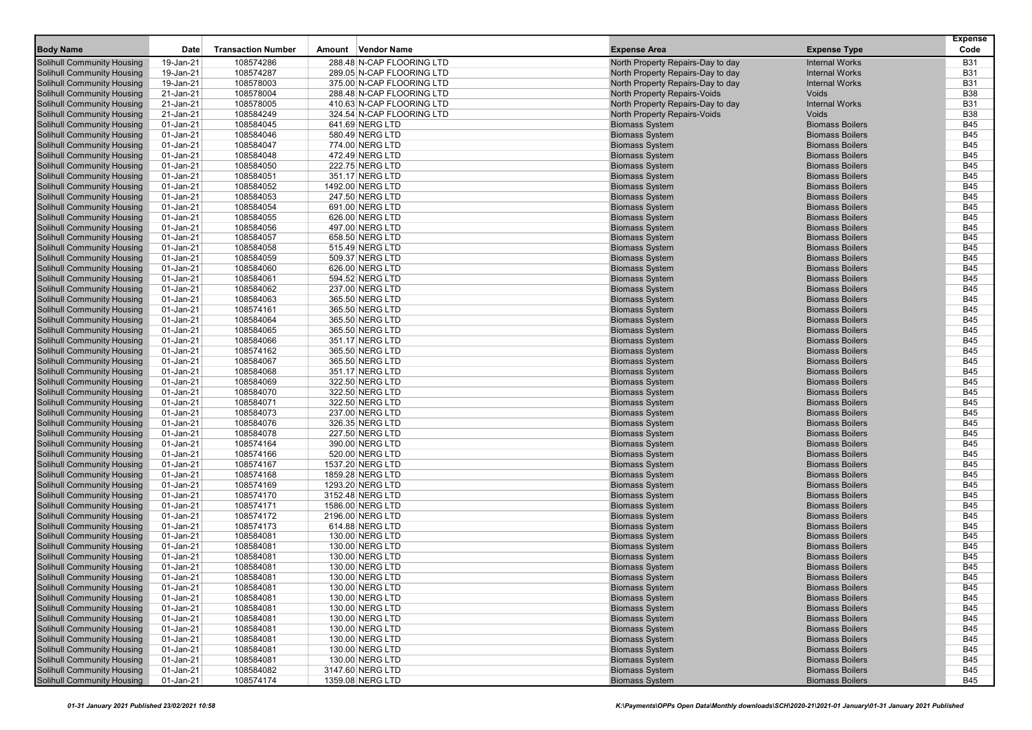| <b>Body Name</b>                                         | Date                   | <b>Transaction Number</b> | Amount Vendor Name                 | <b>Expense Area</b>                                                    | <b>Expense Type</b>                              | <b>Expense</b><br>Code   |
|----------------------------------------------------------|------------------------|---------------------------|------------------------------------|------------------------------------------------------------------------|--------------------------------------------------|--------------------------|
| Solihull Community Housing                               |                        | 108574286                 | 288.48 N-CAP FLOORING LTD          |                                                                        | <b>Internal Works</b>                            | <b>B31</b>               |
| Solihull Community Housing                               | 19-Jan-21<br>19-Jan-21 | 108574287                 | 289.05 N-CAP FLOORING LTD          | North Property Repairs-Day to day<br>North Property Repairs-Day to day | <b>Internal Works</b>                            | <b>B31</b>               |
| Solihull Community Housing                               | 19-Jan-21              | 108578003                 | 375.00 N-CAP FLOORING LTD          | North Property Repairs-Day to day                                      | <b>Internal Works</b>                            | <b>B31</b>               |
| Solihull Community Housing                               | 21-Jan-21              | 108578004                 | 288.48 N-CAP FLOORING LTD          | <b>North Property Repairs-Voids</b>                                    | Voids                                            | <b>B38</b>               |
| <b>Solihull Community Housing</b>                        | 21-Jan-21              | 108578005                 | 410.63 N-CAP FLOORING LTD          | North Property Repairs-Day to day                                      | <b>Internal Works</b>                            | <b>B31</b>               |
| Solihull Community Housing                               | 21-Jan-21              | 108584249                 | 324.54 N-CAP FLOORING LTD          | <b>North Property Repairs-Voids</b>                                    | Voids                                            | <b>B38</b>               |
| Solihull Community Housing                               | 01-Jan-21              | 108584045                 | 641.69 NERG LTD                    | <b>Biomass System</b>                                                  | <b>Biomass Boilers</b>                           | <b>B45</b>               |
| Solihull Community Housing                               | 01-Jan-21              | 108584046                 | 580.49 NERG LTD                    | <b>Biomass System</b>                                                  | <b>Biomass Boilers</b>                           | <b>B45</b>               |
| Solihull Community Housing                               | 01-Jan-21              | 108584047                 | 774.00 NERG LTD                    | <b>Biomass System</b>                                                  | <b>Biomass Boilers</b>                           | <b>B45</b>               |
| <b>Solihull Community Housing</b>                        | 01-Jan-21              | 108584048                 | 472.49 NERG LTD                    | <b>Biomass System</b>                                                  | <b>Biomass Boilers</b>                           | <b>B45</b>               |
| Solihull Community Housing                               | 01-Jan-21              | 108584050                 | 222.75 NERG LTD                    | <b>Biomass System</b>                                                  | <b>Biomass Boilers</b>                           | <b>B45</b>               |
| Solihull Community Housing                               | 01-Jan-21              | 108584051                 | 351.17 NERG LTD                    | <b>Biomass System</b>                                                  | <b>Biomass Boilers</b>                           | <b>B45</b>               |
| Solihull Community Housing                               | 01-Jan-21              | 108584052                 | 1492.00 NERG LTD                   | <b>Biomass System</b>                                                  | <b>Biomass Boilers</b>                           | <b>B45</b>               |
| Solihull Community Housing                               | 01-Jan-21              | 108584053                 | 247.50 NERG LTD                    | <b>Biomass System</b>                                                  | <b>Biomass Boilers</b>                           | <b>B45</b>               |
| <b>Solihull Community Housing</b>                        | 01-Jan-21              | 108584054                 | 691.00 NERG LTD                    | <b>Biomass System</b>                                                  | <b>Biomass Boilers</b>                           | <b>B45</b>               |
| Solihull Community Housing                               | 01-Jan-21              | 108584055                 | 626.00 NERG LTD                    | <b>Biomass System</b>                                                  | <b>Biomass Boilers</b>                           | <b>B45</b>               |
| Solihull Community Housing                               | 01-Jan-21              | 108584056                 | 497.00 NERG LTD                    | <b>Biomass System</b>                                                  | <b>Biomass Boilers</b>                           | <b>B45</b>               |
| Solihull Community Housing                               | 01-Jan-21              | 108584057                 | 658.50 NERG LTD                    | <b>Biomass System</b>                                                  | <b>Biomass Boilers</b>                           | <b>B45</b>               |
| Solihull Community Housing                               | 01-Jan-21              | 108584058                 | 515.49 NERG LTD                    | <b>Biomass System</b>                                                  | <b>Biomass Boilers</b>                           | <b>B45</b>               |
| <b>Solihull Community Housing</b>                        | 01-Jan-21              | 108584059                 | 509.37 NERG LTD                    | <b>Biomass System</b>                                                  | <b>Biomass Boilers</b>                           | <b>B45</b>               |
| Solihull Community Housing                               | 01-Jan-21              | 108584060                 | 626.00 NERG LTD                    | <b>Biomass System</b>                                                  | <b>Biomass Boilers</b>                           | <b>B45</b>               |
| Solihull Community Housing                               | 01-Jan-21              | 108584061                 | 594.52 NERG LTD                    | <b>Biomass System</b>                                                  | <b>Biomass Boilers</b>                           | <b>B45</b>               |
| Solihull Community Housing                               | 01-Jan-21              | 108584062                 | 237.00 NERG LTD                    | <b>Biomass System</b>                                                  | <b>Biomass Boilers</b>                           | <b>B45</b>               |
| Solihull Community Housing                               | 01-Jan-21              | 108584063                 | 365.50 NERG LTD                    | <b>Biomass System</b>                                                  | <b>Biomass Boilers</b>                           | <b>B45</b>               |
| Solihull Community Housing                               | 01-Jan-21              | 108574161                 | 365.50 NERG LTD                    | <b>Biomass System</b>                                                  | <b>Biomass Boilers</b>                           | <b>B45</b>               |
| Solihull Community Housing                               | 01-Jan-21              | 108584064                 | 365.50 NERG LTD                    | <b>Biomass System</b>                                                  | <b>Biomass Boilers</b>                           | <b>B45</b>               |
| Solihull Community Housing                               | 01-Jan-21              | 108584065                 | 365.50 NERG LTD                    | <b>Biomass System</b>                                                  | <b>Biomass Boilers</b>                           | <b>B45</b>               |
| Solihull Community Housing                               | 01-Jan-21              | 108584066                 | 351.17 NERG LTD                    | <b>Biomass System</b>                                                  | <b>Biomass Boilers</b>                           | <b>B45</b>               |
| Solihull Community Housing                               | 01-Jan-21              | 108574162                 | 365.50 NERG LTD                    | <b>Biomass System</b>                                                  | <b>Biomass Boilers</b>                           | <b>B45</b>               |
| <b>Solihull Community Housing</b>                        | 01-Jan-21              | 108584067                 | 365.50 NERG LTD                    | <b>Biomass System</b>                                                  | <b>Biomass Boilers</b>                           | <b>B45</b>               |
| Solihull Community Housing                               | 01-Jan-21              | 108584068                 | 351.17 NERG LTD                    | <b>Biomass System</b>                                                  | <b>Biomass Boilers</b>                           | <b>B45</b>               |
| Solihull Community Housing                               | 01-Jan-21              | 108584069                 | 322.50 NERG LTD                    | <b>Biomass System</b>                                                  | <b>Biomass Boilers</b>                           | <b>B45</b>               |
| Solihull Community Housing                               | 01-Jan-21              | 108584070                 | 322.50 NERG LTD                    | <b>Biomass System</b>                                                  | <b>Biomass Boilers</b>                           | <b>B45</b>               |
| Solihull Community Housing                               | 01-Jan-21              | 108584071                 | 322.50 NERG LTD                    | <b>Biomass System</b>                                                  | <b>Biomass Boilers</b>                           | <b>B45</b><br><b>B45</b> |
| Solihull Community Housing<br>Solihull Community Housing | 01-Jan-21<br>01-Jan-21 | 108584073<br>108584076    | 237.00 NERG LTD<br>326.35 NERG LTD | <b>Biomass System</b><br><b>Biomass System</b>                         | <b>Biomass Boilers</b><br><b>Biomass Boilers</b> | <b>B45</b>               |
| Solihull Community Housing                               | 01-Jan-21              | 108584078                 | 227.50 NERG LTD                    | <b>Biomass System</b>                                                  | <b>Biomass Boilers</b>                           | <b>B45</b>               |
| <b>Solihull Community Housing</b>                        | 01-Jan-21              | 108574164                 | 390.00 NERG LTD                    | <b>Biomass System</b>                                                  | <b>Biomass Boilers</b>                           | <b>B45</b>               |
| Solihull Community Housing                               | 01-Jan-21              | 108574166                 | 520.00 NERG LTD                    | <b>Biomass System</b>                                                  | <b>Biomass Boilers</b>                           | <b>B45</b>               |
| Solihull Community Housing                               | 01-Jan-21              | 108574167                 | 1537.20 NERG LTD                   | <b>Biomass System</b>                                                  | <b>Biomass Boilers</b>                           | <b>B45</b>               |
| Solihull Community Housing                               | 01-Jan-21              | 108574168                 | 1859.28 NERG LTD                   | <b>Biomass System</b>                                                  | <b>Biomass Boilers</b>                           | <b>B45</b>               |
| Solihull Community Housing                               | 01-Jan-21              | 108574169                 | 1293.20 NERG LTD                   | <b>Biomass System</b>                                                  | <b>Biomass Boilers</b>                           | <b>B45</b>               |
| Solihull Community Housing                               | 01-Jan-21              | 108574170                 | 3152.48 NERG LTD                   | <b>Biomass System</b>                                                  | <b>Biomass Boilers</b>                           | <b>B45</b>               |
| Solihull Community Housing                               | 01-Jan-21              | 108574171                 | 1586.00 NERG LTD                   | <b>Biomass System</b>                                                  | <b>Biomass Boilers</b>                           | <b>B45</b>               |
| Solihull Community Housing                               | 01-Jan-21              | 108574172                 | 2196.00 NERG LTD                   | <b>Biomass System</b>                                                  | <b>Biomass Boilers</b>                           | <b>B45</b>               |
| Solihull Community Housing                               | 01-Jan-21              | 108574173                 | 614.88 NERG LTD                    | <b>Biomass System</b>                                                  | <b>Biomass Boilers</b>                           | <b>B45</b>               |
| Solihull Community Housing                               | 01-Jan-21              | 108584081                 | 130.00 NERG LTD                    | <b>Biomass System</b>                                                  | <b>Biomass Boilers</b>                           | <b>B45</b>               |
| <b>Solihull Community Housing</b>                        | 01-Jan-21              | 108584081                 | 130.00 NERG LTD                    | <b>Biomass System</b>                                                  | <b>Biomass Boilers</b>                           | <b>B45</b>               |
| <b>Solihull Community Housing</b>                        | 01-Jan-21              | 108584081                 | 130.00 NERG LTD                    | <b>Biomass System</b>                                                  | <b>Biomass Boilers</b>                           | <b>B45</b>               |
| Solihull Community Housing                               | 01-Jan-21              | 108584081                 | 130.00 NERG LTD                    | <b>Biomass System</b>                                                  | <b>Biomass Boilers</b>                           | <b>B45</b>               |
| <b>Solihull Community Housing</b>                        | 01-Jan-21              | 108584081                 | 130.00 NERG LTD                    | <b>Biomass System</b>                                                  | <b>Biomass Boilers</b>                           | <b>B45</b>               |
| <b>Solihull Community Housing</b>                        | 01-Jan-21              | 108584081                 | 130.00 NERG LTD                    | <b>Biomass System</b>                                                  | <b>Biomass Boilers</b>                           | <b>B45</b>               |
| <b>Solihull Community Housing</b>                        | 01-Jan-21              | 108584081                 | 130.00 NERG LTD                    | <b>Biomass System</b>                                                  | <b>Biomass Boilers</b>                           | <b>B45</b>               |
| <b>Solihull Community Housing</b>                        | 01-Jan-21              | 108584081                 | 130.00 NERG LTD                    | <b>Biomass System</b>                                                  | <b>Biomass Boilers</b>                           | <b>B45</b>               |
| <b>Solihull Community Housing</b>                        | 01-Jan-21              | 108584081                 | 130.00 NERG LTD                    | <b>Biomass System</b>                                                  | <b>Biomass Boilers</b>                           | B45                      |
| <b>Solihull Community Housing</b>                        | 01-Jan-21              | 108584081                 | 130.00 NERG LTD                    | <b>Biomass System</b>                                                  | <b>Biomass Boilers</b>                           | <b>B45</b>               |
| <b>Solihull Community Housing</b>                        | 01-Jan-21              | 108584081                 | 130.00 NERG LTD                    | <b>Biomass System</b>                                                  | <b>Biomass Boilers</b>                           | <b>B45</b>               |
| <b>Solihull Community Housing</b>                        | 01-Jan-21              | 108584081                 | 130.00 NERG LTD                    | <b>Biomass System</b>                                                  | <b>Biomass Boilers</b>                           | <b>B45</b>               |
| <b>Solihull Community Housing</b>                        | 01-Jan-21              | 108584081                 | 130.00 NERG LTD                    | <b>Biomass System</b>                                                  | <b>Biomass Boilers</b>                           | <b>B45</b>               |
| <b>Solihull Community Housing</b>                        | 01-Jan-21              | 108584082                 | 3147.60 NERG LTD                   | <b>Biomass System</b>                                                  | <b>Biomass Boilers</b>                           | <b>B45</b>               |
| <b>Solihull Community Housing</b>                        | $01$ -Jan-21           | 108574174                 | 1359.08 NERG LTD                   | <b>Biomass System</b>                                                  | <b>Biomass Boilers</b>                           | <b>B45</b>               |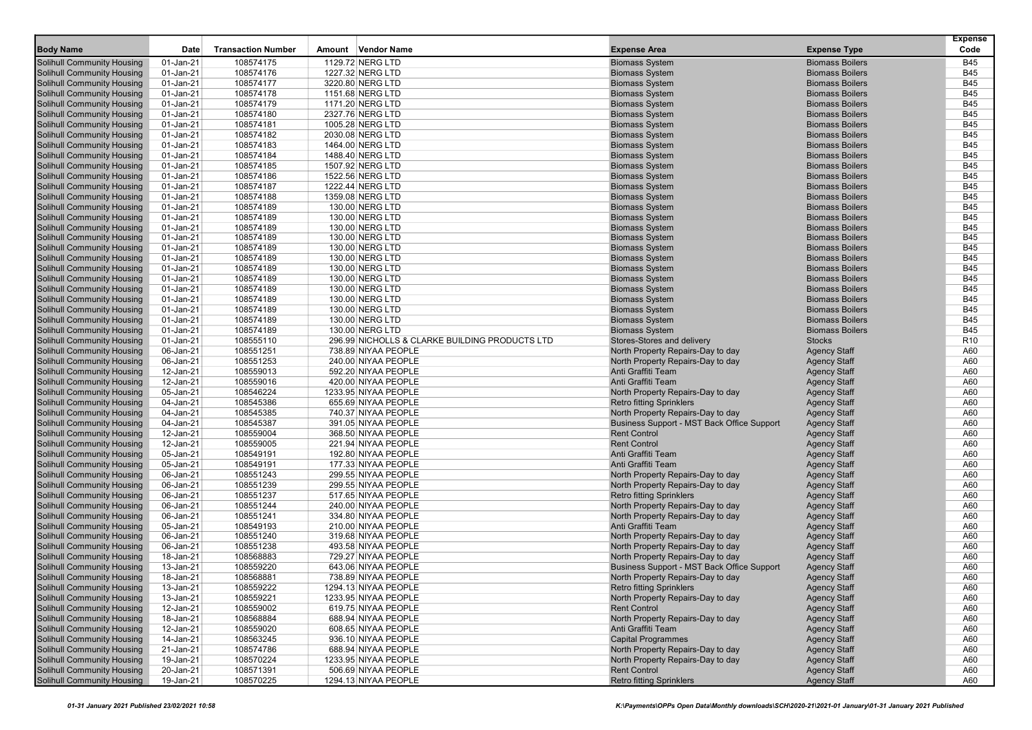|                                                                        |                        |                           |                                                |                                                |                                                  | <b>Expense</b>           |
|------------------------------------------------------------------------|------------------------|---------------------------|------------------------------------------------|------------------------------------------------|--------------------------------------------------|--------------------------|
| <b>Body Name</b>                                                       | Date                   | <b>Transaction Number</b> | Amount Vendor Name                             | <b>Expense Area</b>                            | <b>Expense Type</b>                              | Code                     |
| <b>Solihull Community Housing</b>                                      | 01-Jan-21              | 108574175                 | 1129.72 NERG LTD                               | <b>Biomass System</b>                          | <b>Biomass Boilers</b>                           | <b>B45</b>               |
| <b>Solihull Community Housing</b>                                      | 01-Jan-21              | 108574176                 | 1227.32 NERG LTD                               | <b>Biomass System</b>                          | <b>Biomass Boilers</b>                           | <b>B45</b>               |
| <b>Solihull Community Housing</b>                                      | 01-Jan-21              | 108574177                 | 3220.80 NERG LTD                               | <b>Biomass System</b>                          | <b>Biomass Boilers</b>                           | <b>B45</b>               |
| <b>Solihull Community Housing</b>                                      | 01-Jan-21              | 108574178                 | 1151.68 NERG LTD                               | <b>Biomass System</b>                          | <b>Biomass Boilers</b>                           | <b>B45</b>               |
| <b>Solihull Community Housing</b>                                      | 01-Jan-21              | 108574179                 | 1171.20 NERG LTD                               | <b>Biomass System</b>                          | <b>Biomass Boilers</b>                           | <b>B45</b>               |
| <b>Solihull Community Housing</b>                                      | 01-Jan-21              | 108574180                 | 2327.76 NERG LTD                               | <b>Biomass System</b>                          | <b>Biomass Boilers</b>                           | <b>B45</b>               |
| <b>Solihull Community Housing</b>                                      | 01-Jan-21              | 108574181                 | 1005.28 NERG LTD                               | <b>Biomass System</b>                          | <b>Biomass Boilers</b>                           | <b>B45</b>               |
| <b>Solihull Community Housing</b>                                      | 01-Jan-21              | 108574182                 | 2030.08 NERG LTD                               | <b>Biomass System</b>                          | <b>Biomass Boilers</b>                           | <b>B45</b>               |
| <b>Solihull Community Housing</b>                                      | 01-Jan-21              | 108574183                 | 1464.00 NERG LTD                               | <b>Biomass System</b>                          | <b>Biomass Boilers</b>                           | <b>B45</b>               |
| <b>Solihull Community Housing</b>                                      | 01-Jan-21              | 108574184                 | 1488.40 NERG LTD                               | <b>Biomass System</b>                          | <b>Biomass Boilers</b>                           | <b>B45</b>               |
| <b>Solihull Community Housing</b>                                      | 01-Jan-21              | 108574185                 | 1507.92 NERG LTD                               | <b>Biomass System</b>                          | <b>Biomass Boilers</b>                           | <b>B45</b>               |
| <b>Solihull Community Housing</b>                                      | 01-Jan-21              | 108574186                 | 1522.56 NERG LTD                               | <b>Biomass System</b>                          | <b>Biomass Boilers</b>                           | <b>B45</b>               |
| <b>Solihull Community Housing</b>                                      | 01-Jan-21              | 108574187                 | 1222.44 NERG LTD                               | <b>Biomass System</b>                          | <b>Biomass Boilers</b>                           | <b>B45</b>               |
| <b>Solihull Community Housing</b>                                      | 01-Jan-21              | 108574188                 | 1359.08 NERG LTD                               | <b>Biomass System</b>                          | <b>Biomass Boilers</b>                           | <b>B45</b>               |
| <b>Solihull Community Housing</b>                                      | 01-Jan-21              | 108574189                 | 130.00 NERG LTD                                | <b>Biomass System</b>                          | <b>Biomass Boilers</b>                           | <b>B45</b>               |
| <b>Solihull Community Housing</b>                                      | 01-Jan-21              | 108574189                 | 130.00 NERG LTD                                | <b>Biomass System</b>                          | <b>Biomass Boilers</b>                           | <b>B45</b>               |
| <b>Solihull Community Housing</b>                                      | 01-Jan-21              | 108574189                 | 130.00 NERG LTD                                | <b>Biomass System</b>                          | <b>Biomass Boilers</b>                           | <b>B45</b>               |
| <b>Solihull Community Housing</b>                                      | 01-Jan-21              | 108574189                 | 130.00 NERG LTD                                | <b>Biomass System</b>                          | <b>Biomass Boilers</b>                           | <b>B45</b>               |
| <b>Solihull Community Housing</b>                                      | 01-Jan-21              | 108574189                 | 130.00 NERG LTD                                | <b>Biomass System</b>                          | <b>Biomass Boilers</b>                           | <b>B45</b>               |
| <b>Solihull Community Housing</b>                                      | 01-Jan-21              | 108574189                 | 130.00 NERG LTD                                | <b>Biomass System</b>                          | <b>Biomass Boilers</b>                           | <b>B45</b>               |
| <b>Solihull Community Housing</b>                                      | 01-Jan-21              | 108574189                 | 130.00 NERG LTD                                | <b>Biomass System</b>                          | <b>Biomass Boilers</b>                           | <b>B45</b>               |
| <b>Solihull Community Housing</b>                                      | 01-Jan-21              | 108574189                 | 130.00 NERG LTD                                | <b>Biomass System</b>                          | <b>Biomass Boilers</b>                           | <b>B45</b>               |
| <b>Solihull Community Housing</b><br><b>Solihull Community Housing</b> | 01-Jan-21              | 108574189<br>108574189    | 130.00 NERG LTD                                | <b>Biomass System</b>                          | <b>Biomass Boilers</b><br><b>Biomass Boilers</b> | <b>B45</b><br><b>B45</b> |
|                                                                        | 01-Jan-21              |                           | 130.00 NERG LTD                                | <b>Biomass System</b>                          | <b>Biomass Boilers</b>                           | <b>B45</b>               |
| <b>Solihull Community Housing</b><br><b>Solihull Community Housing</b> | 01-Jan-21              | 108574189<br>108574189    | 130.00 NERG LTD<br>130.00 NERG LTD             | <b>Biomass System</b><br><b>Biomass System</b> | <b>Biomass Boilers</b>                           | <b>B45</b>               |
| <b>Solihull Community Housing</b>                                      | 01-Jan-21<br>01-Jan-21 | 108574189                 | 130.00 NERG LTD                                | <b>Biomass System</b>                          | <b>Biomass Boilers</b>                           | <b>B45</b>               |
| <b>Solihull Community Housing</b>                                      | 01-Jan-21              | 108555110                 | 296.99 NICHOLLS & CLARKE BUILDING PRODUCTS LTD | Stores-Stores and delivery                     | <b>Stocks</b>                                    | R <sub>10</sub>          |
| <b>Solihull Community Housing</b>                                      | 06-Jan-21              | 108551251                 | 738.89 NIYAA PEOPLE                            | North Property Repairs-Day to day              | <b>Agency Staff</b>                              | A60                      |
| <b>Solihull Community Housing</b>                                      | 06-Jan-21              | 108551253                 | 240.00 NIYAA PEOPLE                            | North Property Repairs-Day to day              | <b>Agency Staff</b>                              | A60                      |
| <b>Solihull Community Housing</b>                                      | 12-Jan-21              | 108559013                 | 592.20 NIYAA PEOPLE                            | Anti Graffiti Team                             | <b>Agency Staff</b>                              | A60                      |
| <b>Solihull Community Housing</b>                                      | 12-Jan-21              | 108559016                 | 420.00 NIYAA PEOPLE                            | Anti Graffiti Team                             | <b>Agency Staff</b>                              | A60                      |
| <b>Solihull Community Housing</b>                                      | 05-Jan-21              | 108546224                 | 1233.95 NIYAA PEOPLE                           | North Property Repairs-Day to day              | <b>Agency Staff</b>                              | A60                      |
| <b>Solihull Community Housing</b>                                      | 04-Jan-21              | 108545386                 | 655.69 NIYAA PEOPLE                            | <b>Retro fitting Sprinklers</b>                | <b>Agency Staff</b>                              | A60                      |
| <b>Solihull Community Housing</b>                                      | 04-Jan-21              | 108545385                 | 740.37 NIYAA PEOPLE                            | North Property Repairs-Day to day              | <b>Agency Staff</b>                              | A60                      |
| <b>Solihull Community Housing</b>                                      | 04-Jan-21              | 108545387                 | 391.05 NIYAA PEOPLE                            | Business Support - MST Back Office Support     | <b>Agency Staff</b>                              | A60                      |
| <b>Solihull Community Housing</b>                                      | 12-Jan-21              | 108559004                 | 368.50 NIYAA PEOPLE                            | <b>Rent Control</b>                            | <b>Agency Staff</b>                              | A60                      |
| <b>Solihull Community Housing</b>                                      | 12-Jan-21              | 108559005                 | 221.94 NIYAA PEOPLE                            | <b>Rent Control</b>                            | <b>Agency Staff</b>                              | A60                      |
| <b>Solihull Community Housing</b>                                      | 05-Jan-21              | 108549191                 | 192.80 NIYAA PEOPLE                            | Anti Graffiti Team                             | <b>Agency Staff</b>                              | A60                      |
| <b>Solihull Community Housing</b>                                      | 05-Jan-21              | 108549191                 | 177.33 NIYAA PEOPLE                            | Anti Graffiti Team                             | <b>Agency Staff</b>                              | A60                      |
| <b>Solihull Community Housing</b>                                      | 06-Jan-21              | 108551243                 | 299.55 NIYAA PEOPLE                            | North Property Repairs-Day to day              | <b>Agency Staff</b>                              | A60                      |
| <b>Solihull Community Housing</b>                                      | 06-Jan-21              | 108551239                 | 299.55 NIYAA PEOPLE                            | North Property Repairs-Day to day              | <b>Agency Staff</b>                              | A60                      |
| <b>Solihull Community Housing</b>                                      | 06-Jan-21              | 108551237                 | 517.65 NIYAA PEOPLE                            | <b>Retro fitting Sprinklers</b>                | <b>Agency Staff</b>                              | A60                      |
| <b>Solihull Community Housing</b>                                      | 06-Jan-21              | 108551244                 | 240.00 NIYAA PEOPLE                            | North Property Repairs-Day to day              | <b>Agency Staff</b>                              | A60                      |
| <b>Solihull Community Housing</b>                                      | 06-Jan-21              | 108551241                 | 334.80 NIYAA PEOPLE                            | North Property Repairs-Day to day              | <b>Agency Staff</b>                              | A60                      |
| <b>Solihull Community Housing</b>                                      | 05-Jan-21              | 108549193                 | 210.00 NIYAA PEOPLE                            | Anti Graffiti Team                             | <b>Agency Staff</b>                              | A60                      |
| <b>Solihull Community Housing</b>                                      | 06-Jan-21              | 108551240                 | 319.68 NIYAA PEOPLE                            | North Property Repairs-Day to day              | <b>Agency Staff</b>                              | A60                      |
| <b>Solihull Community Housing</b>                                      | 06-Jan-21              | 108551238                 | 493.58 NIYAA PEOPLE                            | North Property Repairs-Day to day              | <b>Agency Staff</b>                              | A60                      |
| <b>Solihull Community Housing</b>                                      | 18-Jan-21              | 108568883                 | 729.27 NIYAA PEOPLE                            | North Property Repairs-Day to day              | <b>Agency Staff</b>                              | A60                      |
| <b>Solihull Community Housing</b>                                      | 13-Jan-21              | 108559220                 | 643.06 NIYAA PEOPLE                            | Business Support - MST Back Office Support     | <b>Agency Staff</b>                              | A60                      |
| <b>Solihull Community Housing</b>                                      | 18-Jan-21              | 108568881                 | 738.89 NIYAA PEOPLE                            | North Property Repairs-Day to day              | <b>Agency Staff</b>                              | A60                      |
| <b>Solihull Community Housing</b>                                      | 13-Jan-21              | 108559222                 | 1294.13 NIYAA PEOPLE                           | <b>Retro fitting Sprinklers</b>                | <b>Agency Staff</b>                              | A60                      |
| Solihull Community Housing                                             | 13-Jan-21              | 108559221                 | 1233.95 NIYAA PEOPLE                           | North Property Repairs-Day to day              | <b>Agency Staff</b>                              | A60                      |
| <b>Solihull Community Housing</b>                                      | 12-Jan-21              | 108559002                 | 619.75 NIYAA PEOPLE                            | <b>Rent Control</b>                            | <b>Agency Staff</b>                              | A60                      |
| <b>Solihull Community Housing</b>                                      | 18-Jan-21              | 108568884                 | 688.94 NIYAA PEOPLE                            | North Property Repairs-Day to day              | <b>Agency Staff</b>                              | A60                      |
| <b>Solihull Community Housing</b>                                      | 12-Jan-21              | 108559020                 | 608.65 NIYAA PEOPLE                            | Anti Graffiti Team                             | <b>Agency Staff</b>                              | A60                      |
| <b>Solihull Community Housing</b>                                      | 14-Jan-21              | 108563245                 | 936.10 NIYAA PEOPLE                            | <b>Capital Programmes</b>                      | <b>Agency Staff</b>                              | A60                      |
| <b>Solihull Community Housing</b>                                      | 21-Jan-21              | 108574786                 | 688.94 NIYAA PEOPLE                            | North Property Repairs-Day to day              | <b>Agency Staff</b>                              | A60                      |
| <b>Solihull Community Housing</b>                                      | 19-Jan-21              | 108570224                 | 1233.95 NIYAA PEOPLE                           | North Property Repairs-Day to day              | <b>Agency Staff</b>                              | A60                      |
| <b>Solihull Community Housing</b>                                      | 20-Jan-21              | 108571391                 | 506.69 NIYAA PEOPLE                            | <b>Rent Control</b>                            | <b>Agency Staff</b>                              | A60                      |
| <b>Solihull Community Housing</b>                                      | 19-Jan-21              | 108570225                 | 1294.13 NIYAA PEOPLE                           | <b>Retro fitting Sprinklers</b>                | <b>Agency Staff</b>                              | A60                      |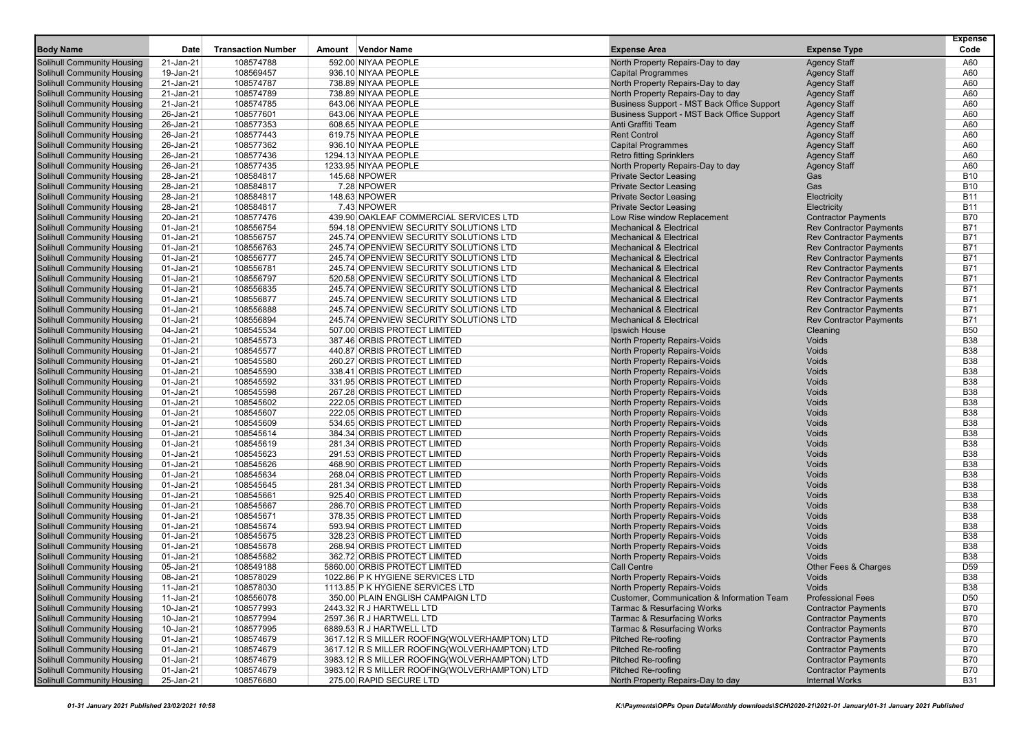| <b>Body Name</b>                                                       | Date                   | <b>Transaction Number</b> | Amount Vendor Name                            | <b>Expense Area</b>                                                                             | <b>Expense Type</b>                                 | <b>Expense</b><br>Code |
|------------------------------------------------------------------------|------------------------|---------------------------|-----------------------------------------------|-------------------------------------------------------------------------------------------------|-----------------------------------------------------|------------------------|
|                                                                        |                        |                           |                                               |                                                                                                 |                                                     |                        |
| <b>Solihull Community Housing</b>                                      | 21-Jan-21              | 108574788                 | 592.00 NIYAA PEOPLE                           | North Property Repairs-Day to day                                                               | <b>Agency Staff</b>                                 | A60                    |
| <b>Solihull Community Housing</b>                                      | 19-Jan-21              | 108569457                 | 936.10 NIYAA PEOPLE                           | <b>Capital Programmes</b>                                                                       | <b>Agency Staff</b>                                 | A60                    |
| <b>Solihull Community Housing</b><br><b>Solihull Community Housing</b> | 21-Jan-21<br>21-Jan-21 | 108574787<br>108574789    | 738.89 NIYAA PEOPLE                           | North Property Repairs-Day to day<br>North Property Repairs-Day to day                          | <b>Agency Staff</b>                                 | A60<br>A60             |
| <b>Solihull Community Housing</b>                                      | 21-Jan-21              | 108574785                 | 738.89 NIYAA PEOPLE<br>643.06 NIYAA PEOPLE    |                                                                                                 | <b>Agency Staff</b>                                 | A60                    |
| <b>Solihull Community Housing</b>                                      | 26-Jan-21              | 108577601                 | 643.06 NIYAA PEOPLE                           | <b>Business Support - MST Back Office Support</b><br>Business Support - MST Back Office Support | <b>Agency Staff</b><br><b>Agency Staff</b>          | A60                    |
| <b>Solihull Community Housing</b>                                      | 26-Jan-21              | 108577353                 | 608.65 NIYAA PEOPLE                           | Anti Graffiti Team                                                                              |                                                     | A60                    |
| <b>Solihull Community Housing</b>                                      | 26-Jan-21              | 108577443                 | 619.75 NIYAA PEOPLE                           | <b>Rent Control</b>                                                                             | <b>Agency Staff</b><br><b>Agency Staff</b>          | A60                    |
| <b>Solihull Community Housing</b>                                      | 26-Jan-21              | 108577362                 | 936.10 NIYAA PEOPLE                           | <b>Capital Programmes</b>                                                                       | <b>Agency Staff</b>                                 | A60                    |
| <b>Solihull Community Housing</b>                                      | 26-Jan-21              | 108577436                 | 1294.13 NIYAA PEOPLE                          | <b>Retro fitting Sprinklers</b>                                                                 | <b>Agency Staff</b>                                 | A60                    |
| <b>Solihull Community Housing</b>                                      | 26-Jan-21              | 108577435                 | 1233.95 NIYAA PEOPLE                          | North Property Repairs-Day to day                                                               | <b>Agency Staff</b>                                 | A60                    |
| <b>Solihull Community Housing</b>                                      | 28-Jan-21              | 108584817                 | 145.68 NPOWER                                 | <b>Private Sector Leasing</b>                                                                   | Gas                                                 | <b>B10</b>             |
| <b>Solihull Community Housing</b>                                      | 28-Jan-21              | 108584817                 | 7.28 NPOWER                                   | <b>Private Sector Leasing</b>                                                                   | Gas                                                 | <b>B10</b>             |
| <b>Solihull Community Housing</b>                                      | 28-Jan-21              | 108584817                 | 148.63 NPOWER                                 | <b>Private Sector Leasing</b>                                                                   | Electricity                                         | <b>B11</b>             |
| <b>Solihull Community Housing</b>                                      | 28-Jan-21              | 108584817                 | 7.43 NPOWER                                   | <b>Private Sector Leasing</b>                                                                   | Electricity                                         | <b>B11</b>             |
| <b>Solihull Community Housing</b>                                      | 20-Jan-21              | 108577476                 | 439.90 OAKLEAF COMMERCIAL SERVICES LTD        | Low Rise window Replacement                                                                     | <b>Contractor Payments</b>                          | <b>B70</b>             |
| <b>Solihull Community Housing</b>                                      | 01-Jan-21              | 108556754                 | 594.18 OPENVIEW SECURITY SOLUTIONS LTD        | <b>Mechanical &amp; Electrical</b>                                                              | <b>Rev Contractor Payments</b>                      | <b>B71</b>             |
| <b>Solihull Community Housing</b>                                      | 01-Jan-21              | 108556757                 | 245.74 OPENVIEW SECURITY SOLUTIONS LTD        | <b>Mechanical &amp; Electrical</b>                                                              | <b>Rev Contractor Payments</b>                      | B71                    |
| <b>Solihull Community Housing</b>                                      | 01-Jan-21              | 108556763                 | 245.74 OPENVIEW SECURITY SOLUTIONS LTD        | <b>Mechanical &amp; Electrical</b>                                                              | <b>Rev Contractor Payments</b>                      | <b>B71</b>             |
| <b>Solihull Community Housing</b>                                      | 01-Jan-21              | 108556777                 | 245.74 OPENVIEW SECURITY SOLUTIONS LTD        | <b>Mechanical &amp; Electrical</b>                                                              | <b>Rev Contractor Payments</b>                      | <b>B71</b>             |
| <b>Solihull Community Housing</b>                                      | 01-Jan-21              | 108556781                 | 245.74 OPENVIEW SECURITY SOLUTIONS LTD        | <b>Mechanical &amp; Electrical</b>                                                              | <b>Rev Contractor Payments</b>                      | <b>B71</b>             |
| <b>Solihull Community Housing</b>                                      | 01-Jan-21              | 108556797                 | 520.58 OPENVIEW SECURITY SOLUTIONS LTD        | <b>Mechanical &amp; Electrical</b>                                                              | <b>Rev Contractor Payments</b>                      | <b>B71</b>             |
| <b>Solihull Community Housing</b>                                      | 01-Jan-21              | 108556835                 | 245.74 OPENVIEW SECURITY SOLUTIONS LTD        | <b>Mechanical &amp; Electrical</b>                                                              | <b>Rev Contractor Payments</b>                      | <b>B71</b>             |
| <b>Solihull Community Housing</b>                                      | 01-Jan-21              | 108556877                 | 245.74 OPENVIEW SECURITY SOLUTIONS LTD        | <b>Mechanical &amp; Electrical</b>                                                              | <b>Rev Contractor Payments</b>                      | <b>B71</b>             |
| <b>Solihull Community Housing</b>                                      | 01-Jan-21              | 108556888                 | 245.74 OPENVIEW SECURITY SOLUTIONS LTD        | <b>Mechanical &amp; Electrical</b>                                                              | <b>Rev Contractor Payments</b>                      | <b>B71</b>             |
| <b>Solihull Community Housing</b>                                      | 01-Jan-21              | 108556894                 | 245.74 OPENVIEW SECURITY SOLUTIONS LTD        | <b>Mechanical &amp; Electrical</b>                                                              | <b>Rev Contractor Payments</b>                      | <b>B71</b>             |
| <b>Solihull Community Housing</b>                                      | 04-Jan-21              | 108545534                 | 507.00 ORBIS PROTECT LIMITED                  | Ipswich House                                                                                   | Cleaning                                            | <b>B50</b>             |
| <b>Solihull Community Housing</b>                                      | 01-Jan-21              | 108545573                 | 387.46 ORBIS PROTECT LIMITED                  | <b>North Property Repairs-Voids</b>                                                             | Voids                                               | <b>B38</b>             |
| <b>Solihull Community Housing</b>                                      | 01-Jan-21              | 108545577                 | 440.87 ORBIS PROTECT LIMITED                  | <b>North Property Repairs-Voids</b>                                                             | Voids                                               | <b>B38</b>             |
| <b>Solihull Community Housing</b>                                      | 01-Jan-21              | 108545580                 | 260.27 ORBIS PROTECT LIMITED                  | <b>North Property Repairs-Voids</b>                                                             | <b>Voids</b>                                        | <b>B38</b>             |
| <b>Solihull Community Housing</b>                                      | 01-Jan-21              | 108545590                 | 338.41 ORBIS PROTECT LIMITED                  | <b>North Property Repairs-Voids</b>                                                             | Voids                                               | <b>B38</b>             |
| <b>Solihull Community Housing</b>                                      | 01-Jan-21              | 108545592                 | 331.95 ORBIS PROTECT LIMITED                  | <b>North Property Repairs-Voids</b>                                                             | Voids                                               | <b>B38</b>             |
| <b>Solihull Community Housing</b>                                      | 01-Jan-21              | 108545598                 | 267.28 ORBIS PROTECT LIMITED                  | <b>North Property Repairs-Voids</b>                                                             | Voids                                               | <b>B38</b>             |
| <b>Solihull Community Housing</b>                                      | 01-Jan-21              | 108545602                 | 222.05 ORBIS PROTECT LIMITED                  | <b>North Property Repairs-Voids</b>                                                             | Voids                                               | <b>B38</b>             |
| <b>Solihull Community Housing</b>                                      | 01-Jan-21              | 108545607                 | 222.05 ORBIS PROTECT LIMITED                  | North Property Repairs-Voids                                                                    | <b>Voids</b>                                        | <b>B38</b>             |
| <b>Solihull Community Housing</b>                                      | 01-Jan-21              | 108545609                 | 534.65 ORBIS PROTECT LIMITED                  | North Property Repairs-Voids                                                                    | Voids                                               | <b>B38</b>             |
| <b>Solihull Community Housing</b>                                      | 01-Jan-21              | 108545614                 | 384.34 ORBIS PROTECT LIMITED                  | North Property Repairs-Voids                                                                    | Voids                                               | <b>B38</b>             |
| <b>Solihull Community Housing</b>                                      | 01-Jan-21              | 108545619                 | 281.34 ORBIS PROTECT LIMITED                  | North Property Repairs-Voids                                                                    | Voids                                               | <b>B38</b>             |
| <b>Solihull Community Housing</b>                                      | 01-Jan-21              | 108545623                 | 291.53 ORBIS PROTECT LIMITED                  | North Property Repairs-Voids                                                                    | Voids                                               | <b>B38</b>             |
| <b>Solihull Community Housing</b>                                      | 01-Jan-21              | 108545626                 | 468.90 ORBIS PROTECT LIMITED                  | North Property Repairs-Voids                                                                    | <b>Voids</b>                                        | <b>B38</b>             |
| <b>Solihull Community Housing</b>                                      | 01-Jan-21              | 108545634                 | 268.04 ORBIS PROTECT LIMITED                  | North Property Repairs-Voids                                                                    | Voids                                               | <b>B38</b>             |
| <b>Solihull Community Housing</b>                                      | 01-Jan-21              | 108545645                 | 281.34 ORBIS PROTECT LIMITED                  | North Property Repairs-Voids                                                                    | Voids                                               | <b>B38</b>             |
| <b>Solihull Community Housing</b>                                      | 01-Jan-21              | 108545661                 | 925.40 ORBIS PROTECT LIMITED                  | North Property Repairs-Voids                                                                    | Voids                                               | <b>B38</b>             |
| <b>Solihull Community Housing</b>                                      | 01-Jan-21              | 108545667                 | 286.70 ORBIS PROTECT LIMITED                  | North Property Repairs-Voids                                                                    | Voids                                               | <b>B38</b>             |
| <b>Solihull Community Housing</b>                                      | 01-Jan-21              | 108545671                 | 378.35 ORBIS PROTECT LIMITED                  | <b>North Property Repairs-Voids</b>                                                             | <b>Voids</b>                                        | <b>B38</b>             |
| <b>Solihull Community Housing</b>                                      | 01-Jan-21              | 108545674                 | 593.94 ORBIS PROTECT LIMITED                  | North Property Repairs-Voids                                                                    | Voids                                               | <b>B38</b>             |
| <b>Solihull Community Housing</b>                                      | 01-Jan-21              | 108545675                 | 328.23 ORBIS PROTECT LIMITED                  | North Property Repairs-Voids                                                                    | Voids                                               | <b>B38</b>             |
| Solihull Community Housing                                             | 01-Jan-21              | 108545678                 | 268.94 ORBIS PROTECT LIMITED                  | North Property Repairs-Voids                                                                    | Voids                                               | <b>B38</b>             |
| <b>Solihull Community Housing</b>                                      | 01-Jan-21              | 108545682                 | 362.72 ORBIS PROTECT LIMITED                  | North Property Repairs-Voids                                                                    | Voids                                               | <b>B38</b>             |
| <b>Solihull Community Housing</b>                                      | 05-Jan-21              | 108549188                 | 5860.00 ORBIS PROTECT LIMITED                 | <b>Call Centre</b>                                                                              | Other Fees & Charges                                | D <sub>59</sub>        |
| <b>Solihull Community Housing</b>                                      | 08-Jan-21              | 108578029                 | 1022.86 P K HYGIENE SERVICES LTD              | North Property Repairs-Voids                                                                    | Voids                                               | <b>B38</b>             |
| <b>Solihull Community Housing</b>                                      | 11-Jan-21              | 108578030                 | 1113.85 P K HYGIENE SERVICES LTD              | North Property Repairs-Voids                                                                    | Voids                                               | <b>B38</b>             |
| <b>Solihull Community Housing</b>                                      | 11-Jan-21              | 108556078                 | 350.00 PLAIN ENGLISH CAMPAIGN LTD             | Customer, Communication & Information Team                                                      | <b>Professional Fees</b>                            | D <sub>50</sub>        |
| <b>Solihull Community Housing</b>                                      | 10-Jan-21              | 108577993                 | 2443.32 R J HARTWELL LTD                      | <b>Tarmac &amp; Resurfacing Works</b>                                                           | <b>Contractor Payments</b>                          | <b>B70</b>             |
| <b>Solihull Community Housing</b>                                      | 10-Jan-21              | 108577994                 | 2597.36 R J HARTWELL LTD                      | <b>Tarmac &amp; Resurfacing Works</b>                                                           | <b>Contractor Payments</b>                          | <b>B70</b>             |
| <b>Solihull Community Housing</b>                                      | 10-Jan-21              | 108577995                 | 6889.53 R J HARTWELL LTD                      | <b>Tarmac &amp; Resurfacing Works</b>                                                           | <b>Contractor Payments</b>                          | <b>B70</b>             |
| <b>Solihull Community Housing</b>                                      | 01-Jan-21              | 108574679                 | 3617.12 R S MILLER ROOFING(WOLVERHAMPTON) LTD | <b>Pitched Re-roofing</b>                                                                       | <b>Contractor Payments</b>                          | <b>B70</b>             |
| <b>Solihull Community Housing</b>                                      | 01-Jan-21              | 108574679                 | 3617.12 R S MILLER ROOFING(WOLVERHAMPTON) LTD | <b>Pitched Re-roofing</b>                                                                       | <b>Contractor Payments</b>                          | <b>B70</b>             |
| <b>Solihull Community Housing</b>                                      | 01-Jan-21              | 108574679                 | 3983.12 R S MILLER ROOFING(WOLVERHAMPTON) LTD | Pitched Re-roofing                                                                              | <b>Contractor Payments</b>                          | <b>B70</b>             |
| <b>Solihull Community Housing</b><br><b>Solihull Community Housing</b> | 01-Jan-21              | 108574679                 | 3983.12 R S MILLER ROOFING(WOLVERHAMPTON) LTD | Pitched Re-roofing                                                                              | <b>Contractor Payments</b><br><b>Internal Works</b> | <b>B70</b>             |
|                                                                        | 25-Jan-21              | 108576680                 | 275.00 RAPID SECURE LTD                       | North Property Repairs-Day to day                                                               |                                                     | <b>B31</b>             |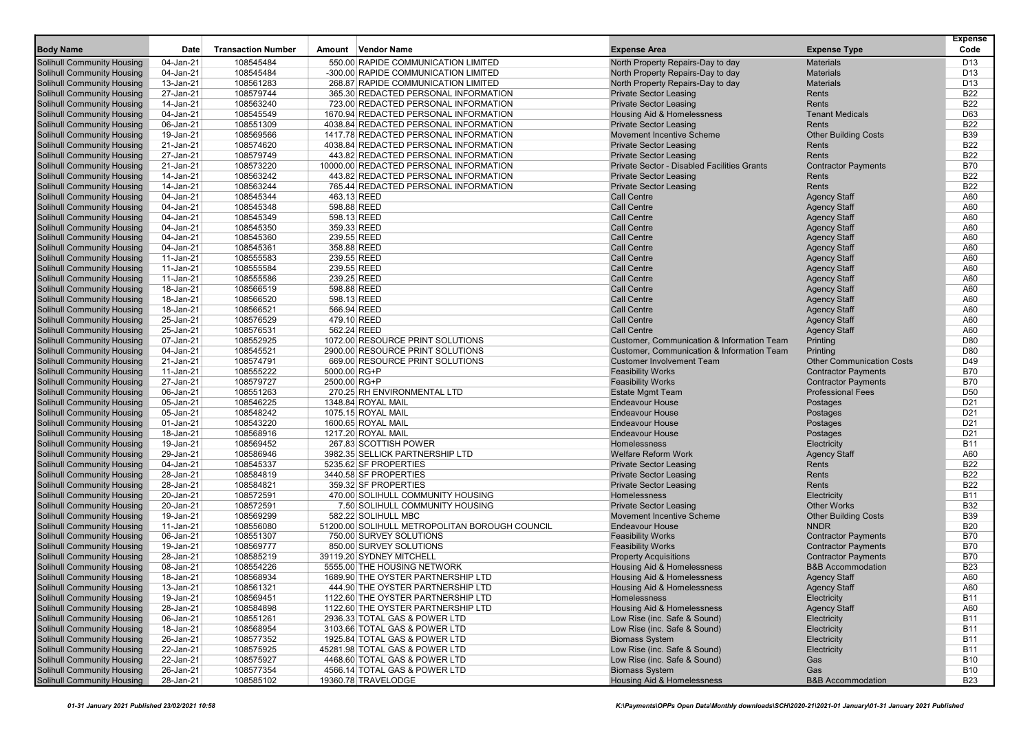|                                                                 |                        |                           |                                                        |                                                                   |                                                   | <b>Expense</b>           |
|-----------------------------------------------------------------|------------------------|---------------------------|--------------------------------------------------------|-------------------------------------------------------------------|---------------------------------------------------|--------------------------|
| <b>Body Name</b>                                                | Date                   | <b>Transaction Number</b> | Amount Vendor Name                                     | <b>Expense Area</b>                                               | <b>Expense Type</b>                               | Code                     |
| <b>Solihull Community Housing</b>                               | 04-Jan-21              | 108545484                 | 550.00 RAPIDE COMMUNICATION LIMITED                    | North Property Repairs-Day to day                                 | <b>Materials</b>                                  | D <sub>13</sub>          |
| Solihull Community Housing                                      | 04-Jan-21              | 108545484                 | -300.00 RAPIDE COMMUNICATION LIMITED                   | North Property Repairs-Day to day                                 | <b>Materials</b>                                  | D <sub>13</sub>          |
| <b>Solihull Community Housing</b>                               | 13-Jan-21              | 108561283                 | 268.87 RAPIDE COMMUNICATION LIMITED                    | North Property Repairs-Day to day                                 | <b>Materials</b>                                  | D <sub>13</sub>          |
| <b>Solihull Community Housing</b>                               | 27-Jan-21              | 108579744                 | 365.30 REDACTED PERSONAL INFORMATION                   | <b>Private Sector Leasing</b>                                     | Rents                                             | <b>B22</b>               |
| <b>Solihull Community Housing</b>                               | 14-Jan-21              | 108563240                 | 723.00 REDACTED PERSONAL INFORMATION                   | <b>Private Sector Leasing</b>                                     | Rents                                             | <b>B22</b>               |
| Solihull Community Housing                                      | 04-Jan-21              | 108545549                 | 1670.94 REDACTED PERSONAL INFORMATION                  | <b>Housing Aid &amp; Homelessness</b>                             | <b>Tenant Medicals</b>                            | D63                      |
| Solihull Community Housing                                      | 06-Jan-21              | 108551309                 | 4038.84 REDACTED PERSONAL INFORMATION                  | <b>Private Sector Leasing</b>                                     | Rents                                             | <b>B22</b>               |
| <b>Solihull Community Housing</b>                               | 19-Jan-21              | 108569566                 | 1417.78 REDACTED PERSONAL INFORMATION                  | <b>Movement Incentive Scheme</b>                                  | <b>Other Building Costs</b>                       | <b>B39</b>               |
| <b>Solihull Community Housing</b>                               | 21-Jan-21              | 108574620                 | 4038.84 REDACTED PERSONAL INFORMATION                  | <b>Private Sector Leasing</b>                                     | Rents                                             | <b>B22</b>               |
| <b>Solihull Community Housing</b>                               | 27-Jan-21              | 108579749                 | 443.82 REDACTED PERSONAL INFORMATION                   | <b>Private Sector Leasing</b>                                     | Rents                                             | <b>B22</b>               |
| Solihull Community Housing                                      | 21-Jan-21              | 108573220                 | 10000.00 REDACTED PERSONAL INFORMATION                 | Private Sector - Disabled Facilities Grants                       | <b>Contractor Payments</b>                        | <b>B70</b>               |
| Solihull Community Housing                                      | 14-Jan-21              | 108563242                 | 443.82 REDACTED PERSONAL INFORMATION                   | <b>Private Sector Leasing</b>                                     | Rents                                             | <b>B22</b>               |
| <b>Solihull Community Housing</b>                               | 14-Jan-21              | 108563244                 | 765.44 REDACTED PERSONAL INFORMATION                   | <b>Private Sector Leasing</b>                                     | Rents                                             | <b>B22</b>               |
| <b>Solihull Community Housing</b>                               | 04-Jan-21              | 108545344                 | 463.13 REED                                            | <b>Call Centre</b>                                                | <b>Agency Staff</b>                               | A60                      |
| <b>Solihull Community Housing</b>                               | 04-Jan-21              | 108545348                 | 598.88 REED                                            | <b>Call Centre</b>                                                | <b>Agency Staff</b>                               | A60                      |
| Solihull Community Housing                                      | 04-Jan-21              | 108545349                 | 598.13 REED                                            | <b>Call Centre</b>                                                | <b>Agency Staff</b>                               | A60                      |
| Solihull Community Housing                                      | 04-Jan-21              | 108545350                 | 359.33 REED                                            | <b>Call Centre</b>                                                | <b>Agency Staff</b>                               | A60                      |
| <b>Solihull Community Housing</b>                               | 04-Jan-21              | 108545360                 | 239.55 REED                                            | <b>Call Centre</b>                                                | <b>Agency Staff</b>                               | A60                      |
| <b>Solihull Community Housing</b>                               | 04-Jan-21              | 108545361                 | 358.88 REED                                            | <b>Call Centre</b>                                                | <b>Agency Staff</b>                               | A60                      |
| <b>Solihull Community Housing</b>                               | 11-Jan-21              | 108555583                 | 239.55 REED                                            | <b>Call Centre</b>                                                | <b>Agency Staff</b>                               | A60                      |
| Solihull Community Housing                                      | 11-Jan-21              | 108555584                 | 239.55 REED                                            | <b>Call Centre</b>                                                | <b>Agency Staff</b>                               | A60                      |
| Solihull Community Housing                                      | 11-Jan-21              | 108555586                 | 239.25 REED                                            | <b>Call Centre</b>                                                | <b>Agency Staff</b>                               | A60                      |
| <b>Solihull Community Housing</b>                               | 18-Jan-21              | 108566519                 | 598.88 REED                                            | <b>Call Centre</b>                                                | <b>Agency Staff</b>                               | A60                      |
| <b>Solihull Community Housing</b>                               | 18-Jan-21              | 108566520                 | 598.13 REED                                            | <b>Call Centre</b>                                                | <b>Agency Staff</b>                               | A60                      |
| <b>Solihull Community Housing</b>                               | 18-Jan-21              | 108566521                 | 566.94 REED                                            | <b>Call Centre</b>                                                | <b>Agency Staff</b>                               | A60                      |
| Solihull Community Housing                                      | 25-Jan-21              | 108576529                 | 479.10 REED                                            | <b>Call Centre</b>                                                | <b>Agency Staff</b>                               | A60                      |
| Solihull Community Housing                                      | 25-Jan-21              | 108576531                 | 562.24 REED                                            | Call Centre                                                       | <b>Agency Staff</b>                               | A60                      |
| <b>Solihull Community Housing</b>                               | 07-Jan-21              | 108552925                 | 1072.00 RESOURCE PRINT SOLUTIONS                       | Customer, Communication & Information Team                        | Printing                                          | D80                      |
| <b>Solihull Community Housing</b>                               | 04-Jan-21              | 108545521                 | 2900.00 RESOURCE PRINT SOLUTIONS                       | <b>Customer, Communication &amp; Information Team</b>             | Printing                                          | D80                      |
| <b>Solihull Community Housing</b>                               | 21-Jan-21              | 108574791                 | 669.00 RESOURCE PRINT SOLUTIONS                        | <b>Customer Involvement Team</b>                                  | <b>Other Communication Costs</b>                  | D49                      |
| Solihull Community Housing                                      | 11-Jan-21              | 108555222                 | 5000.00 RG+P                                           | <b>Feasibility Works</b>                                          | <b>Contractor Payments</b>                        | <b>B70</b>               |
| Solihull Community Housing                                      | 27-Jan-21              | 108579727                 | 2500.00 RG+P                                           | <b>Feasibility Works</b>                                          | <b>Contractor Payments</b>                        | <b>B70</b>               |
| <b>Solihull Community Housing</b>                               | 06-Jan-21              | 108551263                 | 270.25 RH ENVIRONMENTAL LTD                            | <b>Estate Mgmt Team</b>                                           | <b>Professional Fees</b>                          | D <sub>50</sub>          |
| Solihull Community Housing                                      | 05-Jan-21              | 108546225                 | 1348.84 ROYAL MAIL                                     | <b>Endeavour House</b>                                            | Postages                                          | D <sub>21</sub>          |
| <b>Solihull Community Housing</b>                               | 05-Jan-21              | 108548242                 | 1075.15 ROYAL MAIL                                     | <b>Endeavour House</b>                                            | Postages                                          | D <sub>21</sub>          |
| Solihull Community Housing                                      | 01-Jan-21              | 108543220                 | 1600.65 ROYAL MAIL                                     | <b>Endeavour House</b>                                            | Postages                                          | D <sub>21</sub>          |
| Solihull Community Housing                                      | 18-Jan-21              | 108568916                 | 1217.20 ROYAL MAIL                                     | <b>Endeavour House</b>                                            | Postages                                          | D <sub>21</sub>          |
| <b>Solihull Community Housing</b>                               | 19-Jan-21              | 108569452                 | 267.83 SCOTTISH POWER                                  | Homelessness                                                      | Electricity                                       | <b>B11</b>               |
| Solihull Community Housing                                      | 29-Jan-21              | 108586946                 | 3982.35 SELLICK PARTNERSHIP LTD                        | <b>Welfare Reform Work</b>                                        | <b>Agency Staff</b>                               | A60                      |
| <b>Solihull Community Housing</b>                               | 04-Jan-21              | 108545337                 | 5235.62 SF PROPERTIES                                  | <b>Private Sector Leasing</b>                                     | Rents                                             | <b>B22</b>               |
| Solihull Community Housing                                      | 28-Jan-21              | 108584819                 | 3440.58 SF PROPERTIES                                  | <b>Private Sector Leasing</b>                                     | Rents                                             | <b>B22</b>               |
| Solihull Community Housing                                      | 28-Jan-21              | 108584821                 | 359.32 SF PROPERTIES                                   | <b>Private Sector Leasing</b>                                     | Rents                                             | <b>B22</b><br><b>B11</b> |
| <b>Solihull Community Housing</b>                               | 20-Jan-21              | 108572591                 | 470.00 SOLIHULL COMMUNITY HOUSING                      | Homelessness                                                      | Electricity                                       | <b>B32</b>               |
| Solihull Community Housing<br><b>Solihull Community Housing</b> | 20-Jan-21<br>19-Jan-21 | 108572591<br>108569299    | 7.50 SOLIHULL COMMUNITY HOUSING<br>582.22 SOLIHULL MBC | <b>Private Sector Leasing</b><br><b>Movement Incentive Scheme</b> | <b>Other Works</b><br><b>Other Building Costs</b> | <b>B39</b>               |
| Solihull Community Housing                                      | 11-Jan-21              | 108556080                 | 51200.00 SOLIHULL METROPOLITAN BOROUGH COUNCIL         | <b>Endeavour House</b>                                            | <b>NNDR</b>                                       | <b>B20</b>               |
| Solihull Community Housing                                      | 06-Jan-21              | 108551307                 | 750.00 SURVEY SOLUTIONS                                | <b>Feasibility Works</b>                                          | <b>Contractor Payments</b>                        | <b>B70</b>               |
| <b>Solihull Community Housing</b>                               | 19-Jan-21              | 108569777                 | 850.00 SURVEY SOLUTIONS                                | <b>Feasibility Works</b>                                          | <b>Contractor Payments</b>                        | <b>B70</b>               |
| Solihull Community Housing                                      | 28-Jan-21              | 108585219                 | 39119.20 SYDNEY MITCHELL                               | <b>Property Acquisitions</b>                                      | <b>Contractor Payments</b>                        | <b>B70</b>               |
| Solihull Community Housing                                      | 08-Jan-21              | 108554226                 | 5555.00 THE HOUSING NETWORK                            | Housing Aid & Homelessness                                        | <b>B&amp;B Accommodation</b>                      | <b>B23</b>               |
| <b>Solihull Community Housing</b>                               | 18-Jan-21              | 108568934                 | 1689.90 THE OYSTER PARTNERSHIP LTD                     | Housing Aid & Homelessness                                        | <b>Agency Staff</b>                               | A60                      |
| Solihull Community Housing                                      | 13-Jan-21              | 108561321                 | 444.90 THE OYSTER PARTNERSHIP LTD                      | <b>Housing Aid &amp; Homelessness</b>                             | <b>Agency Staff</b>                               | A60                      |
| <b>Solihull Community Housing</b>                               | 19-Jan-21              | 108569451                 | 1122.60 THE OYSTER PARTNERSHIP LTD                     | Homelessness                                                      | Electricity                                       | <b>B11</b>               |
| <b>Solihull Community Housing</b>                               | 28-Jan-21              | 108584898                 | 1122.60 THE OYSTER PARTNERSHIP LTD                     | Housing Aid & Homelessness                                        | <b>Agency Staff</b>                               | A60                      |
| <b>Solihull Community Housing</b>                               | 06-Jan-21              | 108551261                 | 2936.33 TOTAL GAS & POWER LTD                          | Low Rise (inc. Safe & Sound)                                      | Electricity                                       | <b>B11</b>               |
| <b>Solihull Community Housing</b>                               | 18-Jan-21              | 108568954                 | 3103.66 TOTAL GAS & POWER LTD                          | Low Rise (inc. Safe & Sound)                                      | Electricity                                       | <b>B11</b>               |
| <b>Solihull Community Housing</b>                               | 26-Jan-21              | 108577352                 | 1925.84 TOTAL GAS & POWER LTD                          | <b>Biomass System</b>                                             | Electricity                                       | <b>B11</b>               |
| <b>Solihull Community Housing</b>                               | 22-Jan-21              | 108575925                 | 45281.98 TOTAL GAS & POWER LTD                         | Low Rise (inc. Safe & Sound)                                      | Electricity                                       | <b>B11</b>               |
| <b>Solihull Community Housing</b>                               | 22-Jan-21              | 108575927                 | 4468.60 TOTAL GAS & POWER LTD                          | Low Rise (inc. Safe & Sound)                                      | Gas                                               | <b>B10</b>               |
| <b>Solihull Community Housing</b>                               | 26-Jan-21              | 108577354                 | 4566.14 TOTAL GAS & POWER LTD                          | <b>Biomass System</b>                                             | Gas                                               | <b>B10</b>               |
| <b>Solihull Community Housing</b>                               | 28-Jan-21              | 108585102                 | 19360.78 TRAVELODGE                                    | Housing Aid & Homelessness                                        | <b>B&amp;B Accommodation</b>                      | <b>B23</b>               |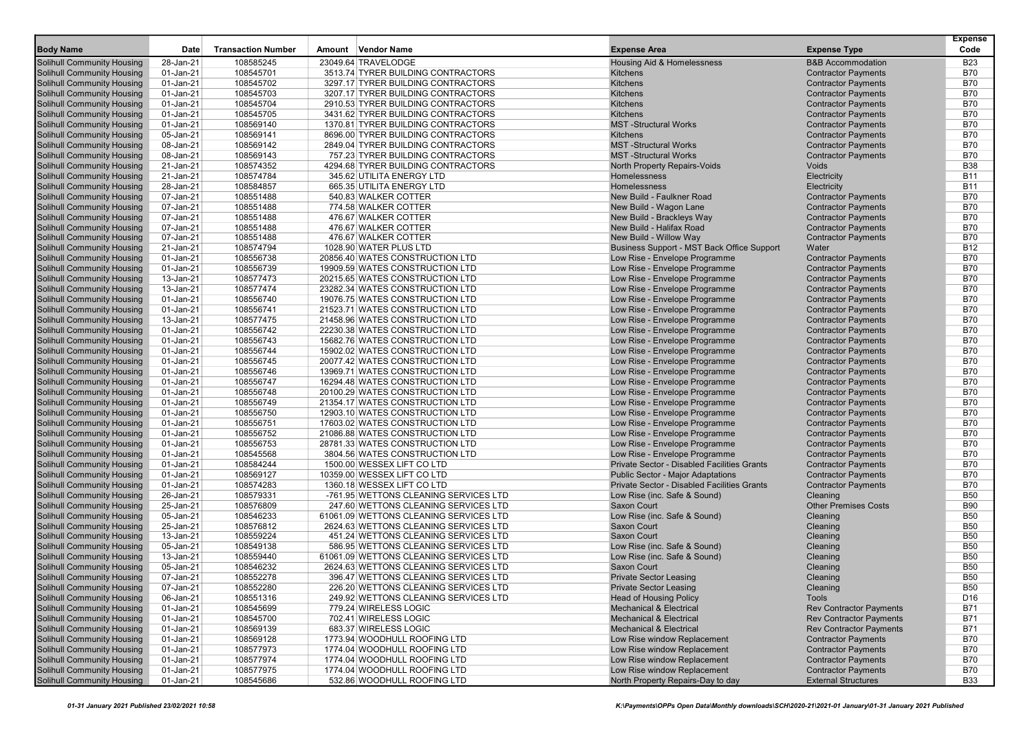|                                                                        | Date                   |                           |                                                                          |                                                                                         |                                                          | <b>Expense</b><br>Code   |
|------------------------------------------------------------------------|------------------------|---------------------------|--------------------------------------------------------------------------|-----------------------------------------------------------------------------------------|----------------------------------------------------------|--------------------------|
| <b>Body Name</b>                                                       |                        | <b>Transaction Number</b> | Amount Vendor Name                                                       | <b>Expense Area</b>                                                                     | <b>Expense Type</b>                                      |                          |
| Solihull Community Housing                                             | 28-Jan-21              | 108585245                 | 23049.64 TRAVELODGE                                                      | Housing Aid & Homelessness                                                              | <b>B&amp;B Accommodation</b>                             | <b>B23</b>               |
| Solihull Community Housing                                             | 01-Jan-21              | 108545701                 | 3513.74 TYRER BUILDING CONTRACTORS                                       | Kitchens                                                                                | <b>Contractor Payments</b>                               | <b>B70</b>               |
| <b>Solihull Community Housing</b>                                      | 01-Jan-21              | 108545702                 | 3297.17 TYRER BUILDING CONTRACTORS                                       | Kitchens                                                                                | <b>Contractor Payments</b>                               | <b>B70</b><br><b>B70</b> |
| <b>Solihull Community Housing</b><br><b>Solihull Community Housing</b> | 01-Jan-21<br>01-Jan-21 | 108545703<br>108545704    | 3207.17 TYRER BUILDING CONTRACTORS<br>2910.53 TYRER BUILDING CONTRACTORS | Kitchens<br><b>Kitchens</b>                                                             | <b>Contractor Payments</b><br><b>Contractor Payments</b> | <b>B70</b>               |
| Solihull Community Housing                                             | 01-Jan-21              | 108545705                 | 3431.62 TYRER BUILDING CONTRACTORS                                       | Kitchens                                                                                | <b>Contractor Payments</b>                               | <b>B70</b>               |
| Solihull Community Housing                                             | 01-Jan-21              | 108569140                 | 1370.81 TYRER BUILDING CONTRACTORS                                       | <b>MST-Structural Works</b>                                                             | <b>Contractor Payments</b>                               | <b>B70</b>               |
| <b>Solihull Community Housing</b>                                      | 05-Jan-21              | 108569141                 | 8696.00 TYRER BUILDING CONTRACTORS                                       | Kitchens                                                                                | <b>Contractor Payments</b>                               | <b>B70</b>               |
| <b>Solihull Community Housing</b>                                      | 08-Jan-21              | 108569142                 | 2849.04 TYRER BUILDING CONTRACTORS                                       | <b>MST-Structural Works</b>                                                             | <b>Contractor Payments</b>                               | <b>B70</b>               |
| <b>Solihull Community Housing</b>                                      | 08-Jan-21              | 108569143                 | 757.23 TYRER BUILDING CONTRACTORS                                        | <b>MST-Structural Works</b>                                                             | <b>Contractor Payments</b>                               | <b>B70</b>               |
| Solihull Community Housing                                             | 21-Jan-21              | 108574352                 | 4294.68 TYRER BUILDING CONTRACTORS                                       | <b>North Property Repairs-Voids</b>                                                     | Voids                                                    | <b>B38</b>               |
| Solihull Community Housing                                             | 21-Jan-21              | 108574784                 | 345.62 UTILITA ENERGY LTD                                                | Homelessness                                                                            | Electricity                                              | <b>B11</b>               |
| <b>Solihull Community Housing</b>                                      | 28-Jan-21              | 108584857                 | 665.35 UTILITA ENERGY LTD                                                | Homelessness                                                                            | Electricity                                              | <b>B11</b>               |
| <b>Solihull Community Housing</b>                                      | 07-Jan-21              | 108551488                 | 540.83 WALKER COTTER                                                     | New Build - Faulkner Road                                                               | <b>Contractor Payments</b>                               | <b>B70</b>               |
| <b>Solihull Community Housing</b>                                      | 07-Jan-21              | 108551488                 | 774.58 WALKER COTTER                                                     | New Build - Wagon Lane                                                                  | <b>Contractor Payments</b>                               | <b>B70</b>               |
| Solihull Community Housing                                             | 07-Jan-21              | 108551488                 | 476.67 WALKER COTTER                                                     | New Build - Brackleys Way                                                               | <b>Contractor Payments</b>                               | <b>B70</b>               |
| Solihull Community Housing                                             | 07-Jan-21              | 108551488                 | 476.67 WALKER COTTER                                                     | New Build - Halifax Road                                                                | <b>Contractor Payments</b>                               | <b>B70</b>               |
| <b>Solihull Community Housing</b>                                      | 07-Jan-21              | 108551488                 | 476.67 WALKER COTTER                                                     | New Build - Willow Way                                                                  | <b>Contractor Payments</b>                               | <b>B70</b>               |
| <b>Solihull Community Housing</b>                                      | 21-Jan-21              | 108574794                 | 1028.90 WATER PLUS LTD                                                   | Business Support - MST Back Office Support                                              | Water                                                    | <b>B12</b>               |
| <b>Solihull Community Housing</b>                                      | 01-Jan-21              | 108556738                 | 20856.40 WATES CONSTRUCTION LTD                                          | Low Rise - Envelope Programme                                                           | <b>Contractor Payments</b>                               | <b>B70</b>               |
| Solihull Community Housing                                             | 01-Jan-21              | 108556739                 | 19909.59 WATES CONSTRUCTION LTD                                          | Low Rise - Envelope Programme                                                           | <b>Contractor Payments</b>                               | <b>B70</b>               |
| Solihull Community Housing                                             | 13-Jan-21              | 108577473                 | 20215.65 WATES CONSTRUCTION LTD                                          | Low Rise - Envelope Programme                                                           | <b>Contractor Payments</b>                               | <b>B70</b>               |
| <b>Solihull Community Housing</b>                                      | 13-Jan-21              | 108577474                 | 23282.34 WATES CONSTRUCTION LTD                                          | Low Rise - Envelope Programme                                                           | <b>Contractor Payments</b>                               | <b>B70</b>               |
| <b>Solihull Community Housing</b>                                      | 01-Jan-21              | 108556740                 | 19076.75 WATES CONSTRUCTION LTD                                          | Low Rise - Envelope Programme                                                           | <b>Contractor Payments</b>                               | <b>B70</b>               |
| <b>Solihull Community Housing</b>                                      | 01-Jan-21              | 108556741                 | 21523.71 WATES CONSTRUCTION LTD                                          | Low Rise - Envelope Programme                                                           | <b>Contractor Payments</b>                               | <b>B70</b>               |
| Solihull Community Housing                                             | 13-Jan-21              | 108577475                 | 21458.96 WATES CONSTRUCTION LTD                                          | Low Rise - Envelope Programme                                                           | <b>Contractor Payments</b>                               | <b>B70</b>               |
| Solihull Community Housing                                             | 01-Jan-21              | 108556742                 | 22230.38 WATES CONSTRUCTION LTD                                          | Low Rise - Envelope Programme                                                           | <b>Contractor Payments</b>                               | <b>B70</b>               |
| <b>Solihull Community Housing</b>                                      | 01-Jan-21              | 108556743                 | 15682.76 WATES CONSTRUCTION LTD                                          | Low Rise - Envelope Programme                                                           | <b>Contractor Payments</b>                               | <b>B70</b>               |
| <b>Solihull Community Housing</b>                                      | 01-Jan-21              | 108556744                 | 15902.02 WATES CONSTRUCTION LTD                                          | Low Rise - Envelope Programme                                                           | <b>Contractor Payments</b>                               | <b>B70</b>               |
| <b>Solihull Community Housing</b>                                      | 01-Jan-21              | 108556745                 | 20077.42 WATES CONSTRUCTION LTD                                          | Low Rise - Envelope Programme                                                           | <b>Contractor Payments</b>                               | <b>B70</b>               |
| Solihull Community Housing                                             | 01-Jan-21              | 108556746                 | 13969.71 WATES CONSTRUCTION LTD                                          | Low Rise - Envelope Programme                                                           | <b>Contractor Payments</b>                               | <b>B70</b>               |
| Solihull Community Housing                                             | 01-Jan-21              | 108556747                 | 16294.48 WATES CONSTRUCTION LTD                                          | Low Rise - Envelope Programme                                                           | <b>Contractor Payments</b>                               | <b>B70</b>               |
| <b>Solihull Community Housing</b>                                      | 01-Jan-21              | 108556748                 | 20100.29 WATES CONSTRUCTION LTD                                          | Low Rise - Envelope Programme                                                           | <b>Contractor Payments</b>                               | <b>B70</b>               |
| Solihull Community Housing                                             | 01-Jan-21              | 108556749                 | 21354.17 WATES CONSTRUCTION LTD                                          | Low Rise - Envelope Programme                                                           | <b>Contractor Payments</b>                               | <b>B70</b>               |
| <b>Solihull Community Housing</b>                                      | 01-Jan-21              | 108556750                 | 12903.10 WATES CONSTRUCTION LTD                                          | Low Rise - Envelope Programme                                                           | <b>Contractor Payments</b>                               | <b>B70</b>               |
| Solihull Community Housing                                             | 01-Jan-21              | 108556751                 | 17603.02 WATES CONSTRUCTION LTD                                          | Low Rise - Envelope Programme                                                           | <b>Contractor Payments</b>                               | <b>B70</b>               |
| Solihull Community Housing                                             | 01-Jan-21              | 108556752                 | 21086.88 WATES CONSTRUCTION LTD                                          | Low Rise - Envelope Programme                                                           | <b>Contractor Payments</b>                               | <b>B70</b>               |
| <b>Solihull Community Housing</b>                                      | 01-Jan-21              | 108556753                 | 28781.33 WATES CONSTRUCTION LTD                                          | Low Rise - Envelope Programme                                                           | <b>Contractor Payments</b>                               | <b>B70</b>               |
| <b>Solihull Community Housing</b>                                      | 01-Jan-21              | 108545568                 | 3804.56 WATES CONSTRUCTION LTD                                           | Low Rise - Envelope Programme                                                           | <b>Contractor Payments</b>                               | <b>B70</b><br><b>B70</b> |
| <b>Solihull Community Housing</b><br>Solihull Community Housing        | 01-Jan-21<br>01-Jan-21 | 108584244<br>108569127    | 1500.00 WESSEX LIFT CO LTD<br>10359.00 WESSEX LIFT CO LTD                | Private Sector - Disabled Facilities Grants<br><b>Public Sector - Major Adaptations</b> | <b>Contractor Payments</b>                               | <b>B70</b>               |
| Solihull Community Housing                                             | 01-Jan-21              | 108574283                 | 1360.18 WESSEX LIFT CO LTD                                               | Private Sector - Disabled Facilities Grants                                             | <b>Contractor Payments</b><br><b>Contractor Payments</b> | <b>B70</b>               |
| <b>Solihull Community Housing</b>                                      | 26-Jan-21              | 108579331                 | -761.95 WETTONS CLEANING SERVICES LTD                                    | Low Rise (inc. Safe & Sound)                                                            | Cleaning                                                 | <b>B50</b>               |
| Solihull Community Housing                                             | 25-Jan-21              | 108576809                 | 247.60 WETTONS CLEANING SERVICES LTD                                     | <b>Saxon Court</b>                                                                      | <b>Other Premises Costs</b>                              | <b>B90</b>               |
| <b>Solihull Community Housing</b>                                      | 05-Jan-21              | 108546233                 | 61061.09 WETTONS CLEANING SERVICES LTD                                   | Low Rise (inc. Safe & Sound)                                                            | Cleaning                                                 | <b>B50</b>               |
| Solihull Community Housing                                             | 25-Jan-21              | 108576812                 | 2624.63 WETTONS CLEANING SERVICES LTD                                    | <b>Saxon Court</b>                                                                      | Cleaning                                                 | <b>B50</b>               |
| Solihull Community Housing                                             | 13-Jan-21              | 108559224                 | 451.24 WETTONS CLEANING SERVICES LTD                                     | <b>Saxon Court</b>                                                                      | Cleaning                                                 | <b>B50</b>               |
| <b>Solihull Community Housing</b>                                      | 05-Jan-21              | 108549138                 | 586.95 WETTONS CLEANING SERVICES LTD                                     | Low Rise (inc. Safe & Sound)                                                            | Cleaning                                                 | <b>B50</b>               |
| Solihull Community Housing                                             | 13-Jan-21              | 108559440                 | 61061.09 WETTONS CLEANING SERVICES LTD                                   | Low Rise (inc. Safe & Sound)                                                            | Cleaning                                                 | <b>B50</b>               |
| <b>Solihull Community Housing</b>                                      | 05-Jan-21              | 108546232                 | 2624.63 WETTONS CLEANING SERVICES LTD                                    | <b>Saxon Court</b>                                                                      | Cleaning                                                 | <b>B50</b>               |
| <b>Solihull Community Housing</b>                                      | 07-Jan-21              | 108552278                 | 396.47 WETTONS CLEANING SERVICES LTD                                     | <b>Private Sector Leasing</b>                                                           | Cleaning                                                 | <b>B50</b>               |
| Solihull Community Housing                                             | 07-Jan-21              | 108552280                 | 226.20 WETTONS CLEANING SERVICES LTD                                     | <b>Private Sector Leasing</b>                                                           | Cleaning                                                 | <b>B50</b>               |
| <b>Solihull Community Housing</b>                                      | 06-Jan-21              | 108551316                 | 249.92 WETTONS CLEANING SERVICES LTD                                     | <b>Head of Housing Policy</b>                                                           | Tools                                                    | D <sub>16</sub>          |
| <b>Solihull Community Housing</b>                                      | 01-Jan-21              | 108545699                 | 779.24 WIRELESS LOGIC                                                    | <b>Mechanical &amp; Electrical</b>                                                      | <b>Rev Contractor Payments</b>                           | <b>B71</b>               |
| <b>Solihull Community Housing</b>                                      | 01-Jan-21              | 108545700                 | 702.41 WIRELESS LOGIC                                                    | <b>Mechanical &amp; Electrical</b>                                                      | <b>Rev Contractor Payments</b>                           | <b>B71</b>               |
| <b>Solihull Community Housing</b>                                      | 01-Jan-21              | 108569139                 | 683.37 WIRELESS LOGIC                                                    | <b>Mechanical &amp; Electrical</b>                                                      | <b>Rev Contractor Payments</b>                           | <b>B71</b>               |
| Solihull Community Housing                                             | 01-Jan-21              | 108569128                 | 1773.94 WOODHULL ROOFING LTD                                             | Low Rise window Replacement                                                             | <b>Contractor Payments</b>                               | <b>B70</b>               |
| <b>Solihull Community Housing</b>                                      | 01-Jan-21              | 108577973                 | 1774.04 WOODHULL ROOFING LTD                                             | Low Rise window Replacement                                                             | <b>Contractor Payments</b>                               | <b>B70</b>               |
| <b>Solihull Community Housing</b>                                      | 01-Jan-21              | 108577974                 | 1774.04 WOODHULL ROOFING LTD                                             | Low Rise window Replacement                                                             | <b>Contractor Payments</b>                               | <b>B70</b>               |
| <b>Solihull Community Housing</b>                                      | 01-Jan-21              | 108577975                 | 1774.04 WOODHULL ROOFING LTD                                             | Low Rise window Replacement                                                             | <b>Contractor Payments</b>                               | <b>B70</b>               |
| <b>Solihull Community Housing</b>                                      | $01$ -Jan-21           | 108545686                 | 532.86 WOODHULL ROOFING LTD                                              | North Property Repairs-Day to day                                                       | <b>External Structures</b>                               | B33                      |